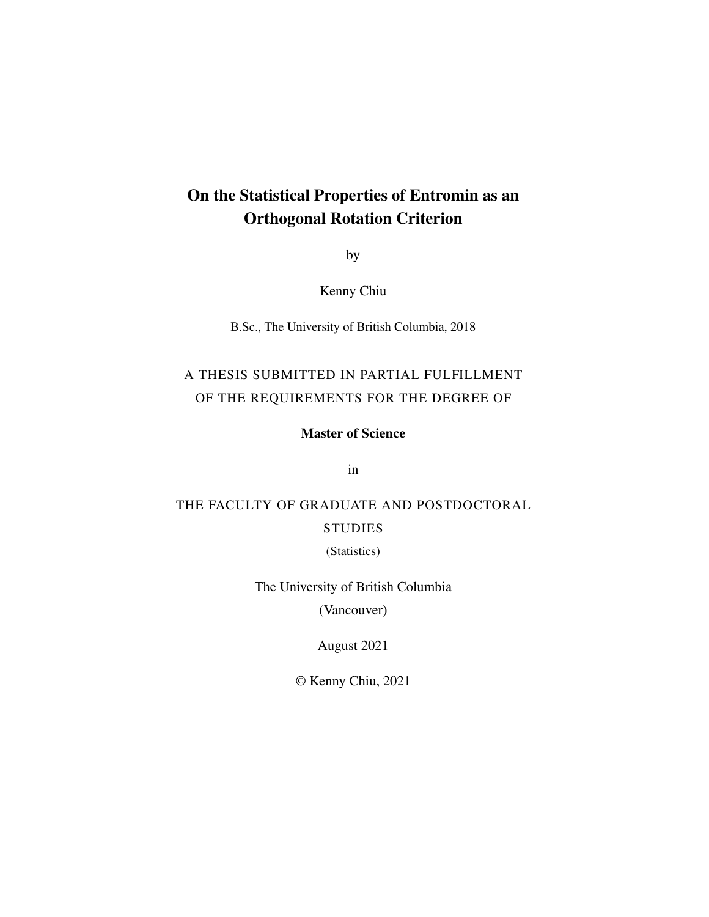### On the Statistical Properties of Entromin as an Orthogonal Rotation Criterion

by

Kenny Chiu

B.Sc., The University of British Columbia, 2018

### A THESIS SUBMITTED IN PARTIAL FULFILLMENT OF THE REQUIREMENTS FOR THE DEGREE OF

Master of Science

in

### THE FACULTY OF GRADUATE AND POSTDOCTORAL **STUDIES**

(Statistics)

The University of British Columbia

(Vancouver)

August 2021

© Kenny Chiu, 2021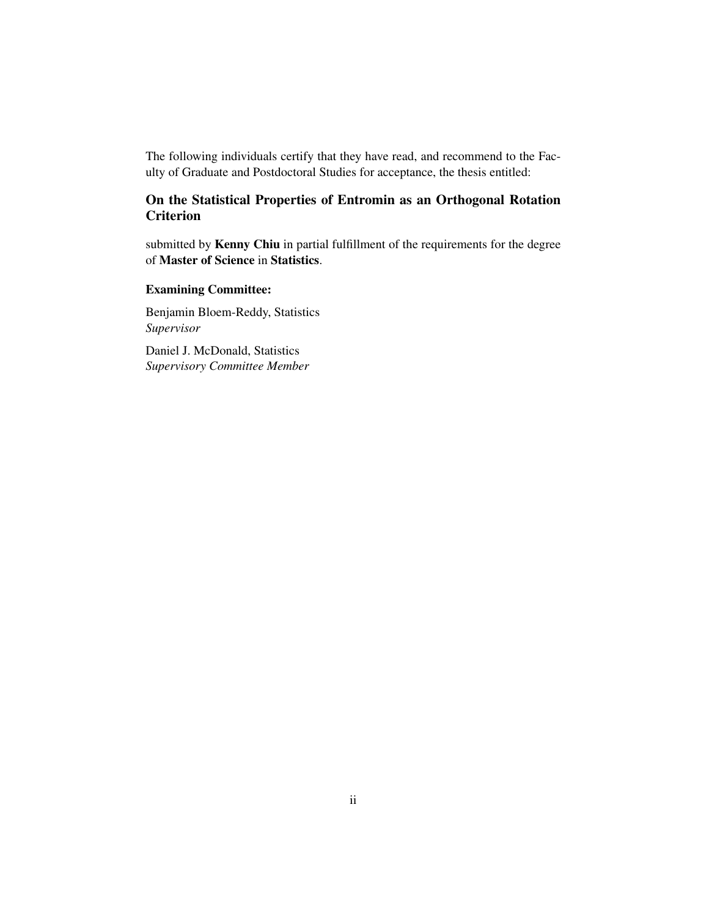The following individuals certify that they have read, and recommend to the Faculty of Graduate and Postdoctoral Studies for acceptance, the thesis entitled:

### On the Statistical Properties of Entromin as an Orthogonal Rotation **Criterion**

submitted by Kenny Chiu in partial fulfillment of the requirements for the degree of Master of Science in Statistics.

#### Examining Committee:

Benjamin Bloem-Reddy, Statistics *Supervisor*

Daniel J. McDonald, Statistics *Supervisory Committee Member*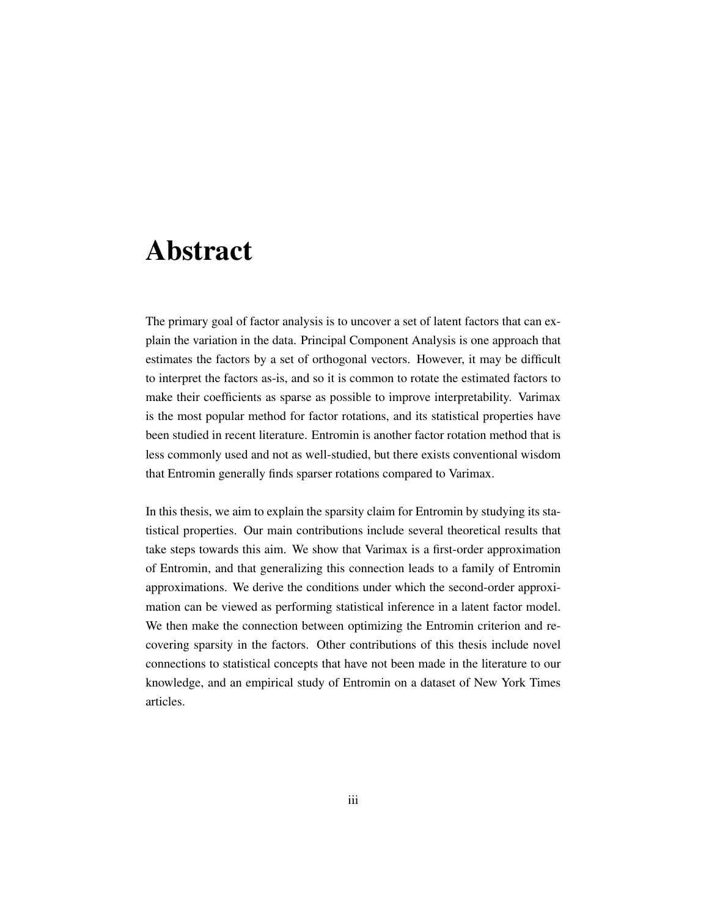### <span id="page-2-0"></span>Abstract

The primary goal of factor analysis is to uncover a set of latent factors that can explain the variation in the data. Principal Component Analysis is one approach that estimates the factors by a set of orthogonal vectors. However, it may be difficult to interpret the factors as-is, and so it is common to rotate the estimated factors to make their coefficients as sparse as possible to improve interpretability. Varimax is the most popular method for factor rotations, and its statistical properties have been studied in recent literature. Entromin is another factor rotation method that is less commonly used and not as well-studied, but there exists conventional wisdom that Entromin generally finds sparser rotations compared to Varimax.

In this thesis, we aim to explain the sparsity claim for Entromin by studying its statistical properties. Our main contributions include several theoretical results that take steps towards this aim. We show that Varimax is a first-order approximation of Entromin, and that generalizing this connection leads to a family of Entromin approximations. We derive the conditions under which the second-order approximation can be viewed as performing statistical inference in a latent factor model. We then make the connection between optimizing the Entromin criterion and recovering sparsity in the factors. Other contributions of this thesis include novel connections to statistical concepts that have not been made in the literature to our knowledge, and an empirical study of Entromin on a dataset of New York Times articles.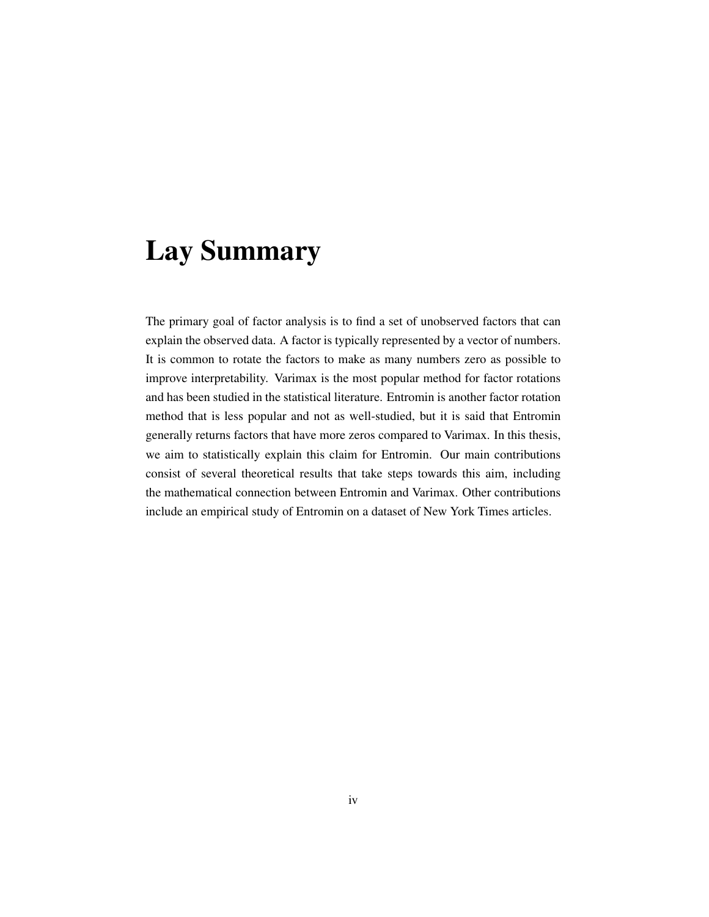## <span id="page-3-0"></span>Lay Summary

The primary goal of factor analysis is to find a set of unobserved factors that can explain the observed data. A factor is typically represented by a vector of numbers. It is common to rotate the factors to make as many numbers zero as possible to improve interpretability. Varimax is the most popular method for factor rotations and has been studied in the statistical literature. Entromin is another factor rotation method that is less popular and not as well-studied, but it is said that Entromin generally returns factors that have more zeros compared to Varimax. In this thesis, we aim to statistically explain this claim for Entromin. Our main contributions consist of several theoretical results that take steps towards this aim, including the mathematical connection between Entromin and Varimax. Other contributions include an empirical study of Entromin on a dataset of New York Times articles.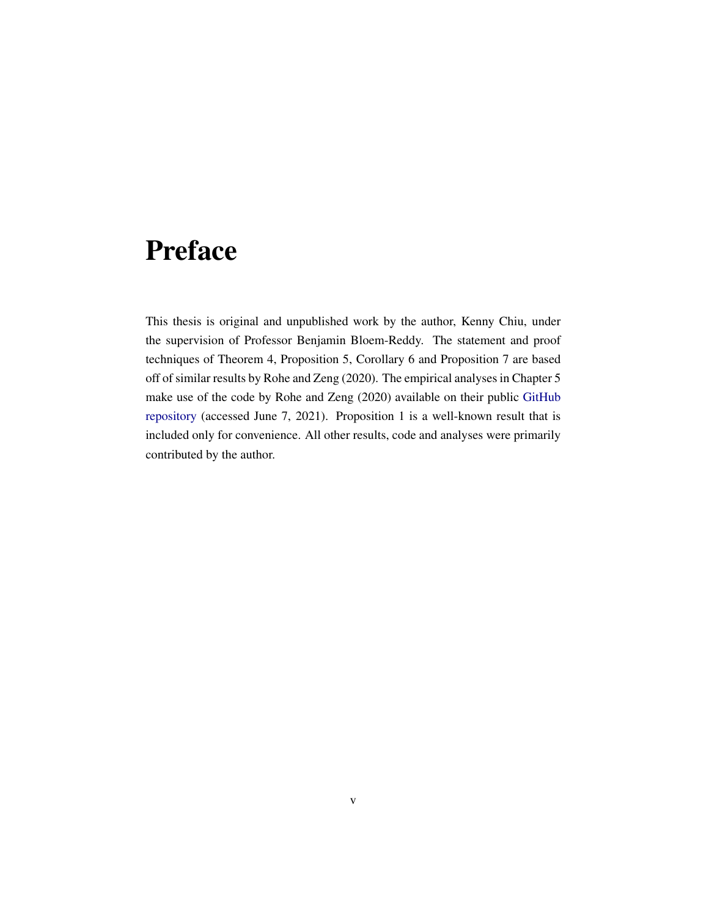## <span id="page-4-0"></span>Preface

This thesis is original and unpublished work by the author, Kenny Chiu, under the supervision of Professor Benjamin Bloem-Reddy. The statement and proof techniques of [Theorem 4,](#page-40-0) [Proposition 5,](#page-43-0) [Corollary 6](#page-44-0) and [Proposition 7](#page-44-1) are based off of similar results by [Rohe and Zeng](#page-75-0) [\(2020\)](#page-75-0). The empirical analyses in [Chapter 5](#page-57-0) make use of the code by [Rohe and Zeng](#page-75-0) [\(2020\)](#page-75-0) available on their public [GitHub](https://github.com/RoheLab/vsp-paper) [repository](https://github.com/RoheLab/vsp-paper) (accessed June 7, 2021). [Proposition 1](#page-36-0) is a well-known result that is included only for convenience. All other results, code and analyses were primarily contributed by the author.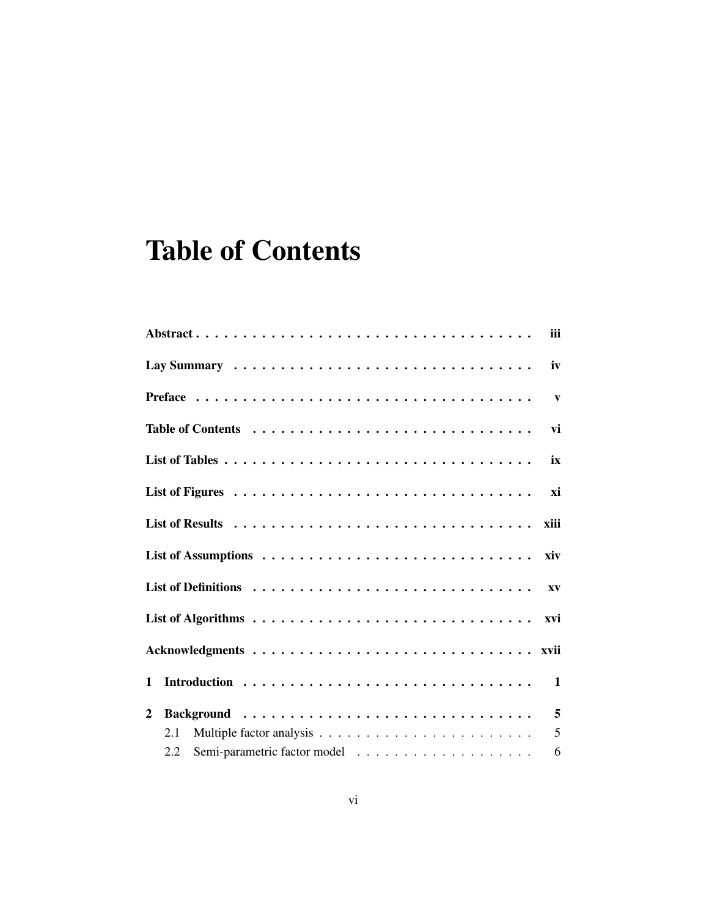## <span id="page-5-0"></span>Table of Contents

|              | iii                    |
|--------------|------------------------|
|              | iv                     |
|              | $\mathbf{v}$           |
|              | vi                     |
|              | ix                     |
|              | xi                     |
|              | xiii                   |
|              |                        |
|              | $\mathbf{X}\mathbf{V}$ |
|              | xvi                    |
|              |                        |
| $\mathbf{1}$ |                        |
| $\mathbf{2}$ |                        |
| 2.1          |                        |
| 2.2          | 6                      |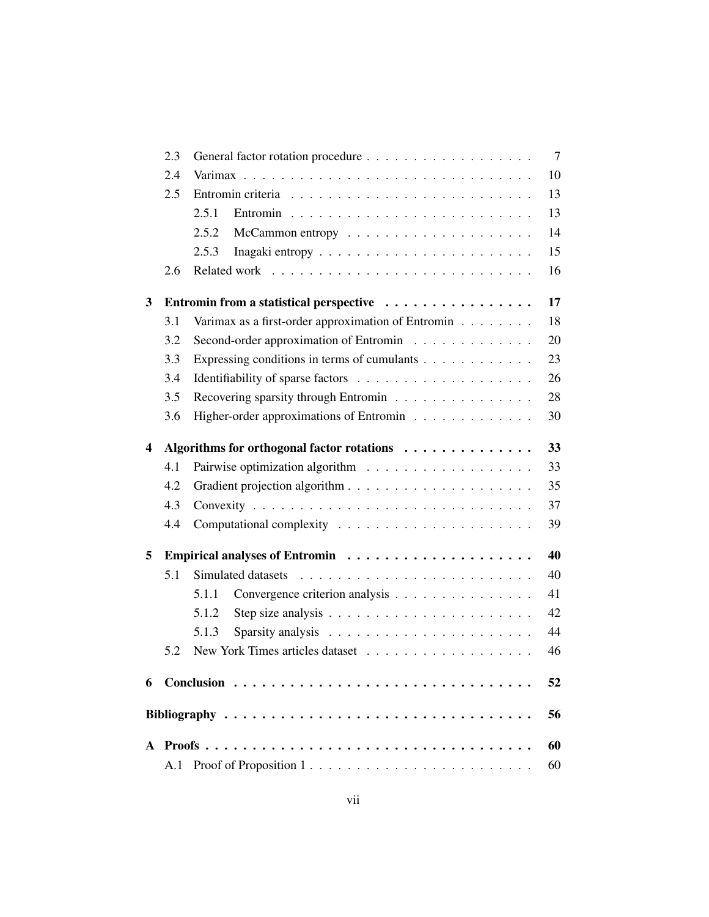|   | 2.3 |                                                                  | $\overline{7}$ |
|---|-----|------------------------------------------------------------------|----------------|
|   | 2.4 |                                                                  | 10             |
|   | 2.5 |                                                                  | 13             |
|   |     | 2.5.1                                                            | 13             |
|   |     | 2.5.2                                                            | 14             |
|   |     | 2.5.3                                                            | 15             |
|   | 2.6 |                                                                  | 16             |
| 3 |     | Entromin from a statistical perspective                          | 17             |
|   | 3.1 | Varimax as a first-order approximation of Entromin $\dots \dots$ | 18             |
|   | 3.2 | Second-order approximation of Entromin                           | 20             |
|   | 3.3 | Expressing conditions in terms of cumulants                      | 23             |
|   | 3.4 |                                                                  | 26             |
|   | 3.5 | Recovering sparsity through Entromin                             | 28             |
|   | 3.6 | Higher-order approximations of Entromin                          | 30             |
| 4 |     | Algorithms for orthogonal factor rotations                       | 33             |
|   | 4.1 |                                                                  | 33             |
|   | 4.2 |                                                                  | 35             |
|   | 4.3 |                                                                  | 37             |
|   | 4.4 |                                                                  | 39             |
| 5 |     |                                                                  | 40             |
|   | 5.1 |                                                                  | 40             |
|   |     | Convergence criterion analysis<br>5.1.1                          | 41             |
|   |     | 5.1.2                                                            | 42             |
|   |     | 5.1.3                                                            | 44             |
|   | 5.2 |                                                                  | 46             |
|   |     |                                                                  | 52             |
|   |     |                                                                  | 56             |
|   |     |                                                                  | 60             |
|   | A.1 | Proof of Proposition 1                                           | 60             |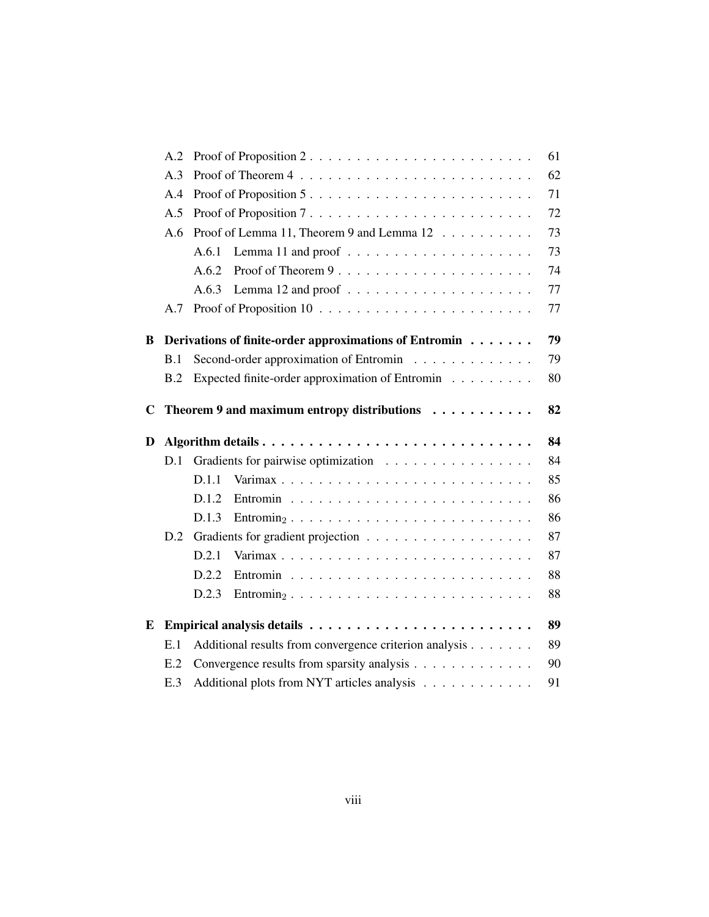|             | A.2 |                                                                                             | 61 |
|-------------|-----|---------------------------------------------------------------------------------------------|----|
|             | A.3 |                                                                                             | 62 |
|             | A.4 | Proof of Proposition 5                                                                      | 71 |
|             | A.5 | Proof of Proposition 7                                                                      | 72 |
|             | A.6 | Proof of Lemma 11, Theorem 9 and Lemma 12                                                   | 73 |
|             |     | A.6.1                                                                                       | 73 |
|             |     | Proof of Theorem 9<br>A.6.2                                                                 | 74 |
|             |     | A.6.3                                                                                       | 77 |
|             | A.7 |                                                                                             | 77 |
| B           |     | Derivations of finite-order approximations of Entromin                                      | 79 |
|             | B.1 | Second-order approximation of Entromin                                                      | 79 |
|             | B.2 | Expected finite-order approximation of Entromin                                             | 80 |
| $\mathbf C$ |     | Theorem 9 and maximum entropy distributions                                                 | 82 |
| D           |     |                                                                                             | 84 |
|             | D.1 |                                                                                             |    |
|             |     |                                                                                             | 84 |
|             |     | D.1.1                                                                                       | 85 |
|             |     | D.1.2                                                                                       | 86 |
|             |     | D.1.3<br>$\text{Entromin}_2 \ldots \ldots \ldots \ldots \ldots \ldots \ldots \ldots \ldots$ | 86 |
|             | D.2 |                                                                                             | 87 |
|             |     | D.2.1                                                                                       | 87 |
|             |     | D.2.2                                                                                       | 88 |
|             |     | D.2.3<br>$\text{Entromin}_2 \ldots \ldots \ldots \ldots \ldots \ldots \ldots \ldots \ldots$ | 88 |
| E           |     |                                                                                             | 89 |
|             | E.1 | Additional results from convergence criterion analysis                                      | 89 |
|             | E.2 | Convergence results from sparsity analysis                                                  | 90 |
|             | E.3 | Additional plots from NYT articles analysis                                                 | 91 |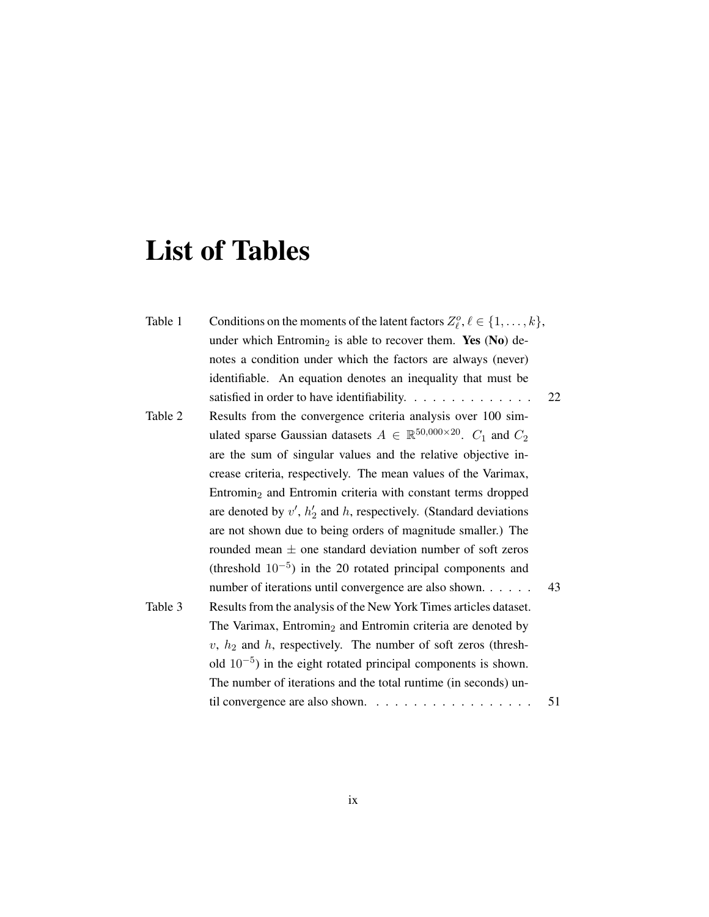# <span id="page-8-0"></span>List of Tables

| Table 1 | Conditions on the moments of the latent factors $Z_{\ell}^o, \ell \in \{1, \ldots, k\},$ |    |
|---------|------------------------------------------------------------------------------------------|----|
|         | under which Entromin <sub>2</sub> is able to recover them. Yes (No) de-                  |    |
|         | notes a condition under which the factors are always (never)                             |    |
|         | identifiable. An equation denotes an inequality that must be                             |    |
|         | satisfied in order to have identifiability.                                              | 22 |
| Table 2 | Results from the convergence criteria analysis over 100 sim-                             |    |
|         | ulated sparse Gaussian datasets $A \in \mathbb{R}^{50,000 \times 20}$ . $C_1$ and $C_2$  |    |
|         | are the sum of singular values and the relative objective in-                            |    |
|         | crease criteria, respectively. The mean values of the Varimax,                           |    |
|         | Entromin <sub>2</sub> and Entromin criteria with constant terms dropped                  |    |
|         | are denoted by $v'$ , $h'_2$ and h, respectively. (Standard deviations                   |    |
|         | are not shown due to being orders of magnitude smaller.) The                             |    |
|         | rounded mean $\pm$ one standard deviation number of soft zeros                           |    |
|         | (threshold $10^{-5}$ ) in the 20 rotated principal components and                        |    |
|         | number of iterations until convergence are also shown                                    | 43 |
| Table 3 | Results from the analysis of the New York Times articles dataset.                        |    |
|         | The Varimax, Entromin <sub>2</sub> and Entromin criteria are denoted by                  |    |
|         | $v, h2$ and h, respectively. The number of soft zeros (thresh-                           |    |
|         | old $10^{-5}$ ) in the eight rotated principal components is shown.                      |    |
|         | The number of iterations and the total runtime (in seconds) un-                          |    |
|         |                                                                                          | 51 |
|         |                                                                                          |    |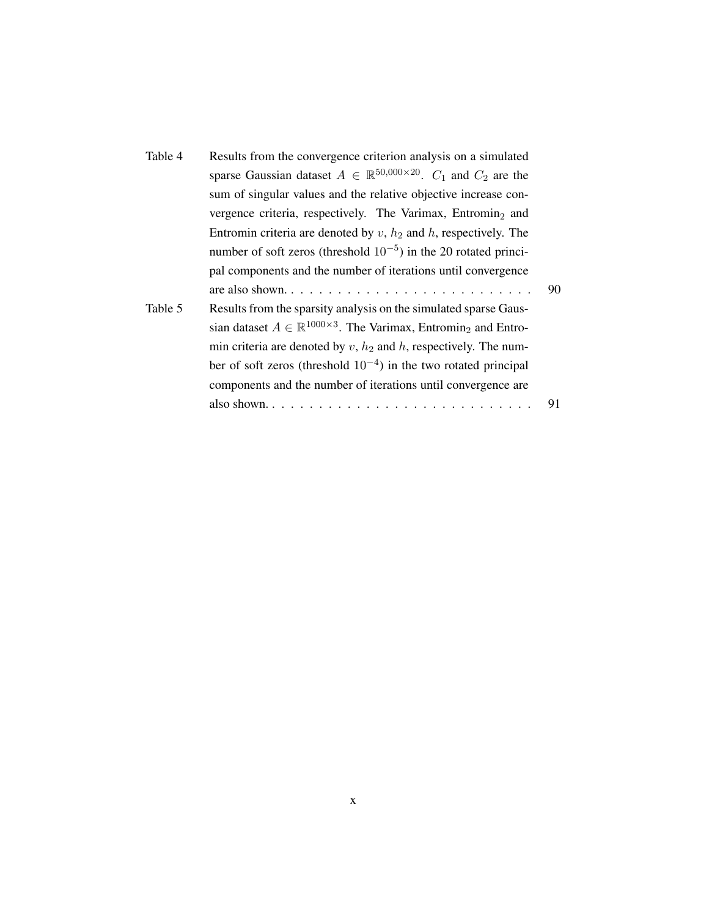| Table 4 | Results from the convergence criterion analysis on a simulated                                  |    |
|---------|-------------------------------------------------------------------------------------------------|----|
|         | sparse Gaussian dataset $A \in \mathbb{R}^{50,000 \times 20}$ . $C_1$ and $C_2$ are the         |    |
|         | sum of singular values and the relative objective increase con-                                 |    |
|         | vergence criteria, respectively. The Varimax, Entromin <sub>2</sub> and                         |    |
|         | Entromin criteria are denoted by $v$ , $h_2$ and $h$ , respectively. The                        |    |
|         | number of soft zeros (threshold $10^{-5}$ ) in the 20 rotated princi-                           |    |
|         | pal components and the number of iterations until convergence                                   |    |
|         |                                                                                                 | 90 |
| Table 5 | Results from the sparsity analysis on the simulated sparse Gaus-                                |    |
|         | sian dataset $A \in \mathbb{R}^{1000 \times 3}$ . The Varimax, Entromin <sub>2</sub> and Entro- |    |
|         | min criteria are denoted by $v, h_2$ and h, respectively. The num-                              |    |
|         | ber of soft zeros (threshold $10^{-4}$ ) in the two rotated principal                           |    |
|         | components and the number of iterations until convergence are                                   |    |
|         |                                                                                                 | 91 |
|         |                                                                                                 |    |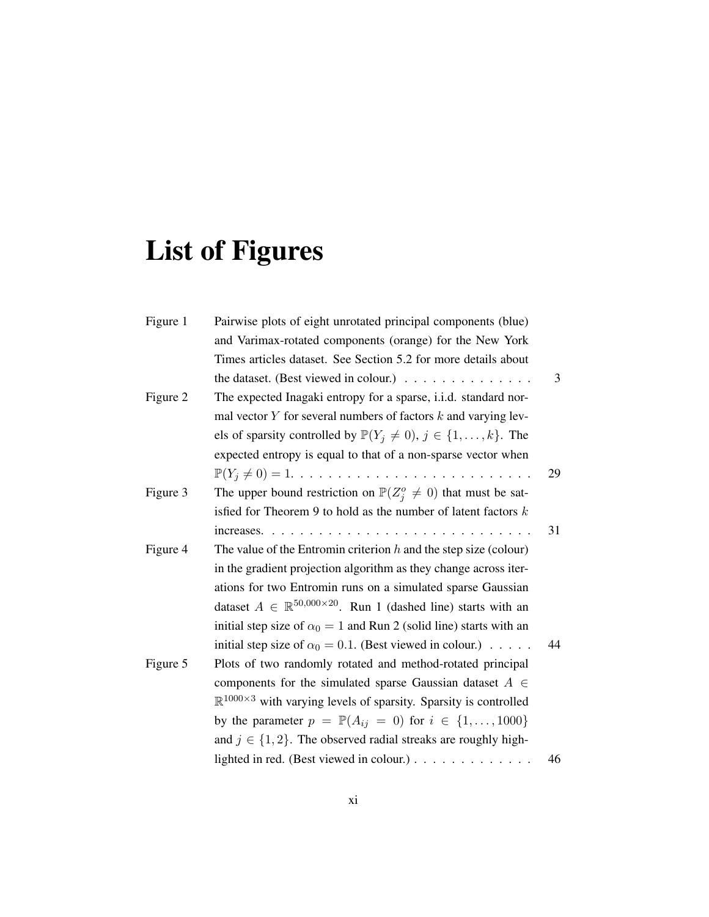# <span id="page-10-0"></span>List of Figures

| Figure 1 | Pairwise plots of eight unrotated principal components (blue)                                |    |
|----------|----------------------------------------------------------------------------------------------|----|
|          | and Varimax-rotated components (orange) for the New York                                     |    |
|          | Times articles dataset. See Section 5.2 for more details about                               |    |
|          | the dataset. (Best viewed in colour.) $\ldots \ldots \ldots \ldots$                          | 3  |
| Figure 2 | The expected Inagaki entropy for a sparse, <i>i.i.d.</i> standard nor-                       |    |
|          | mal vector $Y$ for several numbers of factors $k$ and varying lev-                           |    |
|          | els of sparsity controlled by $\mathbb{P}(Y_j \neq 0), j \in \{1, , k\}$ . The               |    |
|          | expected entropy is equal to that of a non-sparse vector when                                |    |
|          | $\mathbb{P}(Y_j \neq 0) = 1. \ldots \ldots \ldots \ldots \ldots \ldots \ldots \ldots \ldots$ | 29 |
| Figure 3 | The upper bound restriction on $\mathbb{P}(Z_i^o \neq 0)$ that must be sat-                  |    |
|          | isfied for Theorem 9 to hold as the number of latent factors $k$                             |    |
|          |                                                                                              | 31 |
| Figure 4 | The value of the Entromin criterion $h$ and the step size (colour)                           |    |
|          | in the gradient projection algorithm as they change across iter-                             |    |
|          | ations for two Entromin runs on a simulated sparse Gaussian                                  |    |
|          | dataset $A \in \mathbb{R}^{50,000 \times 20}$ . Run 1 (dashed line) starts with an           |    |
|          | initial step size of $\alpha_0 = 1$ and Run 2 (solid line) starts with an                    |    |
|          | initial step size of $\alpha_0 = 0.1$ . (Best viewed in colour.)                             | 44 |
| Figure 5 | Plots of two randomly rotated and method-rotated principal                                   |    |
|          | components for the simulated sparse Gaussian dataset $A \in$                                 |    |
|          | $\mathbb{R}^{1000\times3}$ with varying levels of sparsity. Sparsity is controlled           |    |
|          | by the parameter $p = \mathbb{P}(A_{ij} = 0)$ for $i \in \{1, , 1000\}$                      |    |
|          | and $j \in \{1, 2\}$ . The observed radial streaks are roughly high-                         |    |
|          | lighted in red. (Best viewed in colour.) $\ldots \ldots \ldots \ldots$                       | 46 |

xi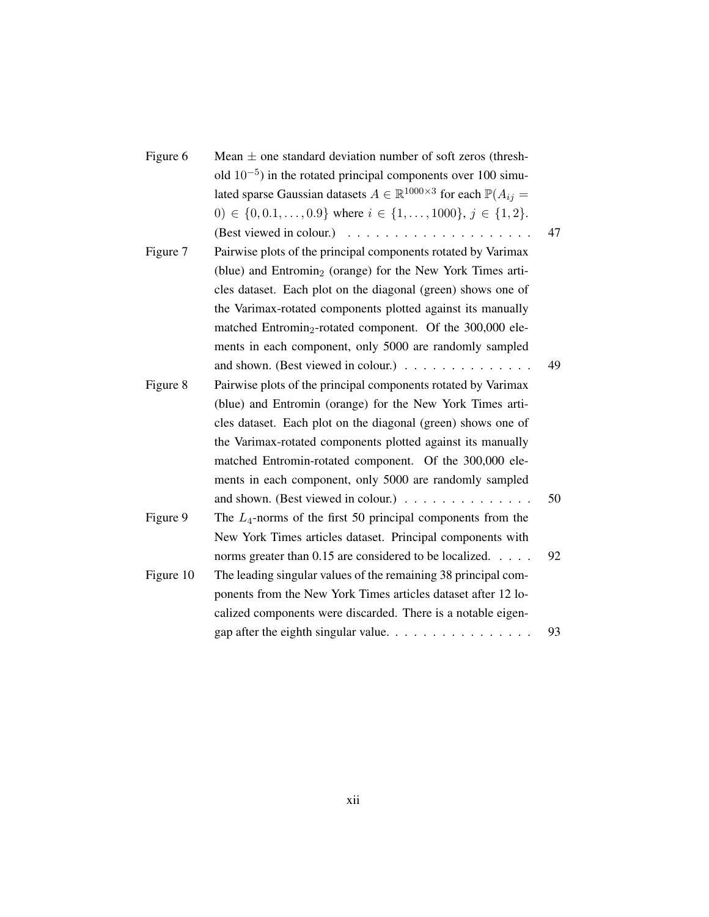| Figure 6  | Mean $\pm$ one standard deviation number of soft zeros (thresh-                                  |    |
|-----------|--------------------------------------------------------------------------------------------------|----|
|           | old $10^{-5}$ ) in the rotated principal components over 100 simu-                               |    |
|           | lated sparse Gaussian datasets $A \in \mathbb{R}^{1000 \times 3}$ for each $\mathbb{P}(A_{ij} =$ |    |
|           | 0) $\in \{0, 0.1, \ldots, 0.9\}$ where $i \in \{1, \ldots, 1000\}, j \in \{1, 2\}.$              |    |
|           |                                                                                                  | 47 |
| Figure 7  | Pairwise plots of the principal components rotated by Varimax                                    |    |
|           | (blue) and Entromin <sub>2</sub> (orange) for the New York Times arti-                           |    |
|           | cles dataset. Each plot on the diagonal (green) shows one of                                     |    |
|           | the Varimax-rotated components plotted against its manually                                      |    |
|           | matched Entromin <sub>2</sub> -rotated component. Of the 300,000 ele-                            |    |
|           | ments in each component, only 5000 are randomly sampled                                          |    |
|           | and shown. (Best viewed in colour.)                                                              | 49 |
| Figure 8  | Pairwise plots of the principal components rotated by Varimax                                    |    |
|           | (blue) and Entromin (orange) for the New York Times arti-                                        |    |
|           | cles dataset. Each plot on the diagonal (green) shows one of                                     |    |
|           | the Varimax-rotated components plotted against its manually                                      |    |
|           | matched Entromin-rotated component. Of the 300,000 ele-                                          |    |
|           | ments in each component, only 5000 are randomly sampled                                          |    |
|           | and shown. (Best viewed in colour.)                                                              | 50 |
| Figure 9  | The $L_4$ -norms of the first 50 principal components from the                                   |    |
|           | New York Times articles dataset. Principal components with                                       |    |
|           | norms greater than 0.15 are considered to be localized.                                          | 92 |
| Figure 10 | The leading singular values of the remaining 38 principal com-                                   |    |
|           | ponents from the New York Times articles dataset after 12 lo-                                    |    |
|           | calized components were discarded. There is a notable eigen-                                     |    |
|           |                                                                                                  | 93 |
|           |                                                                                                  |    |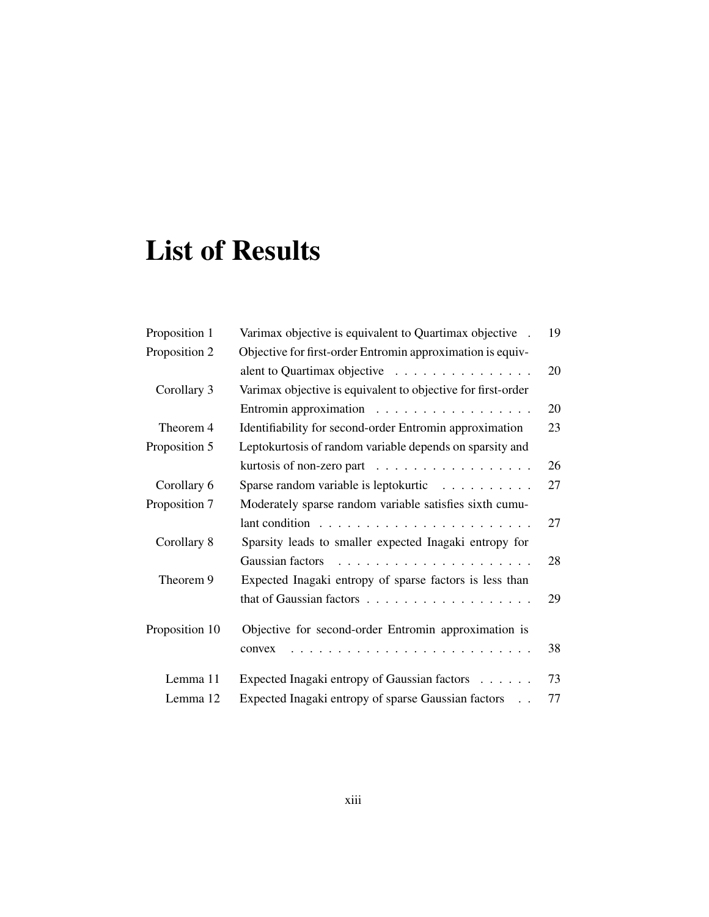## <span id="page-12-0"></span>List of Results

| Proposition 1  | Varimax objective is equivalent to Quartimax objective.              | 19 |
|----------------|----------------------------------------------------------------------|----|
| Proposition 2  | Objective for first-order Entromin approximation is equiv-           |    |
|                | alent to Quartimax objective $\ldots \ldots \ldots \ldots \ldots$    | 20 |
| Corollary 3    | Varimax objective is equivalent to objective for first-order         |    |
|                | Entromin approximation $\ldots \ldots \ldots \ldots \ldots$          | 20 |
| Theorem 4      | Identifiability for second-order Entromin approximation              | 23 |
| Proposition 5  | Leptokurtosis of random variable depends on sparsity and             |    |
|                | kurtosis of non-zero part $\ldots \ldots \ldots \ldots \ldots$       | 26 |
| Corollary 6    | Sparse random variable is leptokurtic                                | 27 |
| Proposition 7  | Moderately sparse random variable satisfies sixth cumu-              |    |
|                | lant condition $\ldots \ldots \ldots \ldots \ldots \ldots \ldots$    | 27 |
| Corollary 8    | Sparsity leads to smaller expected Inagaki entropy for               |    |
|                |                                                                      | 28 |
| Theorem 9      | Expected Inagaki entropy of sparse factors is less than              |    |
|                |                                                                      | 29 |
| Proposition 10 | Objective for second-order Entromin approximation is                 |    |
|                | convex                                                               | 38 |
| Lemma 11       | Expected Inagaki entropy of Gaussian factors                         | 73 |
| Lemma 12       | Expected Inagaki entropy of sparse Gaussian factors<br>$\sim$ $\sim$ | 77 |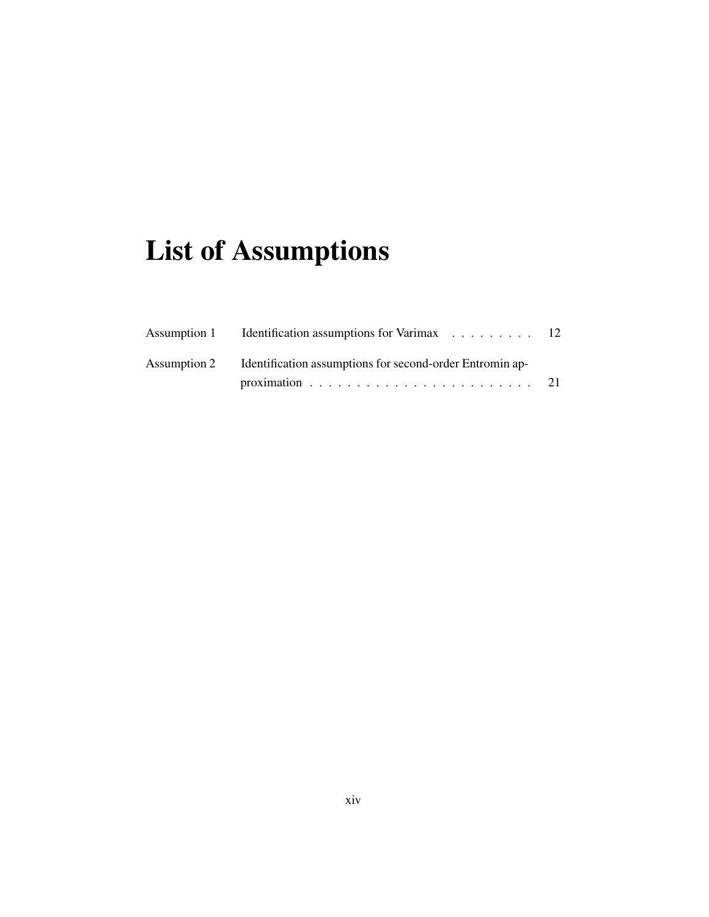# <span id="page-13-0"></span>List of Assumptions

| Assumption 1 Identification assumptions for Varimax 12                |  |
|-----------------------------------------------------------------------|--|
| Assumption 2 Identification assumptions for second-order Entromin ap- |  |
|                                                                       |  |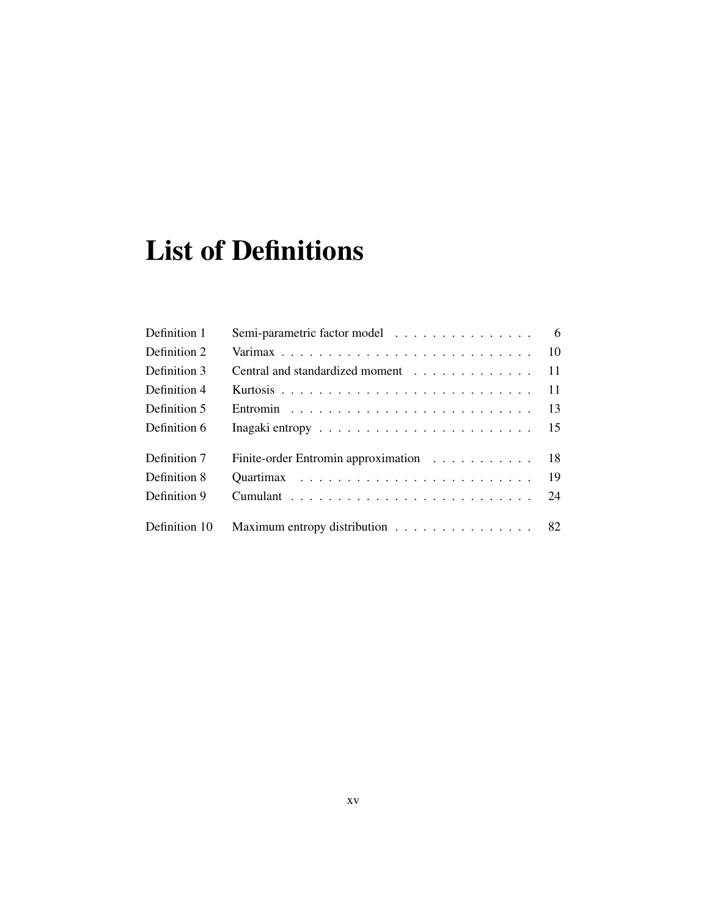# <span id="page-14-0"></span>List of Definitions

| Definition 1  | Semi-parametric factor model 6                                                      |  |
|---------------|-------------------------------------------------------------------------------------|--|
| Definition 2  |                                                                                     |  |
| Definition 3  | Central and standardized moment 11                                                  |  |
| Definition 4  |                                                                                     |  |
| Definition 5  |                                                                                     |  |
| Definition 6  | Inagaki entropy $\ldots \ldots \ldots \ldots \ldots \ldots \ldots \ldots \ldots$ 15 |  |
| Definition 7  | Finite-order Entromin approximation 18                                              |  |
| Definition 8  |                                                                                     |  |
| Definition 9  |                                                                                     |  |
| Definition 10 | Maximum entropy distribution 82                                                     |  |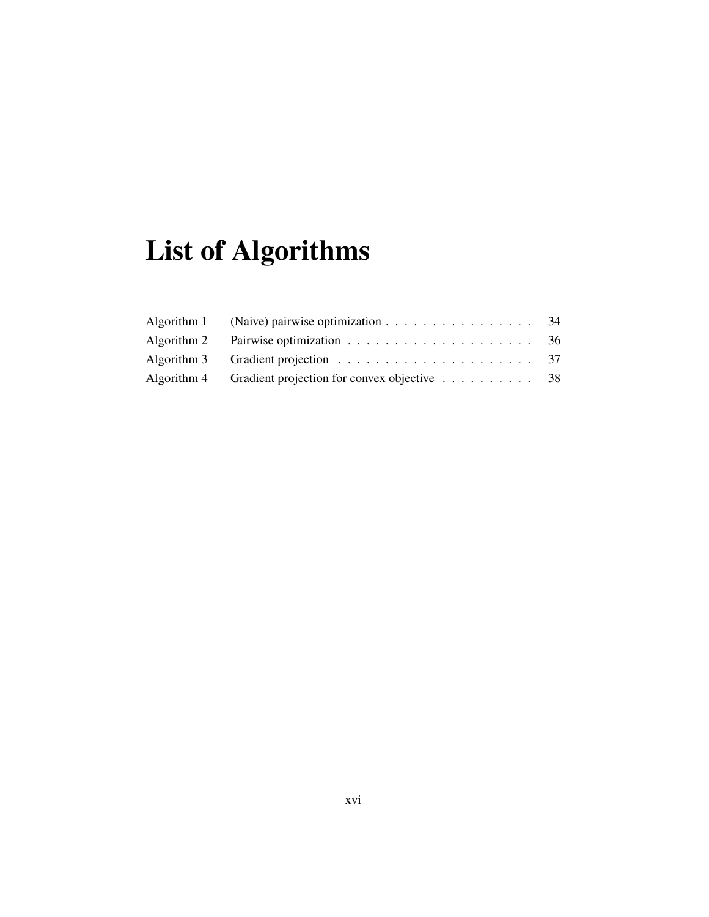# <span id="page-15-0"></span>List of Algorithms

| Algorithm 1 (Naive) pairwise optimization $\dots \dots \dots \dots \dots \dots \dots$ 34 |  |
|------------------------------------------------------------------------------------------|--|
| Algorithm 2 Pairwise optimization $\ldots \ldots \ldots \ldots \ldots \ldots \ldots$ 36  |  |
|                                                                                          |  |
| Algorithm 4 Gradient projection for convex objective $\ldots \ldots \ldots$ 38           |  |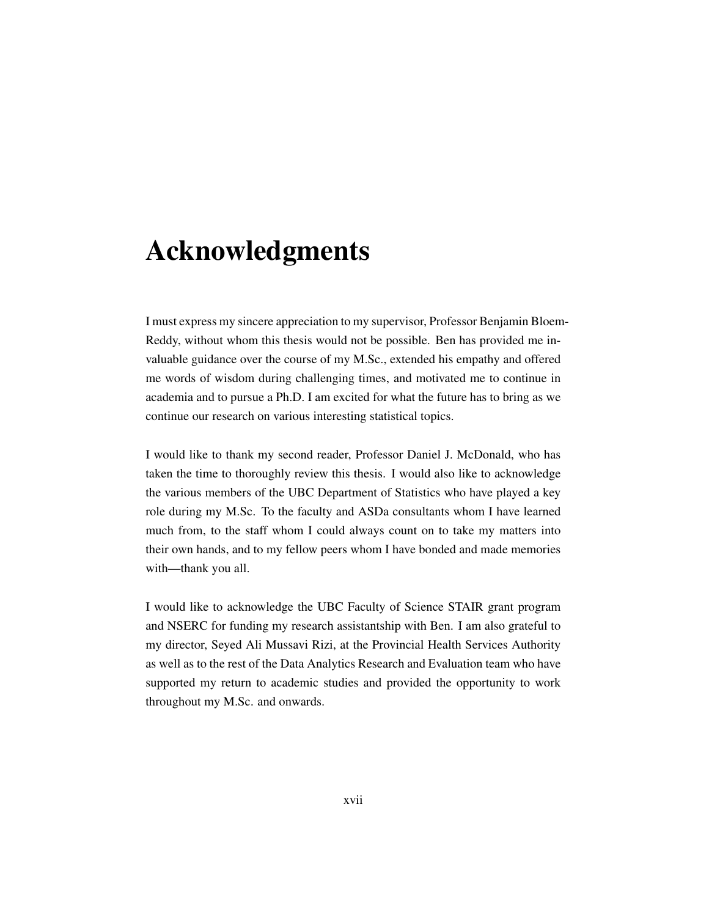## <span id="page-16-0"></span>Acknowledgments

I must express my sincere appreciation to my supervisor, Professor Benjamin Bloem-Reddy, without whom this thesis would not be possible. Ben has provided me invaluable guidance over the course of my M.Sc., extended his empathy and offered me words of wisdom during challenging times, and motivated me to continue in academia and to pursue a Ph.D. I am excited for what the future has to bring as we continue our research on various interesting statistical topics.

I would like to thank my second reader, Professor Daniel J. McDonald, who has taken the time to thoroughly review this thesis. I would also like to acknowledge the various members of the UBC Department of Statistics who have played a key role during my M.Sc. To the faculty and ASDa consultants whom I have learned much from, to the staff whom I could always count on to take my matters into their own hands, and to my fellow peers whom I have bonded and made memories with—thank you all.

I would like to acknowledge the UBC Faculty of Science STAIR grant program and NSERC for funding my research assistantship with Ben. I am also grateful to my director, Seyed Ali Mussavi Rizi, at the Provincial Health Services Authority as well as to the rest of the Data Analytics Research and Evaluation team who have supported my return to academic studies and provided the opportunity to work throughout my M.Sc. and onwards.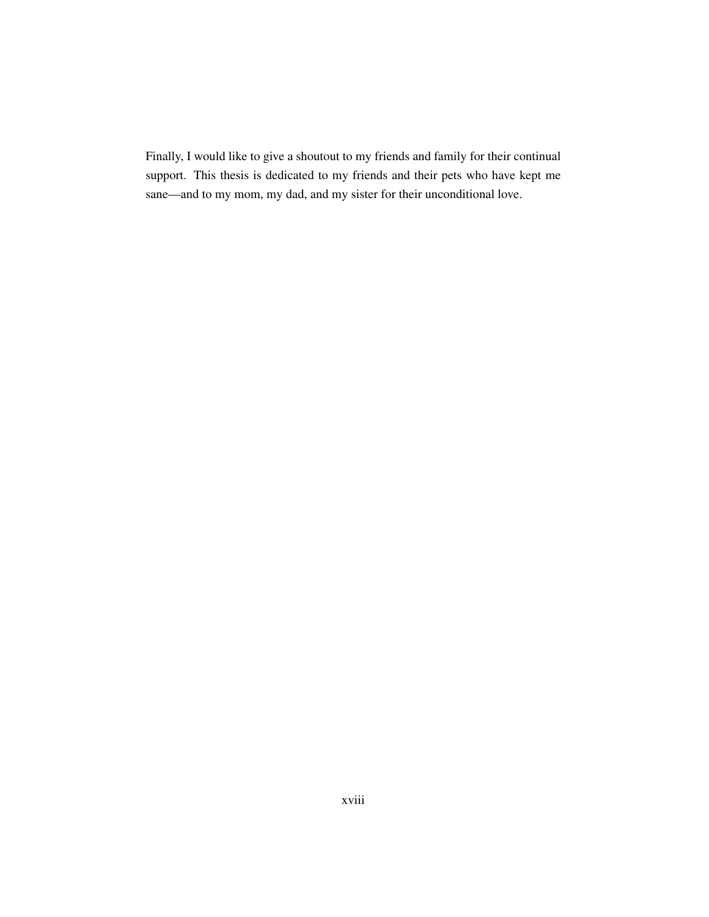Finally, I would like to give a shoutout to my friends and family for their continual support. This thesis is dedicated to my friends and their pets who have kept me sane—and to my mom, my dad, and my sister for their unconditional love.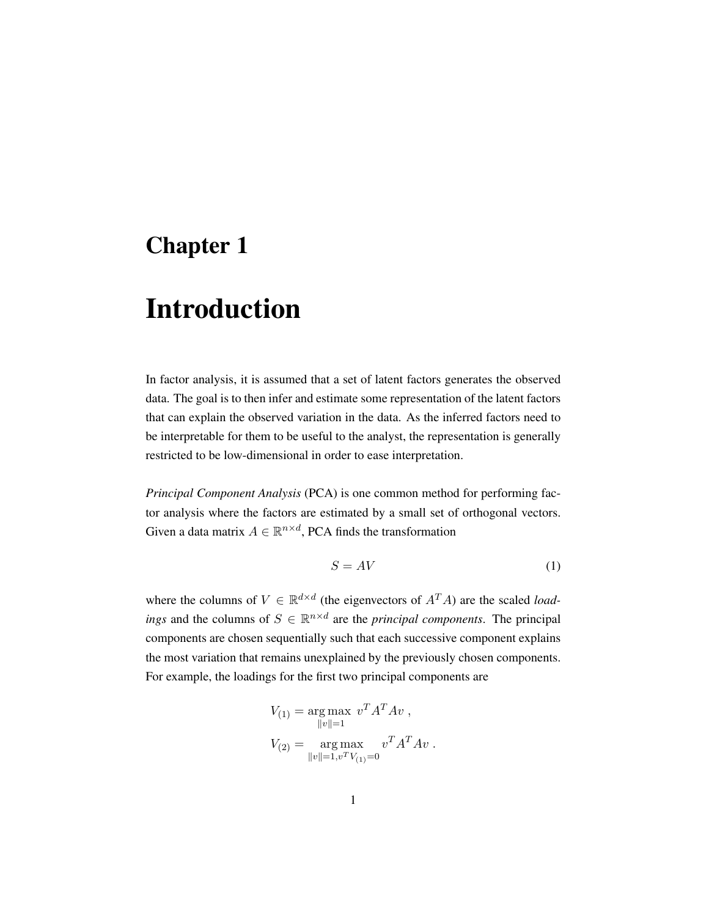### <span id="page-18-0"></span>Chapter 1

## Introduction

In factor analysis, it is assumed that a set of latent factors generates the observed data. The goal is to then infer and estimate some representation of the latent factors that can explain the observed variation in the data. As the inferred factors need to be interpretable for them to be useful to the analyst, the representation is generally restricted to be low-dimensional in order to ease interpretation.

*Principal Component Analysis* (PCA) is one common method for performing factor analysis where the factors are estimated by a small set of orthogonal vectors. Given a data matrix  $A \in \mathbb{R}^{n \times d}$ , PCA finds the transformation

<span id="page-18-1"></span>
$$
S = AV
$$
 (1)

where the columns of  $V \in \mathbb{R}^{d \times d}$  (the eigenvectors of  $A^T A$ ) are the scaled *loadings* and the columns of  $S \in \mathbb{R}^{n \times d}$  are the *principal components*. The principal components are chosen sequentially such that each successive component explains the most variation that remains unexplained by the previously chosen components. For example, the loadings for the first two principal components are

$$
V_{(1)} = \underset{\|v\|=1}{\arg \max} v^T A^T A v ,
$$
  

$$
V_{(2)} = \underset{\|v\|=1, v^T V_{(1)}=0}{\arg \max} v^T A^T A v .
$$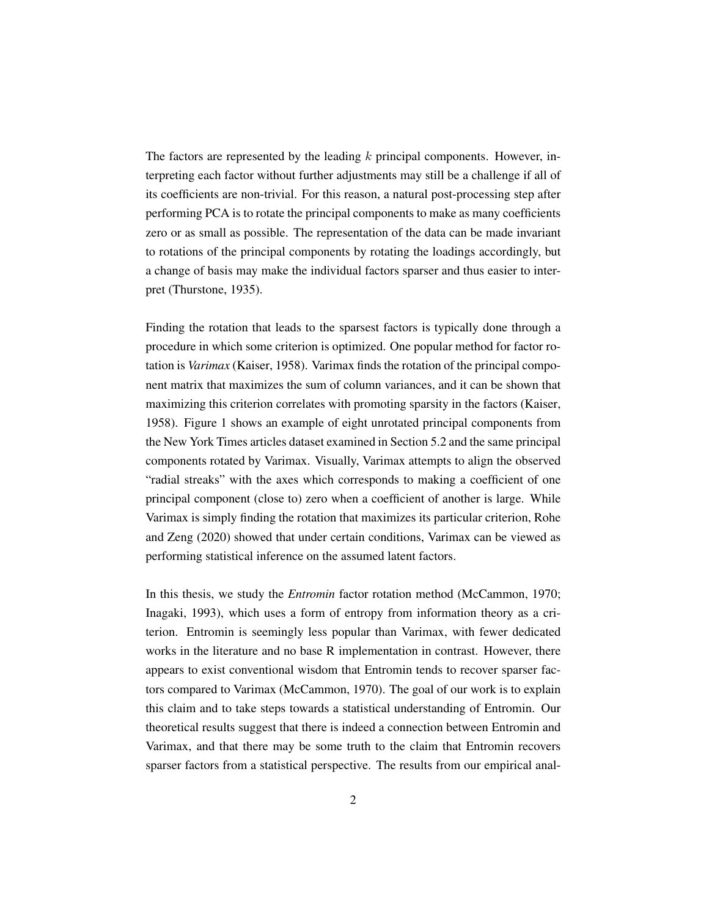The factors are represented by the leading  $k$  principal components. However, interpreting each factor without further adjustments may still be a challenge if all of its coefficients are non-trivial. For this reason, a natural post-processing step after performing PCA is to rotate the principal components to make as many coefficients zero or as small as possible. The representation of the data can be made invariant to rotations of the principal components by rotating the loadings accordingly, but a change of basis may make the individual factors sparser and thus easier to interpret [\(Thurstone,](#page-75-1) [1935\)](#page-75-1).

Finding the rotation that leads to the sparsest factors is typically done through a procedure in which some criterion is optimized. One popular method for factor rotation is *Varimax* [\(Kaiser,](#page-74-0) [1958\)](#page-74-0). Varimax finds the rotation of the principal component matrix that maximizes the sum of column variances, and it can be shown that maximizing this criterion correlates with promoting sparsity in the factors [\(Kaiser,](#page-74-0) [1958\)](#page-74-0). [Figure 1](#page-20-0) shows an example of eight unrotated principal components from the New York Times articles dataset examined in [Section 5.2](#page-63-0) and the same principal components rotated by Varimax. Visually, Varimax attempts to align the observed "radial streaks" with the axes which corresponds to making a coefficient of one principal component (close to) zero when a coefficient of another is large. While Varimax is simply finding the rotation that maximizes its particular criterion, [Rohe](#page-75-0) [and Zeng](#page-75-0) [\(2020\)](#page-75-0) showed that under certain conditions, Varimax can be viewed as performing statistical inference on the assumed latent factors.

In this thesis, we study the *Entromin* factor rotation method [\(McCammon,](#page-74-1) [1970;](#page-74-1) [Inagaki,](#page-74-2) [1993\)](#page-74-2), which uses a form of entropy from information theory as a criterion. Entromin is seemingly less popular than Varimax, with fewer dedicated works in the literature and no base R implementation in contrast. However, there appears to exist conventional wisdom that Entromin tends to recover sparser factors compared to Varimax [\(McCammon,](#page-74-1) [1970\)](#page-74-1). The goal of our work is to explain this claim and to take steps towards a statistical understanding of Entromin. Our theoretical results suggest that there is indeed a connection between Entromin and Varimax, and that there may be some truth to the claim that Entromin recovers sparser factors from a statistical perspective. The results from our empirical anal-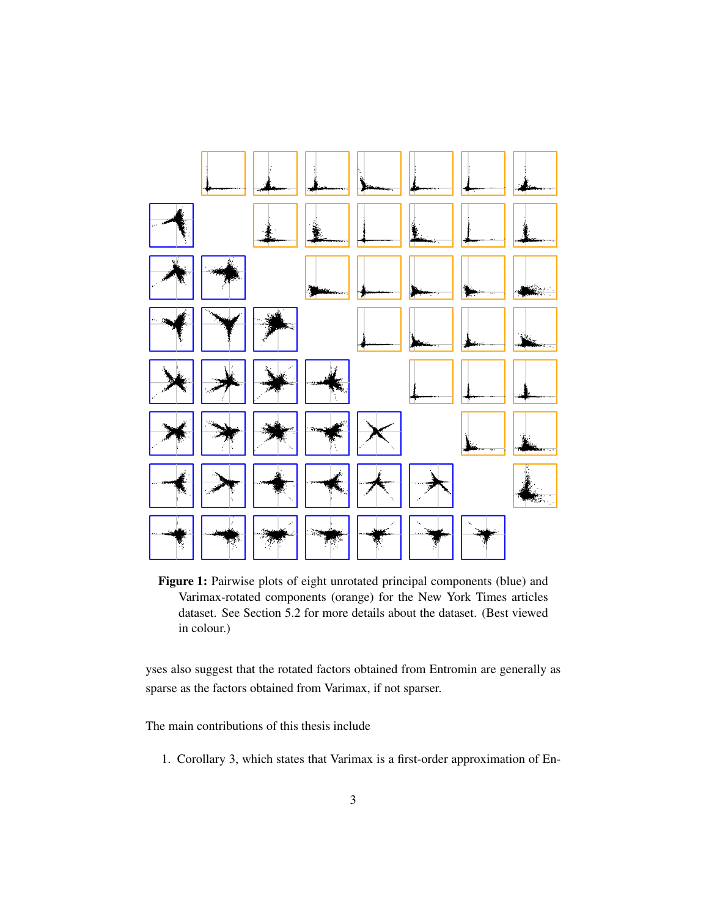<span id="page-20-0"></span>

Figure 1: Pairwise plots of eight unrotated principal components (blue) and Varimax-rotated components (orange) for the New York Times articles dataset. See [Section 5.2](#page-63-0) for more details about the dataset. (Best viewed in colour.)

yses also suggest that the rotated factors obtained from Entromin are generally as sparse as the factors obtained from Varimax, if not sparser.

The main contributions of this thesis include

1. [Corollary](#page-37-2) [3,](#page-37-2) which states that Varimax is a first-order approximation of En-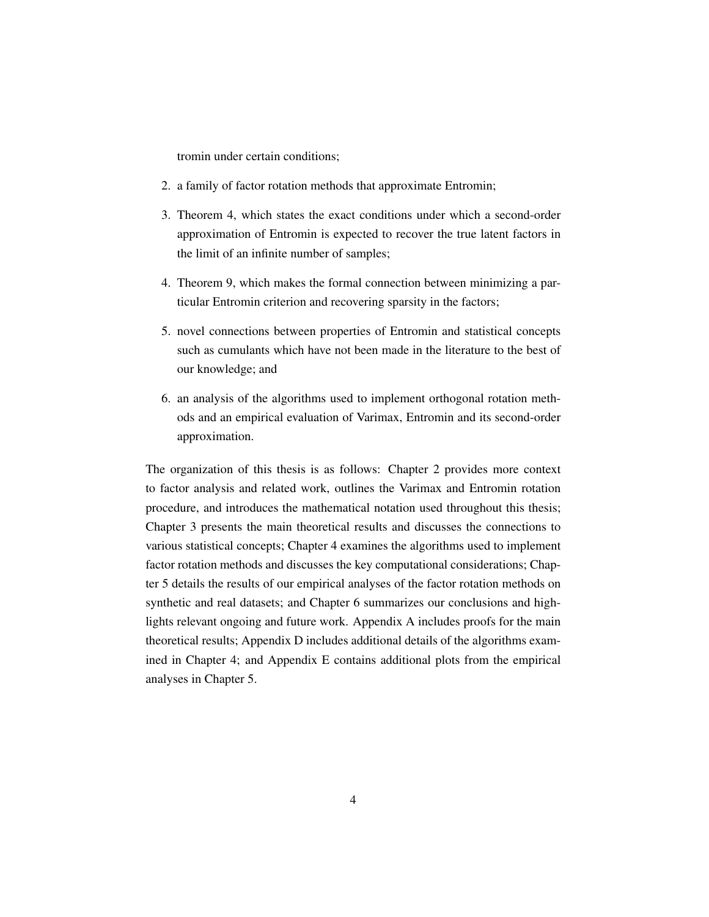tromin under certain conditions;

- 2. a family of factor rotation methods that approximate Entromin;
- 3. [Theorem 4,](#page-40-0) which states the exact conditions under which a second-order approximation of Entromin is expected to recover the true latent factors in the limit of an infinite number of samples;
- 4. [Theorem 9,](#page-46-0) which makes the formal connection between minimizing a particular Entromin criterion and recovering sparsity in the factors;
- 5. novel connections between properties of Entromin and statistical concepts such as cumulants which have not been made in the literature to the best of our knowledge; and
- 6. an analysis of the algorithms used to implement orthogonal rotation methods and an empirical evaluation of Varimax, Entromin and its second-order approximation.

The organization of this thesis is as follows: [Chapter 2](#page-22-0) provides more context to factor analysis and related work, outlines the Varimax and Entromin rotation procedure, and introduces the mathematical notation used throughout this thesis; [Chapter 3](#page-34-0) presents the main theoretical results and discusses the connections to various statistical concepts; [Chapter 4](#page-50-0) examines the algorithms used to implement factor rotation methods and discusses the key computational considerations; [Chap](#page-57-0)[ter 5](#page-57-0) details the results of our empirical analyses of the factor rotation methods on synthetic and real datasets; and [Chapter 6](#page-69-0) summarizes our conclusions and highlights relevant ongoing and future work. [Appendix A](#page-77-0) includes proofs for the main theoretical results; [Appendix D](#page-101-0) includes additional details of the algorithms examined in [Chapter 4;](#page-50-0) and [Appendix E](#page-106-0) contains additional plots from the empirical analyses in [Chapter 5.](#page-57-0)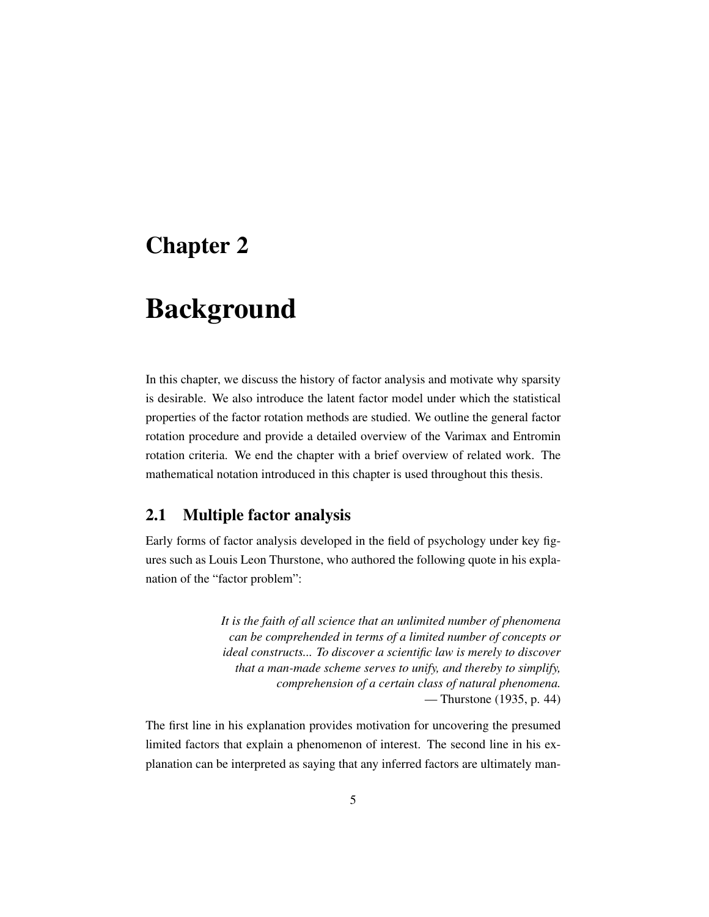### <span id="page-22-0"></span>Chapter 2

## Background

In this chapter, we discuss the history of factor analysis and motivate why sparsity is desirable. We also introduce the latent factor model under which the statistical properties of the factor rotation methods are studied. We outline the general factor rotation procedure and provide a detailed overview of the Varimax and Entromin rotation criteria. We end the chapter with a brief overview of related work. The mathematical notation introduced in this chapter is used throughout this thesis.

### <span id="page-22-1"></span>2.1 Multiple factor analysis

Early forms of factor analysis developed in the field of psychology under key figures such as Louis Leon Thurstone, who authored the following quote in his explanation of the "factor problem":

> *It is the faith of all science that an unlimited number of phenomena can be comprehended in terms of a limited number of concepts or ideal constructs... To discover a scientific law is merely to discover that a man-made scheme serves to unify, and thereby to simplify, comprehension of a certain class of natural phenomena.* — [Thurstone](#page-75-1) [\(1935,](#page-75-1) p. 44)

The first line in his explanation provides motivation for uncovering the presumed limited factors that explain a phenomenon of interest. The second line in his explanation can be interpreted as saying that any inferred factors are ultimately man-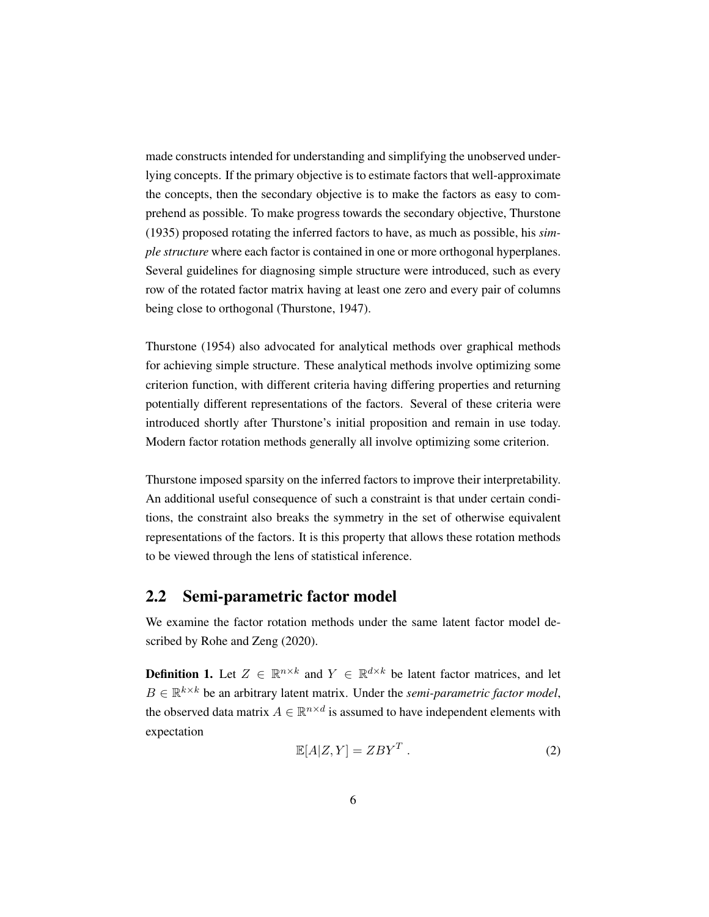made constructs intended for understanding and simplifying the unobserved underlying concepts. If the primary objective is to estimate factors that well-approximate the concepts, then the secondary objective is to make the factors as easy to comprehend as possible. To make progress towards the secondary objective, [Thurstone](#page-75-1) [\(1935\)](#page-75-1) proposed rotating the inferred factors to have, as much as possible, his *simple structure* where each factor is contained in one or more orthogonal hyperplanes. Several guidelines for diagnosing simple structure were introduced, such as every row of the rotated factor matrix having at least one zero and every pair of columns being close to orthogonal [\(Thurstone,](#page-76-0) [1947\)](#page-76-0).

[Thurstone](#page-76-1) [\(1954\)](#page-76-1) also advocated for analytical methods over graphical methods for achieving simple structure. These analytical methods involve optimizing some criterion function, with different criteria having differing properties and returning potentially different representations of the factors. Several of these criteria were introduced shortly after Thurstone's initial proposition and remain in use today. Modern factor rotation methods generally all involve optimizing some criterion.

Thurstone imposed sparsity on the inferred factors to improve their interpretability. An additional useful consequence of such a constraint is that under certain conditions, the constraint also breaks the symmetry in the set of otherwise equivalent representations of the factors. It is this property that allows these rotation methods to be viewed through the lens of statistical inference.

### <span id="page-23-0"></span>2.2 Semi-parametric factor model

We examine the factor rotation methods under the same latent factor model described by [Rohe and Zeng](#page-75-0) [\(2020\)](#page-75-0).

<span id="page-23-1"></span>**Definition 1.** Let  $Z \in \mathbb{R}^{n \times k}$  and  $Y \in \mathbb{R}^{d \times k}$  be latent factor matrices, and let  $B \in \mathbb{R}^{k \times k}$  be an arbitrary latent matrix. Under the *semi-parametric factor model*, the observed data matrix  $A \in \mathbb{R}^{n \times d}$  is assumed to have independent elements with expectation

<span id="page-23-2"></span>
$$
\mathbb{E}[A|Z,Y] = ZBY^T . \tag{2}
$$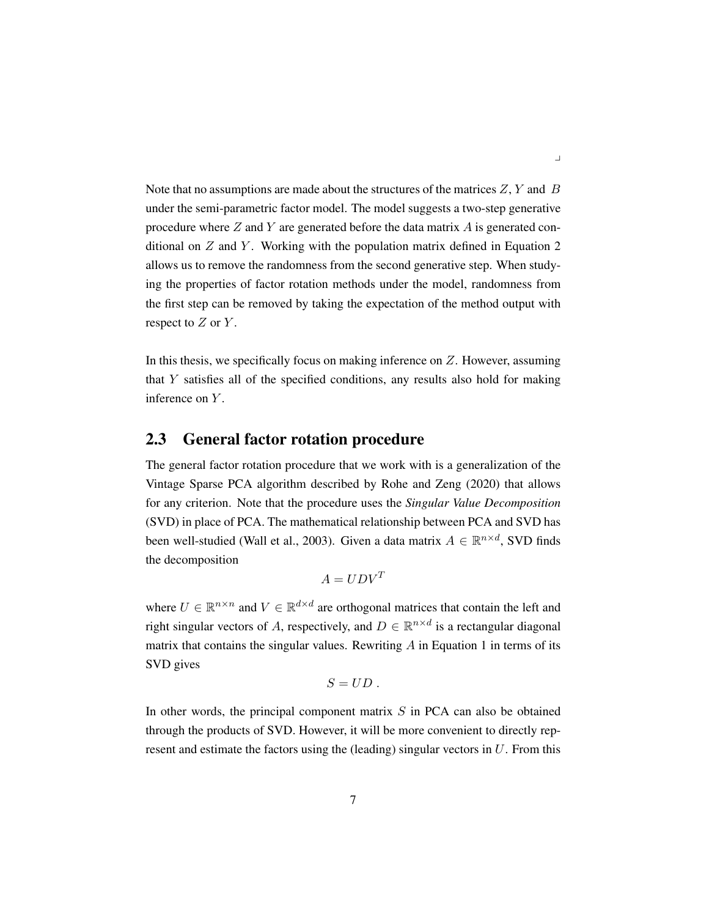Note that no assumptions are made about the structures of the matrices  $Z, Y$  and  $B$ under the semi-parametric factor model. The model suggests a two-step generative procedure where  $Z$  and  $Y$  are generated before the data matrix  $A$  is generated conditional on  $Z$  and  $Y$ . Working with the population matrix defined in [Equation 2](#page-23-2) allows us to remove the randomness from the second generative step. When studying the properties of factor rotation methods under the model, randomness from the first step can be removed by taking the expectation of the method output with respect to  $Z$  or  $Y$ .

In this thesis, we specifically focus on making inference on Z. However, assuming that  $Y$  satisfies all of the specified conditions, any results also hold for making inference on Y.

### <span id="page-24-0"></span>2.3 General factor rotation procedure

The general factor rotation procedure that we work with is a generalization of the Vintage Sparse PCA algorithm described by [Rohe and Zeng](#page-75-0) [\(2020\)](#page-75-0) that allows for any criterion. Note that the procedure uses the *Singular Value Decomposition* (SVD) in place of PCA. The mathematical relationship between PCA and SVD has been well-studied [\(Wall et al.,](#page-76-2) [2003\)](#page-76-2). Given a data matrix  $A \in \mathbb{R}^{n \times d}$ , SVD finds the decomposition

$$
A = UDV^T
$$

where  $U \in \mathbb{R}^{n \times n}$  and  $V \in \mathbb{R}^{d \times d}$  are orthogonal matrices that contain the left and right singular vectors of A, respectively, and  $D \in \mathbb{R}^{n \times d}$  is a rectangular diagonal matrix that contains the singular values. Rewriting  $A$  in [Equation 1](#page-18-1) in terms of its SVD gives

$$
S=UD.
$$

In other words, the principal component matrix  $S$  in PCA can also be obtained through the products of SVD. However, it will be more convenient to directly represent and estimate the factors using the (leading) singular vectors in  $U$ . From this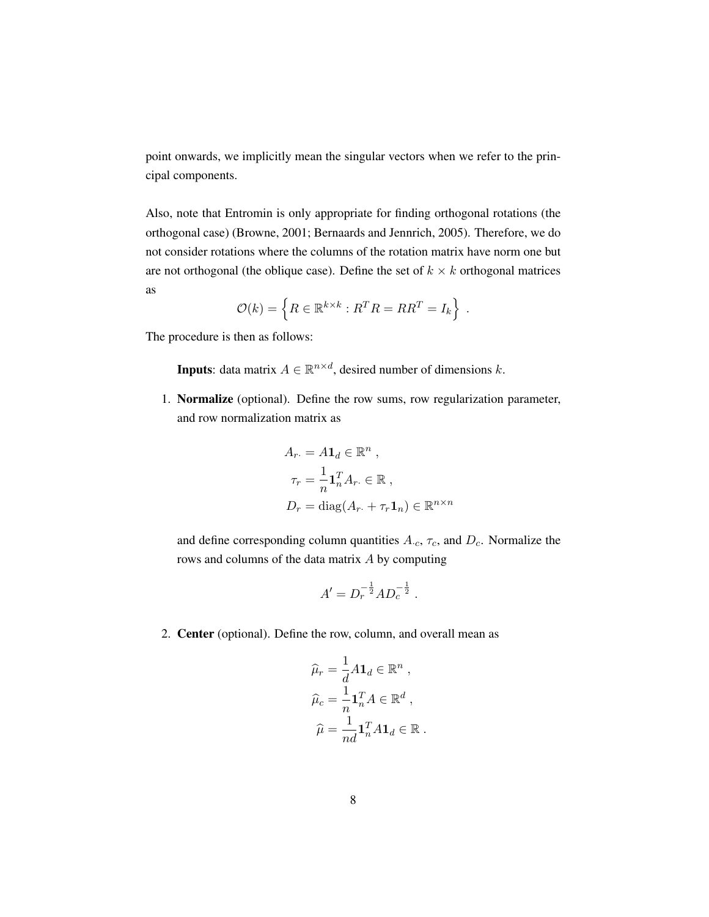point onwards, we implicitly mean the singular vectors when we refer to the principal components.

Also, note that Entromin is only appropriate for finding orthogonal rotations (the orthogonal case) [\(Browne,](#page-73-1) [2001;](#page-73-1) [Bernaards and Jennrich,](#page-73-2) [2005\)](#page-73-2). Therefore, we do not consider rotations where the columns of the rotation matrix have norm one but are not orthogonal (the oblique case). Define the set of  $k \times k$  orthogonal matrices as

$$
\mathcal{O}(k) = \left\{ R \in \mathbb{R}^{k \times k} : R^T R = R R^T = I_k \right\} .
$$

The procedure is then as follows:

**Inputs**: data matrix  $A \in \mathbb{R}^{n \times d}$ , desired number of dimensions k.

1. Normalize (optional). Define the row sums, row regularization parameter, and row normalization matrix as

$$
A_r = A\mathbf{1}_d \in \mathbb{R}^n ,
$$
  
\n
$$
\tau_r = \frac{1}{n} \mathbf{1}_n^T A_r \in \mathbb{R} ,
$$
  
\n
$$
D_r = \text{diag}(A_r + \tau_r \mathbf{1}_n) \in \mathbb{R}^{n \times n}
$$

and define corresponding column quantities  $A_c$ ,  $\tau_c$ , and  $D_c$ . Normalize the rows and columns of the data matrix A by computing

$$
A' = D_r^{-\frac{1}{2}} A D_c^{-\frac{1}{2}} .
$$

2. Center (optional). Define the row, column, and overall mean as

$$
\widehat{\mu}_r = \frac{1}{d} A \mathbf{1}_d \in \mathbb{R}^n ,
$$
  

$$
\widehat{\mu}_c = \frac{1}{n} \mathbf{1}_n^T A \in \mathbb{R}^d ,
$$
  

$$
\widehat{\mu} = \frac{1}{nd} \mathbf{1}_n^T A \mathbf{1}_d \in \mathbb{R} .
$$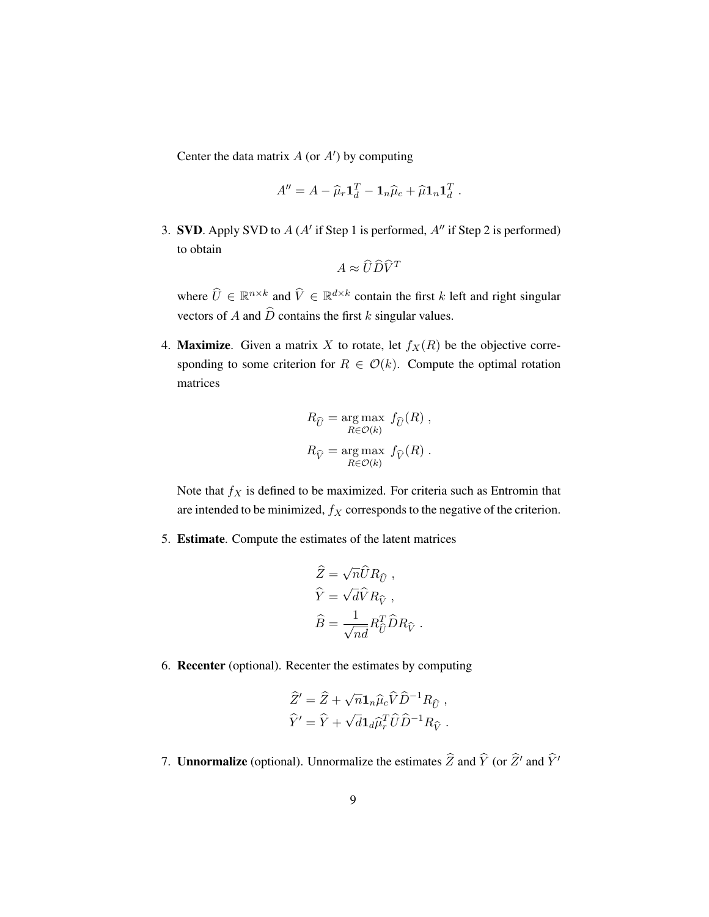Center the data matrix  $A$  (or  $A'$ ) by computing

$$
A'' = A - \widehat{\mu}_r \mathbf{1}_d^T - \mathbf{1}_n \widehat{\mu}_c + \widehat{\mu} \mathbf{1}_n \mathbf{1}_d^T.
$$

3. SVD. Apply SVD to  $A(A'$  if Step 1 is performed,  $A''$  if Step 2 is performed) to obtain

$$
A \approx \widehat{U}\widehat{D}\widehat{V}^T
$$

where  $\hat{U} \in \mathbb{R}^{n \times k}$  and  $\hat{V} \in \mathbb{R}^{d \times k}$  contain the first k left and right singular vectors of A and  $\hat{D}$  contains the first k singular values.

4. **Maximize.** Given a matrix X to rotate, let  $f_X(R)$  be the objective corresponding to some criterion for  $R \in \mathcal{O}(k)$ . Compute the optimal rotation matrices

$$
R_{\widehat{U}} = \underset{R \in \mathcal{O}(k)}{\arg \max} f_{\widehat{U}}(R) ,
$$
  

$$
R_{\widehat{V}} = \underset{R \in \mathcal{O}(k)}{\arg \max} f_{\widehat{V}}(R) .
$$

Note that  $f_X$  is defined to be maximized. For criteria such as Entromin that are intended to be minimized,  $f_X$  corresponds to the negative of the criterion.

5. Estimate. Compute the estimates of the latent matrices

$$
\label{eq:Z} \begin{aligned} \widehat{Z} &= \sqrt{n} \widehat{U} R_{\widehat{U}} \;, \\ \widehat{Y} &= \sqrt{d} \widehat{V} R_{\widehat{V}} \;, \\ \widehat{B} &= \frac{1}{\sqrt{n d}} R_{\widehat{U}}^T \widehat{D} R_{\widehat{V}} \;. \end{aligned}
$$

6. Recenter (optional). Recenter the estimates by computing

$$
\widehat{Z}' = \widehat{Z} + \sqrt{n} \mathbf{1}_n \widehat{\mu}_c \widehat{V} \widehat{D}^{-1} R_{\widehat{U}} ,
$$
  

$$
\widehat{Y}' = \widehat{Y} + \sqrt{d} \mathbf{1}_d \widehat{\mu}_r^T \widehat{U} \widehat{D}^{-1} R_{\widehat{V}} .
$$

7. **Unnormalize** (optional). Unnormalize the estimates  $\hat{Z}$  and  $\hat{Y}$  (or  $\hat{Z}'$  and  $\hat{Y}'$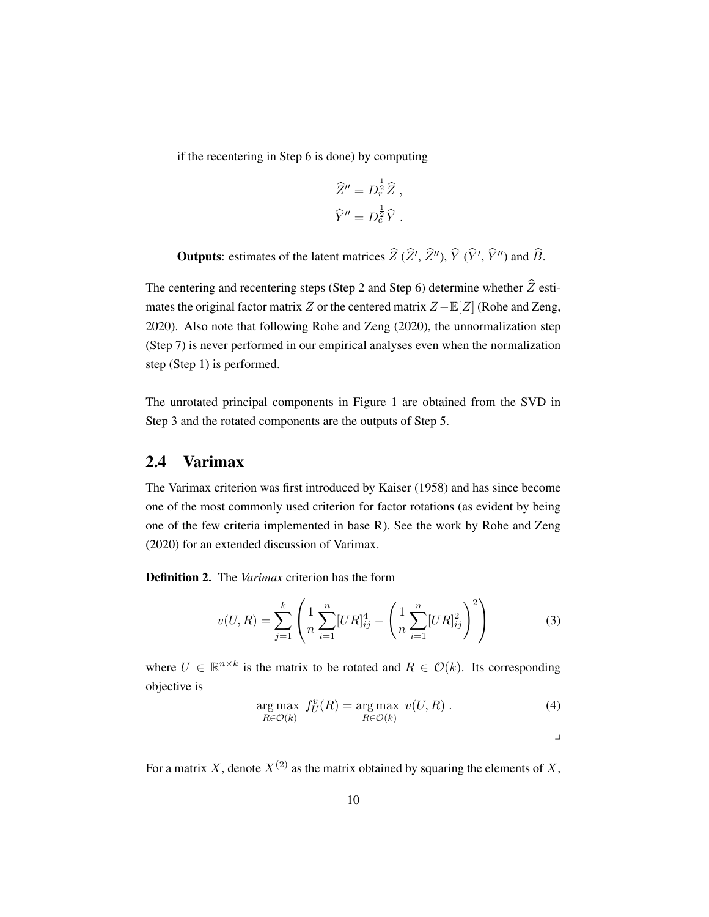if the recentering in Step 6 is done) by computing

$$
\widehat{Z}'' = D_r^{\frac{1}{2}} \widehat{Z} ,
$$
  

$$
\widehat{Y}'' = D_c^{\frac{1}{2}} \widehat{Y} .
$$

**Outputs**: estimates of the latent matrices  $\hat{Z}$  ( $\hat{Z}$ ',  $\hat{Z}$ ''),  $\hat{Y}$  ( $\hat{Y}$ ',  $\hat{Y}$ '') and  $\hat{B}$ .

The centering and recentering steps (Step 2 and Step 6) determine whether  $\widehat{Z}$  estimates the original factor matrix Z or the centered matrix  $Z - E[Z]$  [\(Rohe and Zeng,](#page-75-0) [2020\)](#page-75-0). Also note that following [Rohe and Zeng](#page-75-0) [\(2020\)](#page-75-0), the unnormalization step (Step 7) is never performed in our empirical analyses even when the normalization step (Step 1) is performed.

The unrotated principal components in [Figure 1](#page-20-0) are obtained from the SVD in Step 3 and the rotated components are the outputs of Step 5.

### <span id="page-27-0"></span>2.4 Varimax

The Varimax criterion was first introduced by [Kaiser](#page-74-0) [\(1958\)](#page-74-0) and has since become one of the most commonly used criterion for factor rotations (as evident by being one of the few criteria implemented in base R). See the work by [Rohe and Zeng](#page-75-0) [\(2020\)](#page-75-0) for an extended discussion of Varimax.

<span id="page-27-1"></span>Definition 2. The *Varimax* criterion has the form

<span id="page-27-2"></span>
$$
v(U,R) = \sum_{j=1}^{k} \left( \frac{1}{n} \sum_{i=1}^{n} [UR]_{ij}^{4} - \left( \frac{1}{n} \sum_{i=1}^{n} [UR]_{ij}^{2} \right)^{2} \right)
$$
(3)

where  $U \in \mathbb{R}^{n \times k}$  is the matrix to be rotated and  $R \in \mathcal{O}(k)$ . Its corresponding objective is

$$
\underset{R \in \mathcal{O}(k)}{\arg \max} \ f_U^v(R) = \underset{R \in \mathcal{O}(k)}{\arg \max} \ v(U, R) . \tag{4}
$$

 $\overline{a}$ 

For a matrix X, denote  $X^{(2)}$  as the matrix obtained by squaring the elements of X,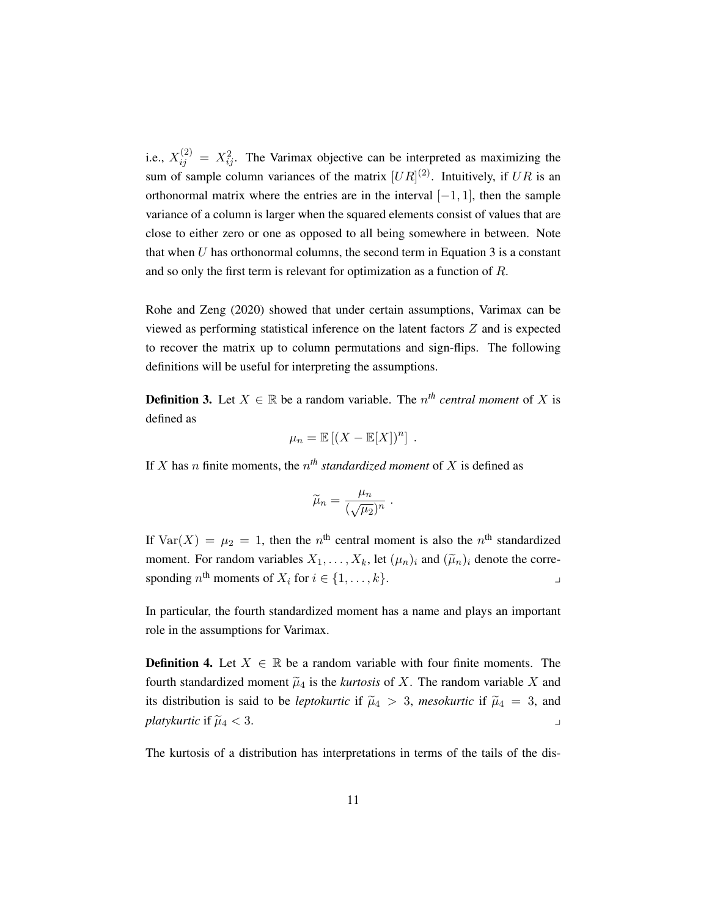i.e.,  $X_{ij}^{(2)} = X_{ij}^2$ . The Varimax objective can be interpreted as maximizing the sum of sample column variances of the matrix  $[UR]^{(2)}$ . Intuitively, if UR is an orthonormal matrix where the entries are in the interval  $[-1, 1]$ , then the sample variance of a column is larger when the squared elements consist of values that are close to either zero or one as opposed to all being somewhere in between. Note that when  $U$  has orthonormal columns, the second term in Equation  $3$  is a constant and so only the first term is relevant for optimization as a function of  $R$ .

[Rohe and Zeng](#page-75-0) [\(2020\)](#page-75-0) showed that under certain assumptions, Varimax can be viewed as performing statistical inference on the latent factors Z and is expected to recover the matrix up to column permutations and sign-flips. The following definitions will be useful for interpreting the assumptions.

<span id="page-28-0"></span>**Definition 3.** Let  $X \in \mathbb{R}$  be a random variable. The  $n^{th}$  *central moment* of X is defined as

$$
\mu_n = \mathbb{E}[(X - \mathbb{E}[X])^n].
$$

If X has *n* finite moments, the  $n<sup>th</sup>$  *standardized moment* of X is defined as

$$
\widetilde{\mu}_n = \frac{\mu_n}{(\sqrt{\mu_2})^n} \ .
$$

If  $Var(X) = \mu_2 = 1$ , then the  $n<sup>th</sup>$  central moment is also the  $n<sup>th</sup>$  standardized moment. For random variables  $X_1, \ldots, X_k$ , let  $(\mu_n)_i$  and  $(\widetilde{\mu}_n)_i$  denote the corresponding  $n^{\text{th}}$  moments of  $X_i$  for  $i \in \{1, ..., k\}$ .

In particular, the fourth standardized moment has a name and plays an important role in the assumptions for Varimax.

<span id="page-28-1"></span>**Definition 4.** Let  $X \in \mathbb{R}$  be a random variable with four finite moments. The fourth standardized moment  $\tilde{\mu}_4$  is the *kurtosis* of X. The random variable X and its distribution is said to be *leptokurtic* if  $\tilde{\mu}_4 > 3$ , *mesokurtic* if  $\tilde{\mu}_4 = 3$ , and *platykurtic* if  $\widetilde{\mu}_4 < 3$ .

The kurtosis of a distribution has interpretations in terms of the tails of the dis-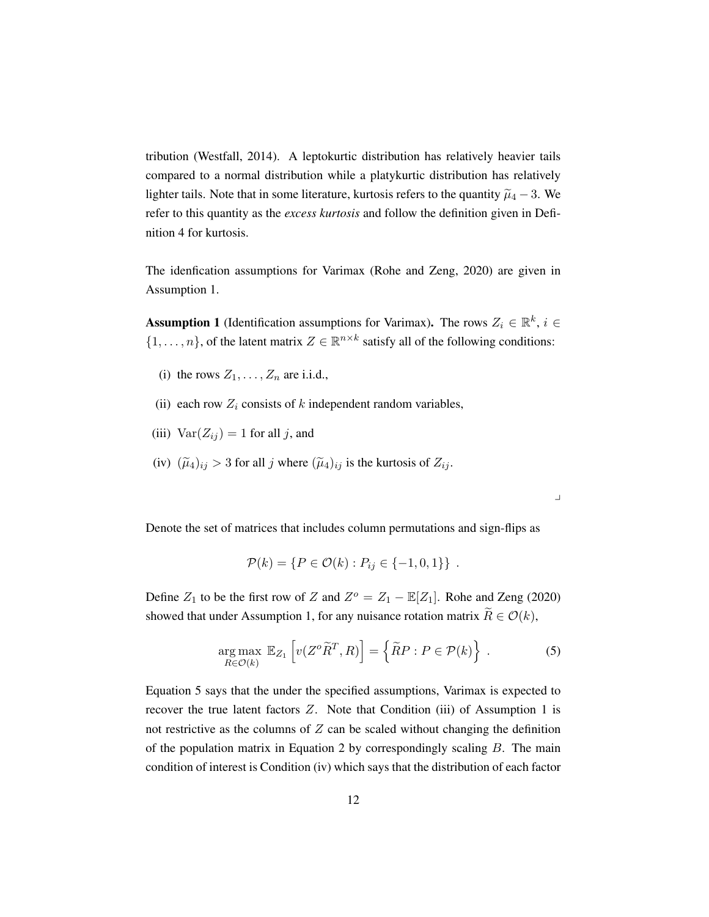tribution [\(Westfall,](#page-76-3) [2014\)](#page-76-3). A leptokurtic distribution has relatively heavier tails compared to a normal distribution while a platykurtic distribution has relatively lighter tails. Note that in some literature, kurtosis refers to the quantity  $\tilde{\mu}_4 - 3$ . We refer to this quantity as the *excess kurtosis* and follow the definition given in [Defi](#page-28-1)[nition 4](#page-28-1) for kurtosis.

The idenfication assumptions for Varimax [\(Rohe and Zeng,](#page-75-0) [2020\)](#page-75-0) are given in [Assumption 1.](#page-29-0)

<span id="page-29-0"></span>**Assumption 1** (Identification assumptions for Varimax). The rows  $Z_i \in \mathbb{R}^k$ ,  $i \in$  $\{1, \ldots, n\}$ , of the latent matrix  $Z \in \mathbb{R}^{n \times k}$  satisfy all of the following conditions:

- (i) the rows  $Z_1, \ldots, Z_n$  are i.i.d.,
- (ii) each row  $Z_i$  consists of k independent random variables,
- (iii)  $Var(Z_{ij}) = 1$  for all j, and
- (iv)  $(\widetilde{\mu}_4)_{ij} > 3$  for all j where  $(\widetilde{\mu}_4)_{ij}$  is the kurtosis of  $Z_{ij}$ .

Denote the set of matrices that includes column permutations and sign-flips as

$$
\mathcal{P}(k) = \{ P \in \mathcal{O}(k) : P_{ij} \in \{ -1, 0, 1 \} \} .
$$

Define  $Z_1$  to be the first row of Z and  $Z^{\circ} = Z_1 - \mathbb{E}[Z_1]$ . [Rohe and Zeng](#page-75-0) [\(2020\)](#page-75-0) showed that under [Assumption 1,](#page-29-0) for any nuisance rotation matrix  $\tilde{R} \in \mathcal{O}(k)$ ,

<span id="page-29-1"></span>
$$
\underset{R\in\mathcal{O}(k)}{\arg\max} \mathbb{E}_{Z_1} \left[ v(Z^o \widetilde{R}^T, R) \right] = \left\{ \widetilde{R}P : P \in \mathcal{P}(k) \right\} \ . \tag{5}
$$

 $\overline{\phantom{a}}$ 

[Equation 5](#page-29-1) says that the under the specified assumptions, Varimax is expected to recover the true latent factors  $Z$ . Note that Condition (iii) of [Assumption 1](#page-29-0) is not restrictive as the columns of  $Z$  can be scaled without changing the definition of the population matrix in [Equation 2](#page-23-2) by correspondingly scaling  $B$ . The main condition of interest is Condition (iv) which says that the distribution of each factor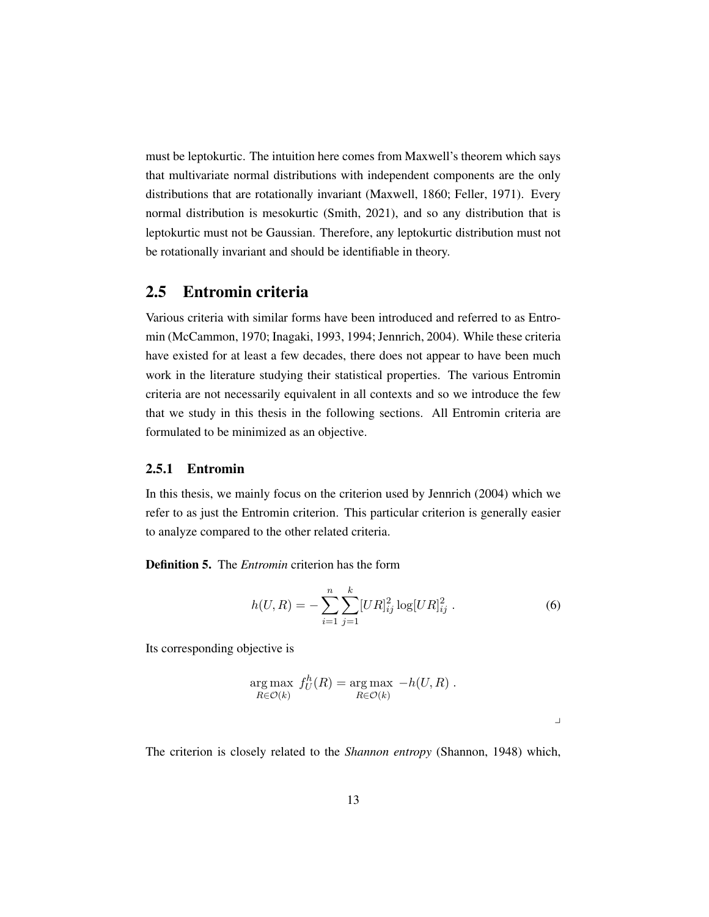must be leptokurtic. The intuition here comes from Maxwell's theorem which says that multivariate normal distributions with independent components are the only distributions that are rotationally invariant [\(Maxwell,](#page-74-3) [1860;](#page-74-3) [Feller,](#page-73-3) [1971\)](#page-73-3). Every normal distribution is mesokurtic [\(Smith,](#page-75-2) [2021\)](#page-75-2), and so any distribution that is leptokurtic must not be Gaussian. Therefore, any leptokurtic distribution must not be rotationally invariant and should be identifiable in theory.

#### <span id="page-30-0"></span>2.5 Entromin criteria

Various criteria with similar forms have been introduced and referred to as Entromin [\(McCammon,](#page-74-1) [1970;](#page-74-1) [Inagaki,](#page-74-2) [1993,](#page-74-2) [1994;](#page-74-4) [Jennrich,](#page-74-5) [2004\)](#page-74-5). While these criteria have existed for at least a few decades, there does not appear to have been much work in the literature studying their statistical properties. The various Entromin criteria are not necessarily equivalent in all contexts and so we introduce the few that we study in this thesis in the following sections. All Entromin criteria are formulated to be minimized as an objective.

#### <span id="page-30-1"></span>2.5.1 Entromin

In this thesis, we mainly focus on the criterion used by [Jennrich](#page-74-5) [\(2004\)](#page-74-5) which we refer to as just the Entromin criterion. This particular criterion is generally easier to analyze compared to the other related criteria.

<span id="page-30-2"></span>Definition 5. The *Entromin* criterion has the form

<span id="page-30-3"></span>
$$
h(U,R) = -\sum_{i=1}^{n} \sum_{j=1}^{k} [UR]_{ij}^{2} \log [UR]_{ij}^{2} .
$$
 (6)

Its corresponding objective is

$$
\underset{R \in \mathcal{O}(k)}{\arg \max} f_U^h(R) = \underset{R \in \mathcal{O}(k)}{\arg \max} -h(U, R) .
$$

 $\overline{a}$ 

The criterion is closely related to the *Shannon entropy* [\(Shannon,](#page-75-3) [1948\)](#page-75-3) which,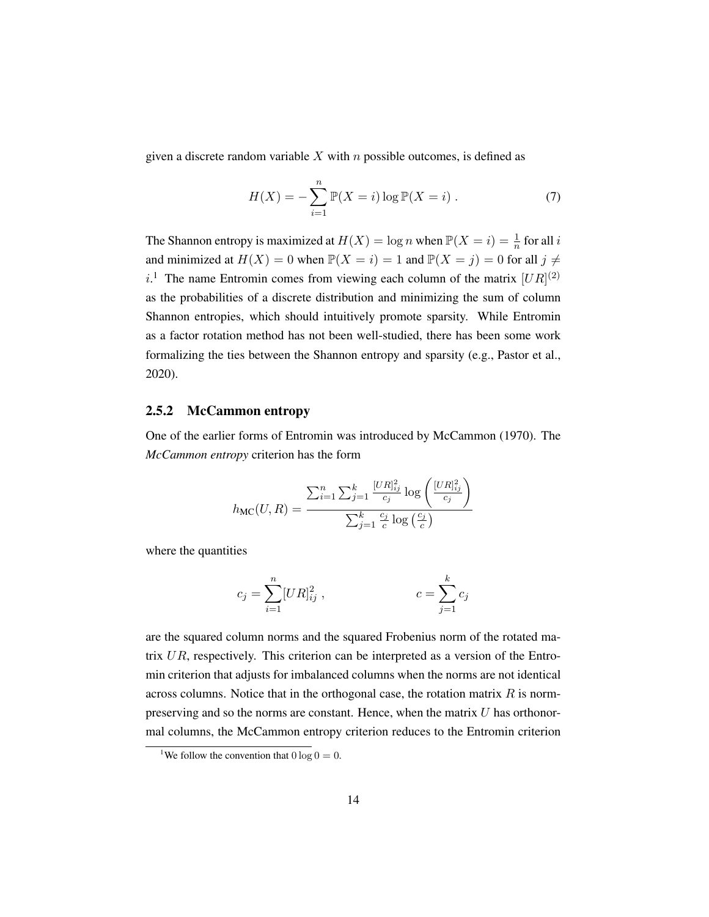given a discrete random variable  $X$  with  $n$  possible outcomes, is defined as

$$
H(X) = -\sum_{i=1}^{n} \mathbb{P}(X = i) \log \mathbb{P}(X = i)
$$
 (7)

The Shannon entropy is maximized at  $H(X) = \log n$  when  $\mathbb{P}(X = i) = \frac{1}{n}$  for all i and minimized at  $H(X) = 0$  when  $\mathbb{P}(X = i) = 1$  and  $\mathbb{P}(X = j) = 0$  for all  $j \neq j$ i.<sup>[1](#page-31-1)</sup> The name Entromin comes from viewing each column of the matrix  $[UR]^{(2)}$ as the probabilities of a discrete distribution and minimizing the sum of column Shannon entropies, which should intuitively promote sparsity. While Entromin as a factor rotation method has not been well-studied, there has been some work formalizing the ties between the Shannon entropy and sparsity (e.g., [Pastor et al.,](#page-75-4) [2020\)](#page-75-4).

#### <span id="page-31-0"></span>2.5.2 McCammon entropy

One of the earlier forms of Entromin was introduced by [McCammon](#page-74-1) [\(1970\)](#page-74-1). The *McCammon entropy* criterion has the form

$$
h_{\text{MC}}(U,R) = \frac{\sum_{i=1}^{n} \sum_{j=1}^{k} \frac{[UR]_{ij}^2}{c_j} \log\left(\frac{[UR]_{ij}^2}{c_j}\right)}{\sum_{j=1}^{k} \frac{c_j}{c} \log\left(\frac{c_j}{c}\right)}
$$

where the quantities

$$
c_j = \sum_{i=1}^n [UR]_{ij}^2 , \qquad \qquad c = \sum_{j=1}^k c_j
$$

are the squared column norms and the squared Frobenius norm of the rotated matrix  $UR$ , respectively. This criterion can be interpreted as a version of the Entromin criterion that adjusts for imbalanced columns when the norms are not identical across columns. Notice that in the orthogonal case, the rotation matrix  $R$  is normpreserving and so the norms are constant. Hence, when the matrix  $U$  has orthonormal columns, the McCammon entropy criterion reduces to the Entromin criterion

<span id="page-31-1"></span><sup>&</sup>lt;sup>1</sup>We follow the convention that  $0 \log 0 = 0$ .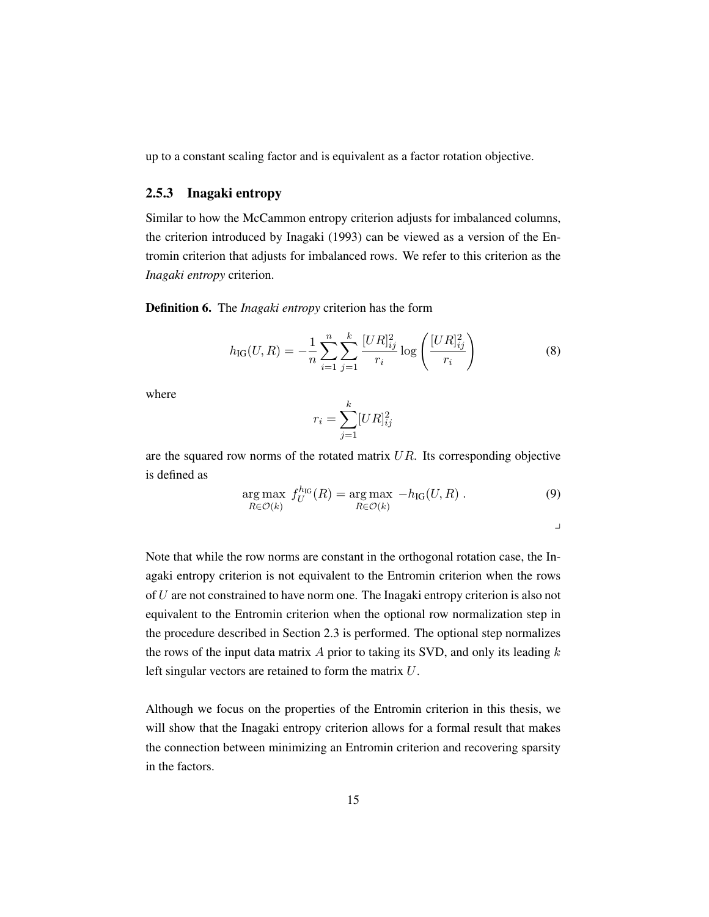<span id="page-32-0"></span>up to a constant scaling factor and is equivalent as a factor rotation objective.

#### 2.5.3 Inagaki entropy

Similar to how the McCammon entropy criterion adjusts for imbalanced columns, the criterion introduced by [Inagaki](#page-74-2) [\(1993\)](#page-74-2) can be viewed as a version of the Entromin criterion that adjusts for imbalanced rows. We refer to this criterion as the *Inagaki entropy* criterion.

<span id="page-32-1"></span>Definition 6. The *Inagaki entropy* criterion has the form

$$
h_{\rm IG}(U,R) = -\frac{1}{n} \sum_{i=1}^{n} \sum_{j=1}^{k} \frac{[UR]_{ij}^2}{r_i} \log \left(\frac{[UR]_{ij}^2}{r_i}\right)
$$
(8)

where

$$
r_i = \sum_{j=1}^k [UR]_{ij}^2
$$

are the squared row norms of the rotated matrix  $UR$ . Its corresponding objective is defined as

$$
\underset{R \in \mathcal{O}(k)}{\arg \max} \ f_U^{h_{\text{IG}}}(R) = \underset{R \in \mathcal{O}(k)}{\arg \max} \ -h_{\text{IG}}(U, R) \ . \tag{9}
$$

 $\mathbf{I}$ 

Note that while the row norms are constant in the orthogonal rotation case, the Inagaki entropy criterion is not equivalent to the Entromin criterion when the rows of U are not constrained to have norm one. The Inagaki entropy criterion is also not equivalent to the Entromin criterion when the optional row normalization step in the procedure described in [Section 2.3](#page-24-0) is performed. The optional step normalizes the rows of the input data matrix  $A$  prior to taking its SVD, and only its leading  $k$ left singular vectors are retained to form the matrix U.

Although we focus on the properties of the Entromin criterion in this thesis, we will show that the Inagaki entropy criterion allows for a formal result that makes the connection between minimizing an Entromin criterion and recovering sparsity in the factors.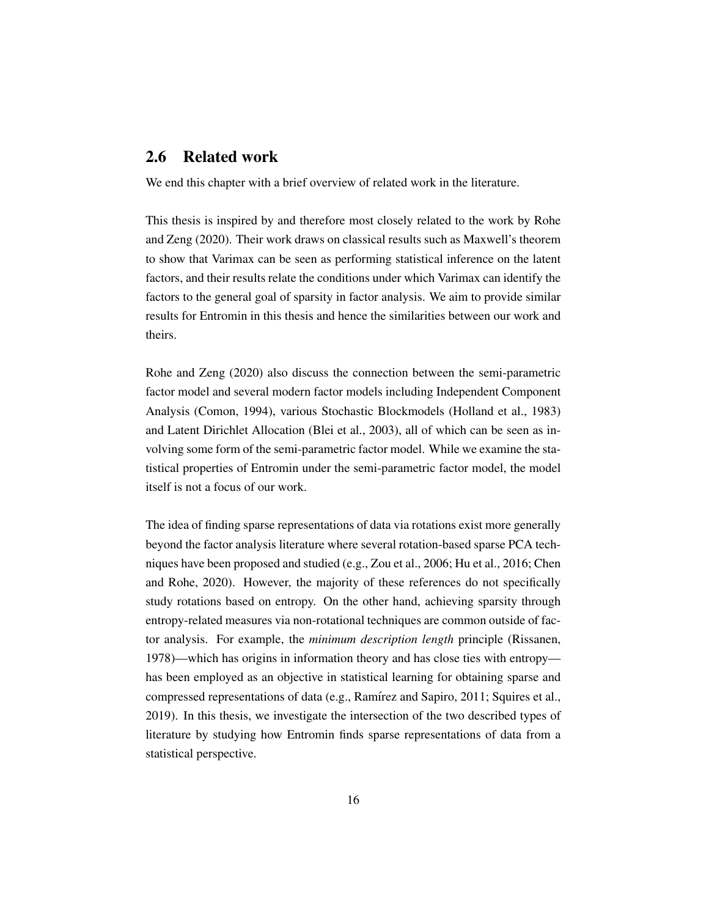#### <span id="page-33-0"></span>2.6 Related work

We end this chapter with a brief overview of related work in the literature.

This thesis is inspired by and therefore most closely related to the work by [Rohe](#page-75-0) [and Zeng](#page-75-0) [\(2020\)](#page-75-0). Their work draws on classical results such as Maxwell's theorem to show that Varimax can be seen as performing statistical inference on the latent factors, and their results relate the conditions under which Varimax can identify the factors to the general goal of sparsity in factor analysis. We aim to provide similar results for Entromin in this thesis and hence the similarities between our work and theirs.

[Rohe and Zeng](#page-75-0) [\(2020\)](#page-75-0) also discuss the connection between the semi-parametric factor model and several modern factor models including Independent Component Analysis [\(Comon,](#page-73-4) [1994\)](#page-73-4), various Stochastic Blockmodels [\(Holland et al.,](#page-74-6) [1983\)](#page-74-6) and Latent Dirichlet Allocation [\(Blei et al.,](#page-73-5) [2003\)](#page-73-5), all of which can be seen as involving some form of the semi-parametric factor model. While we examine the statistical properties of Entromin under the semi-parametric factor model, the model itself is not a focus of our work.

The idea of finding sparse representations of data via rotations exist more generally beyond the factor analysis literature where several rotation-based sparse PCA techniques have been proposed and studied (e.g., [Zou et al.,](#page-76-4) [2006;](#page-76-4) [Hu et al.,](#page-74-7) [2016;](#page-74-7) [Chen](#page-73-6) [and Rohe,](#page-73-6) [2020\)](#page-73-6). However, the majority of these references do not specifically study rotations based on entropy. On the other hand, achieving sparsity through entropy-related measures via non-rotational techniques are common outside of factor analysis. For example, the *minimum description length* principle [\(Rissanen,](#page-75-5) [1978\)](#page-75-5)—which has origins in information theory and has close ties with entropy has been employed as an objective in statistical learning for obtaining sparse and compressed representations of data (e.g., Ramírez and Sapiro, [2011;](#page-75-6) [Squires et al.,](#page-75-7) [2019\)](#page-75-7). In this thesis, we investigate the intersection of the two described types of literature by studying how Entromin finds sparse representations of data from a statistical perspective.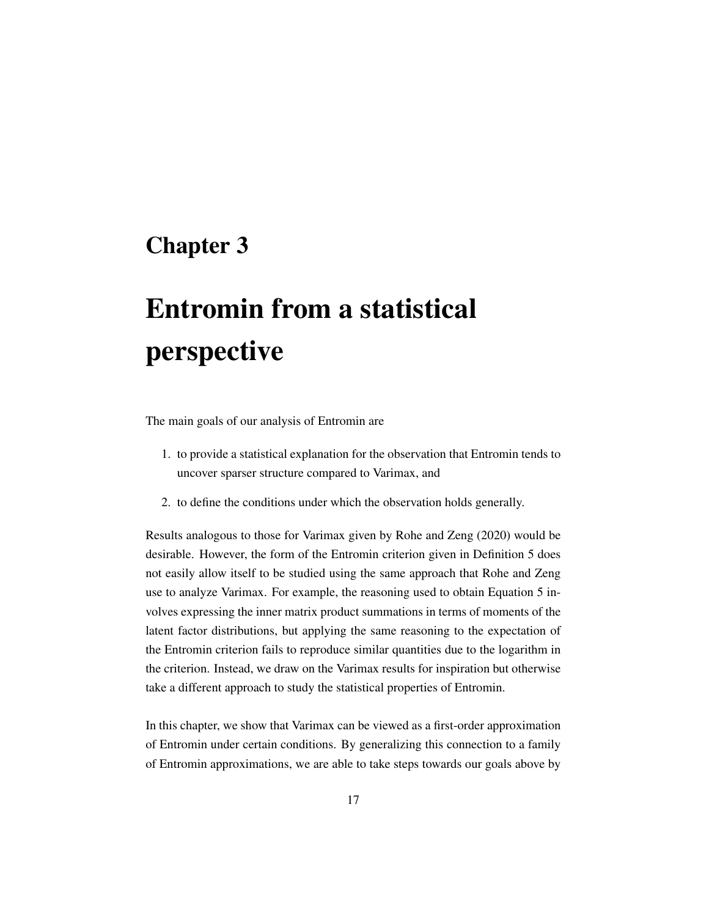### <span id="page-34-0"></span>Chapter 3

# Entromin from a statistical perspective

The main goals of our analysis of Entromin are

- 1. to provide a statistical explanation for the observation that Entromin tends to uncover sparser structure compared to Varimax, and
- 2. to define the conditions under which the observation holds generally.

Results analogous to those for Varimax given by [Rohe and Zeng](#page-75-0) [\(2020\)](#page-75-0) would be desirable. However, the form of the Entromin criterion given in [Definition 5](#page-30-2) does not easily allow itself to be studied using the same approach that [Rohe and Zeng](#page-75-0) use to analyze Varimax. For example, the reasoning used to obtain [Equation 5](#page-29-1) involves expressing the inner matrix product summations in terms of moments of the latent factor distributions, but applying the same reasoning to the expectation of the Entromin criterion fails to reproduce similar quantities due to the logarithm in the criterion. Instead, we draw on the Varimax results for inspiration but otherwise take a different approach to study the statistical properties of Entromin.

In this chapter, we show that Varimax can be viewed as a first-order approximation of Entromin under certain conditions. By generalizing this connection to a family of Entromin approximations, we are able to take steps towards our goals above by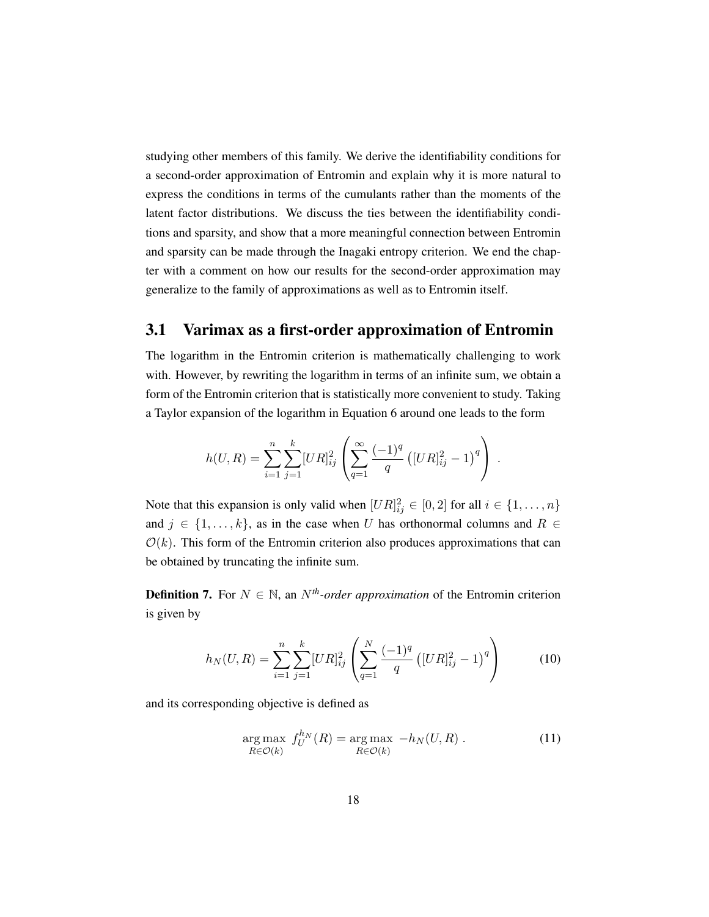studying other members of this family. We derive the identifiability conditions for a second-order approximation of Entromin and explain why it is more natural to express the conditions in terms of the cumulants rather than the moments of the latent factor distributions. We discuss the ties between the identifiability conditions and sparsity, and show that a more meaningful connection between Entromin and sparsity can be made through the Inagaki entropy criterion. We end the chapter with a comment on how our results for the second-order approximation may generalize to the family of approximations as well as to Entromin itself.

#### <span id="page-35-0"></span>3.1 Varimax as a first-order approximation of Entromin

The logarithm in the Entromin criterion is mathematically challenging to work with. However, by rewriting the logarithm in terms of an infinite sum, we obtain a form of the Entromin criterion that is statistically more convenient to study. Taking a Taylor expansion of the logarithm in [Equation 6](#page-30-3) around one leads to the form

$$
h(U,R) = \sum_{i=1}^{n} \sum_{j=1}^{k} [UR]_{ij}^{2} \left( \sum_{q=1}^{\infty} \frac{(-1)^{q}}{q} \left( [UR]_{ij}^{2} - 1 \right)^{q} \right).
$$

Note that this expansion is only valid when  $[UR]_{ij}^2 \in [0,2]$  for all  $i \in \{1,\ldots,n\}$ and  $j \in \{1, \ldots, k\}$ , as in the case when U has orthonormal columns and  $R \in$  $\mathcal{O}(k)$ . This form of the Entromin criterion also produces approximations that can be obtained by truncating the infinite sum.

<span id="page-35-1"></span>**Definition 7.** For  $N \in \mathbb{N}$ , an  $N^{th}$ *-order approximation* of the Entromin criterion is given by

$$
h_N(U, R) = \sum_{i=1}^n \sum_{j=1}^k [UR]_{ij}^2 \left( \sum_{q=1}^N \frac{(-1)^q}{q} \left( [UR]_{ij}^2 - 1 \right)^q \right)
$$
(10)

and its corresponding objective is defined as

$$
\underset{R\in\mathcal{O}(k)}{\arg\max} \ f_U^{h_N}(R) = \underset{R\in\mathcal{O}(k)}{\arg\max} \ -h_N(U, R) \ . \tag{11}
$$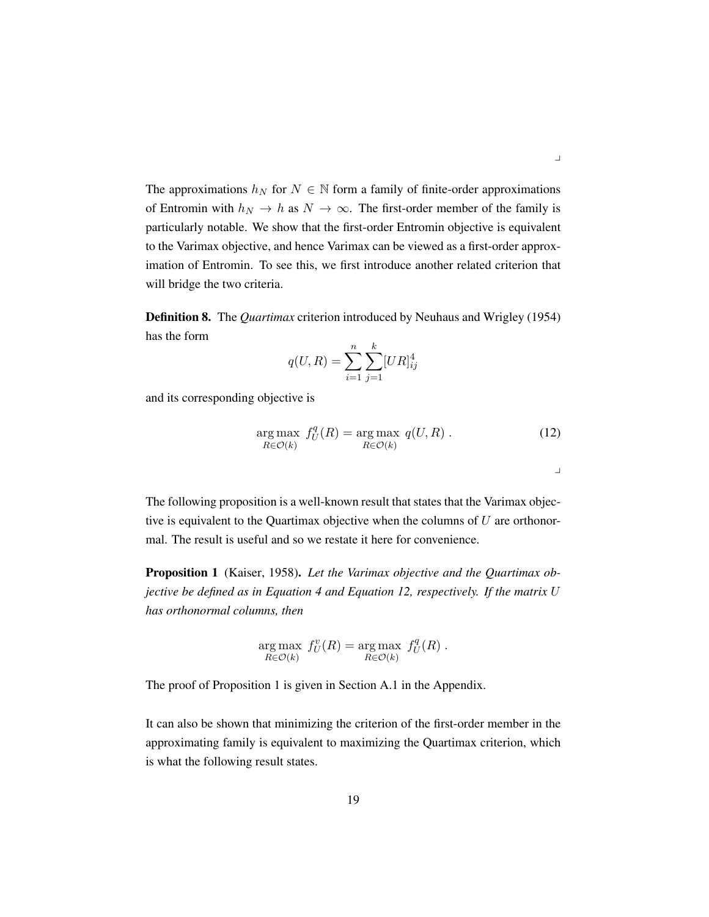The approximations  $h_N$  for  $N \in \mathbb{N}$  form a family of finite-order approximations of Entromin with  $h_N \to h$  as  $N \to \infty$ . The first-order member of the family is particularly notable. We show that the first-order Entromin objective is equivalent to the Varimax objective, and hence Varimax can be viewed as a first-order approximation of Entromin. To see this, we first introduce another related criterion that will bridge the two criteria.

Definition 8. The *Quartimax* criterion introduced by [Neuhaus and Wrigley](#page-75-0) [\(1954\)](#page-75-0) has the form

$$
q(U,R) = \sum_{i=1}^{n} \sum_{j=1}^{k} [UR]_{ij}^{4}
$$

and its corresponding objective is

<span id="page-36-0"></span>
$$
\underset{R \in \mathcal{O}(k)}{\arg \max} \ f_U^q(R) = \underset{R \in \mathcal{O}(k)}{\arg \max} \ q(U, R) . \tag{12}
$$

The following proposition is a well-known result that states that the Varimax objective is equivalent to the Quartimax objective when the columns of  $U$  are orthonormal. The result is useful and so we restate it here for convenience.

<span id="page-36-1"></span>Proposition 1 [\(Kaiser,](#page-74-0) [1958\)](#page-74-0). *Let the Varimax objective and the Quartimax objective be defined as in [Equation 4](#page-27-0) and [Equation 12,](#page-36-0) respectively. If the matrix* U *has orthonormal columns, then*

$$
\underset{R\in\mathcal{O}(k)}{\arg\max} \ f_U^v(R) = \underset{R\in\mathcal{O}(k)}{\arg\max} \ f_U^q(R) \ .
$$

The proof of [Proposition 1](#page-36-1) is given in [Section A.1](#page-77-0) in the Appendix.

It can also be shown that minimizing the criterion of the first-order member in the approximating family is equivalent to maximizing the Quartimax criterion, which is what the following result states.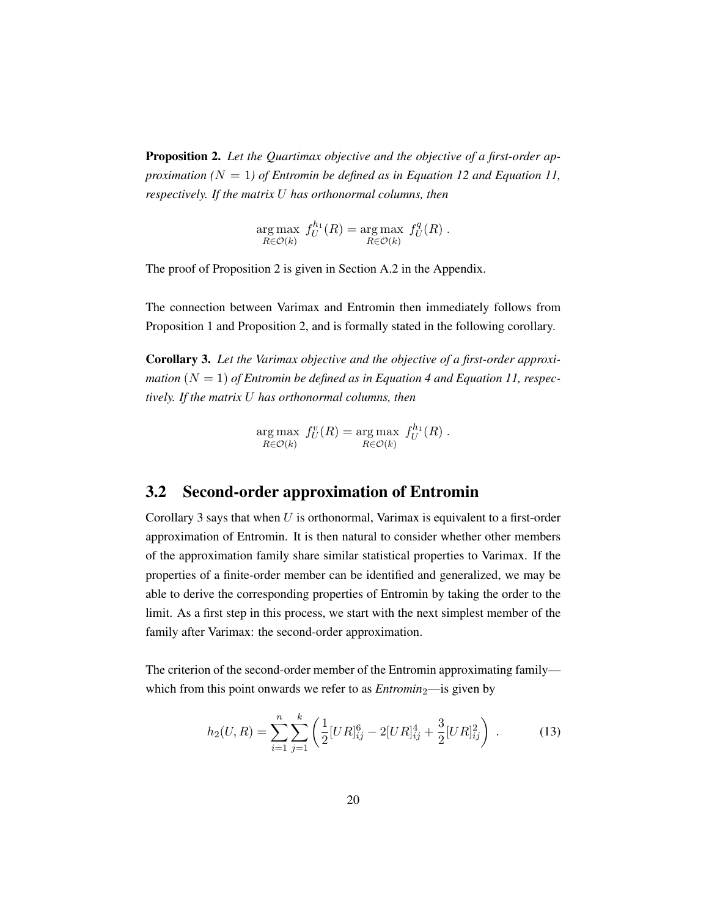<span id="page-37-0"></span>Proposition 2. *Let the Quartimax objective and the objective of a first-order approximation (* $N = 1$ *) of Entromin be defined as in [Equation 12](#page-36-0) and [Equation 11,](#page-35-0) respectively. If the matrix* U *has orthonormal columns, then*

$$
\underset{R \in \mathcal{O}(k)}{\arg \max} f_U^{h_1}(R) = \underset{R \in \mathcal{O}(k)}{\arg \max} f_U^q(R) .
$$

The proof of [Proposition 2](#page-37-0) is given in [Section A.2](#page-78-0) in the Appendix.

The connection between Varimax and Entromin then immediately follows from [Proposition 1](#page-36-1) and [Proposition 2,](#page-37-0) and is formally stated in the following corollary.

<span id="page-37-1"></span>Corollary 3. *Let the Varimax objective and the objective of a first-order approximation*  $(N = 1)$  *of Entromin be defined as in [Equation 4](#page-27-0) and [Equation 11,](#page-35-0) respectively. If the matrix* U *has orthonormal columns, then*

$$
\underset{R\in\mathcal{O}(k)}{\arg\max} f_U^v(R) = \underset{R\in\mathcal{O}(k)}{\arg\max} f_U^{h_1}(R) .
$$

### <span id="page-37-3"></span>3.2 Second-order approximation of Entromin

[Corollary 3](#page-37-1) says that when  $U$  is orthonormal, Varimax is equivalent to a first-order approximation of Entromin. It is then natural to consider whether other members of the approximation family share similar statistical properties to Varimax. If the properties of a finite-order member can be identified and generalized, we may be able to derive the corresponding properties of Entromin by taking the order to the limit. As a first step in this process, we start with the next simplest member of the family after Varimax: the second-order approximation.

The criterion of the second-order member of the Entromin approximating family which from this point onwards we refer to as *—is given by* 

<span id="page-37-2"></span>
$$
h_2(U,R) = \sum_{i=1}^n \sum_{j=1}^k \left( \frac{1}{2} [UR]_{ij}^6 - 2[UR]_{ij}^4 + \frac{3}{2} [UR]_{ij}^2 \right) \,. \tag{13}
$$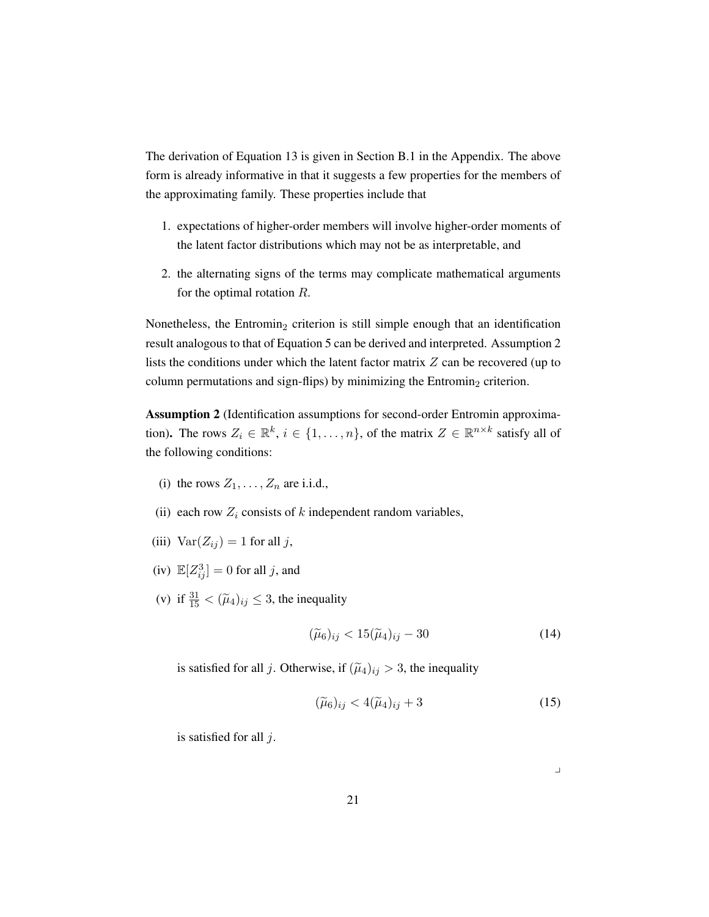The derivation of [Equation 13](#page-37-2) is given in [Section B.1](#page-96-0) in the Appendix. The above form is already informative in that it suggests a few properties for the members of the approximating family. These properties include that

- 1. expectations of higher-order members will involve higher-order moments of the latent factor distributions which may not be as interpretable, and
- 2. the alternating signs of the terms may complicate mathematical arguments for the optimal rotation R.

Nonetheless, the Entromin<sub>2</sub> criterion is still simple enough that an identification result analogous to that of [Equation 5](#page-29-0) can be derived and interpreted. [Assumption 2](#page-38-0) lists the conditions under which the latent factor matrix  $Z$  can be recovered (up to column permutations and sign-flips) by minimizing the Entromin<sub>2</sub> criterion.

<span id="page-38-0"></span>Assumption 2 (Identification assumptions for second-order Entromin approximation). The rows  $Z_i \in \mathbb{R}^k$ ,  $i \in \{1, ..., n\}$ , of the matrix  $Z \in \mathbb{R}^{n \times k}$  satisfy all of the following conditions:

- (i) the rows  $Z_1, \ldots, Z_n$  are i.i.d.,
- (ii) each row  $Z_i$  consists of k independent random variables,
- (iii)  $Var(Z_{ij}) = 1$  for all j,
- (iv)  $\mathbb{E}[Z_{ij}^3] = 0$  for all j, and
- (v) if  $\frac{31}{15} < (\tilde{\mu}_4)_{ij} \leq 3$ , the inequality

<span id="page-38-1"></span>
$$
(\widetilde{\mu}_6)_{ij} < 15(\widetilde{\mu}_4)_{ij} - 30\tag{14}
$$

is satisfied for all j. Otherwise, if  $(\tilde{\mu}_4)_{ij} > 3$ , the inequality

<span id="page-38-2"></span>
$$
(\widetilde{\mu}_6)_{ij} < 4(\widetilde{\mu}_4)_{ij} + 3\tag{15}
$$

is satisfied for all j.

 $\overline{\phantom{a}}$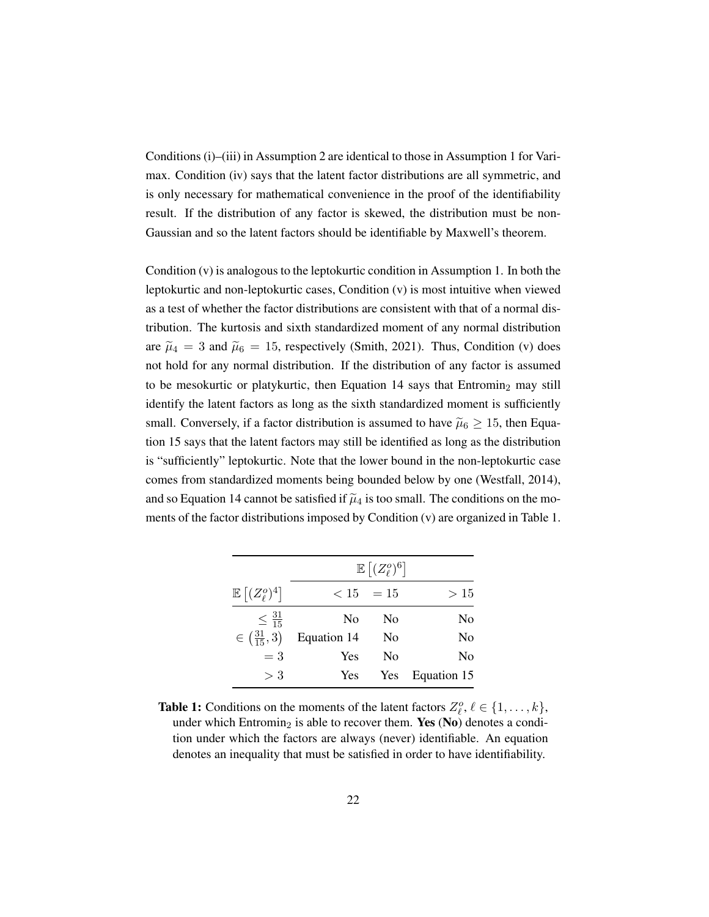Conditions (i)–(iii) in [Assumption 2](#page-38-0) are identical to those in [Assumption 1](#page-29-1) for Varimax. Condition (iv) says that the latent factor distributions are all symmetric, and is only necessary for mathematical convenience in the proof of the identifiability result. If the distribution of any factor is skewed, the distribution must be non-Gaussian and so the latent factors should be identifiable by Maxwell's theorem.

Condition (v) is analogous to the leptokurtic condition in [Assumption 1.](#page-29-1) In both the leptokurtic and non-leptokurtic cases, Condition (v) is most intuitive when viewed as a test of whether the factor distributions are consistent with that of a normal distribution. The kurtosis and sixth standardized moment of any normal distribution are  $\tilde{\mu}_4 = 3$  and  $\tilde{\mu}_6 = 15$ , respectively [\(Smith,](#page-75-1) [2021\)](#page-75-1). Thus, Condition (v) does not hold for any normal distribution. If the distribution of any factor is assumed to be mesokurtic or platykurtic, then [Equation](#page-38-1) [14](#page-38-1) says that Entromin<sub>2</sub> may still identify the latent factors as long as the sixth standardized moment is sufficiently small. Conversely, if a factor distribution is assumed to have  $\tilde{\mu}_6 \geq 15$ , then [Equa](#page-38-2)[tion](#page-38-2) [15](#page-38-2) says that the latent factors may still be identified as long as the distribution is "sufficiently" leptokurtic. Note that the lower bound in the non-leptokurtic case comes from standardized moments being bounded below by one [\(Westfall,](#page-76-0) [2014\)](#page-76-0), and so [Equation](#page-38-1) [14](#page-38-1) cannot be satisfied if  $\tilde{\mu}_4$  is too small. The conditions on the moments of the factor distributions imposed by Condition (v) are organized in [Table 1.](#page-39-0)

<span id="page-39-0"></span>

|                                             | $\mathbb{E}\left[(Z_{\ell}^o)^6\right]$ |             |                |  |  |
|---------------------------------------------|-----------------------------------------|-------------|----------------|--|--|
| $\mathbb{E}\left[ (Z_{\ell}^{o})^4 \right]$ |                                         | $< 15 = 15$ | >15            |  |  |
| $\leq \frac{31}{15}$                        | N <sub>0</sub>                          | No          | N <sub>0</sub> |  |  |
| $\in (\frac{31}{15}, 3)$                    | Equation 14                             | No          | No             |  |  |
| $=$ 3                                       | Yes                                     | No          | No             |  |  |
| > 3                                         | Yes                                     | Yes         | Equation 15    |  |  |

**Table 1:** Conditions on the moments of the latent factors  $Z_{\ell}^o, \ell \in \{1, \ldots, k\}$ , under which Entromin<sub>2</sub> is able to recover them. Yes (No) denotes a condition under which the factors are always (never) identifiable. An equation denotes an inequality that must be satisfied in order to have identifiability.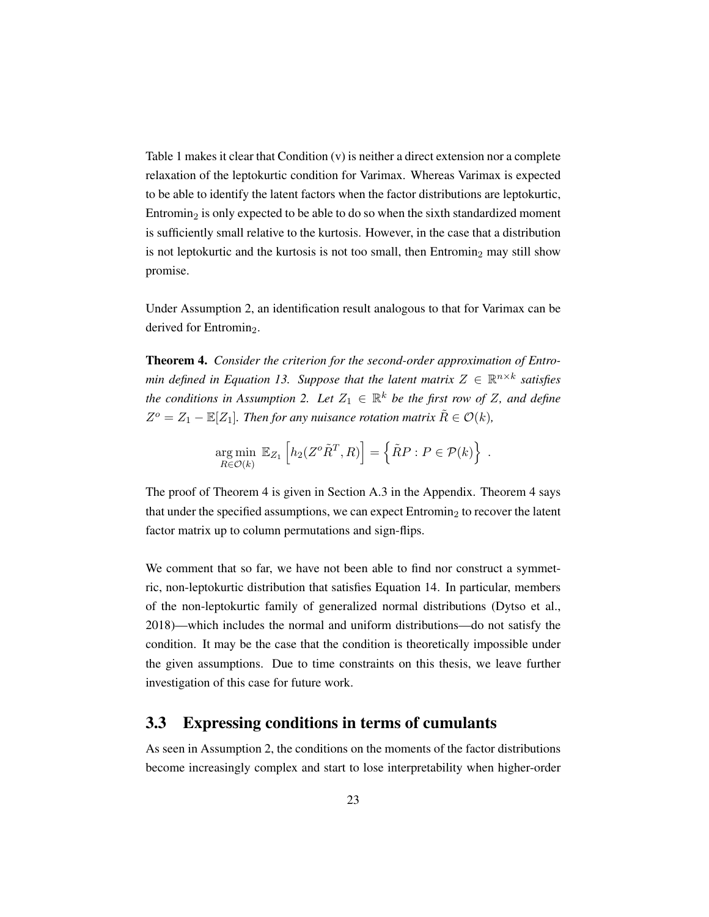[Table 1](#page-39-0) makes it clear that Condition (v) is neither a direct extension nor a complete relaxation of the leptokurtic condition for Varimax. Whereas Varimax is expected to be able to identify the latent factors when the factor distributions are leptokurtic, Entromin<sub>2</sub> is only expected to be able to do so when the sixth standardized moment is sufficiently small relative to the kurtosis. However, in the case that a distribution is not leptokurtic and the kurtosis is not too small, then  $Entromin<sub>2</sub>$  may still show promise.

Under [Assumption 2,](#page-38-0) an identification result analogous to that for Varimax can be derived for Entromin<sub>2</sub>.

<span id="page-40-0"></span>Theorem 4. *Consider the criterion for the second-order approximation of Entro-min defined in [Equation 13.](#page-37-2) Suppose that the latent matrix*  $Z \in \mathbb{R}^{n \times k}$  satisfies *the conditions in [Assumption 2.](#page-38-0) Let*  $Z_1 \in \mathbb{R}^k$  *be the first row of Z, and define*  $Z^o = Z_1 - \mathbb{E}[Z_1]$ . Then for any nuisance rotation matrix  $\tilde{R} \in \mathcal{O}(k)$ ,

$$
\underset{R \in \mathcal{O}(k)}{\arg \min} \ \mathbb{E}_{Z_1} \left[ h_2(Z^o \tilde{R}^T, R) \right] = \left\{ \tilde{R}P : P \in \mathcal{P}(k) \right\} \ .
$$

The proof of [Theorem 4](#page-40-0) is given in [Section A.3](#page-79-0) in the Appendix. [Theorem 4](#page-40-0) says that under the specified assumptions, we can expect  $\text{Entropy}_{2}$  to recover the latent factor matrix up to column permutations and sign-flips.

We comment that so far, we have not been able to find nor construct a symmetric, non-leptokurtic distribution that satisfies [Equation](#page-38-1) [14.](#page-38-1) In particular, members of the non-leptokurtic family of generalized normal distributions [\(Dytso et al.,](#page-73-0) [2018\)](#page-73-0)—which includes the normal and uniform distributions—do not satisfy the condition. It may be the case that the condition is theoretically impossible under the given assumptions. Due to time constraints on this thesis, we leave further investigation of this case for future work.

### <span id="page-40-1"></span>3.3 Expressing conditions in terms of cumulants

As seen in [Assumption 2,](#page-38-0) the conditions on the moments of the factor distributions become increasingly complex and start to lose interpretability when higher-order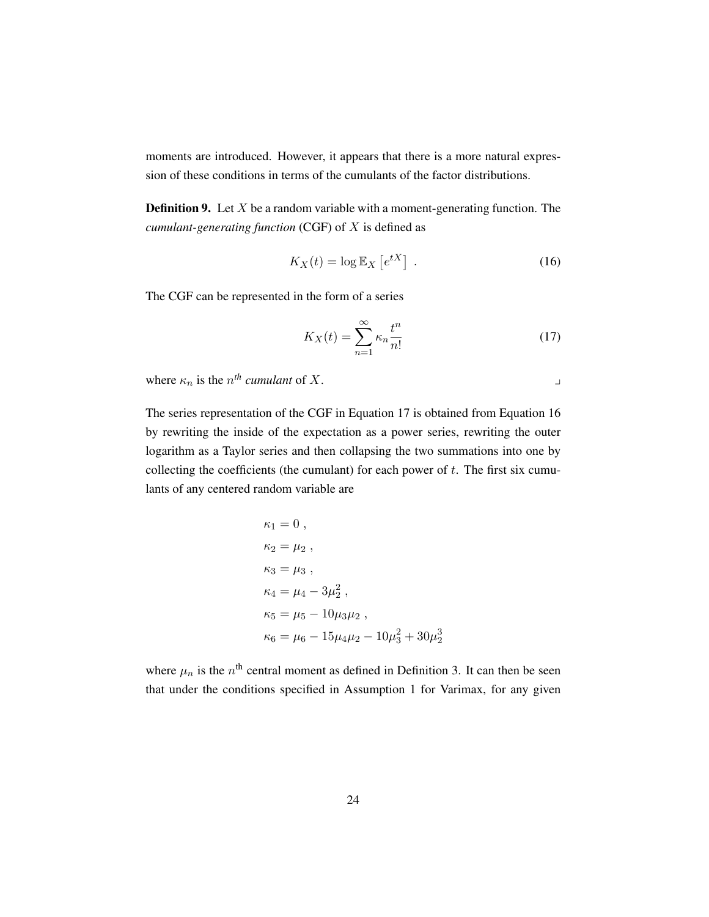moments are introduced. However, it appears that there is a more natural expression of these conditions in terms of the cumulants of the factor distributions.

**Definition 9.** Let  $X$  be a random variable with a moment-generating function. The *cumulant-generating function* (CGF) of X is defined as

<span id="page-41-1"></span>
$$
K_X(t) = \log \mathbb{E}_X \left[ e^{tX} \right] \tag{16}
$$

The CGF can be represented in the form of a series

<span id="page-41-0"></span>
$$
K_X(t) = \sum_{n=1}^{\infty} \kappa_n \frac{t^n}{n!}
$$
 (17)

where  $\kappa_n$  is the  $n^{th}$  *cumulant* of X.

The series representation of the CGF in [Equation 17](#page-41-0) is obtained from [Equation 16](#page-41-1) by rewriting the inside of the expectation as a power series, rewriting the outer logarithm as a Taylor series and then collapsing the two summations into one by collecting the coefficients (the cumulant) for each power of  $t$ . The first six cumulants of any centered random variable are

$$
\kappa_1 = 0 ,
$$
  
\n
$$
\kappa_2 = \mu_2 ,
$$
  
\n
$$
\kappa_3 = \mu_3 ,
$$
  
\n
$$
\kappa_4 = \mu_4 - 3\mu_2^2 ,
$$
  
\n
$$
\kappa_5 = \mu_5 - 10\mu_3\mu_2 ,
$$
  
\n
$$
\kappa_6 = \mu_6 - 15\mu_4\mu_2 - 10\mu_3^2 + 30\mu_2^3
$$

where  $\mu_n$  is the  $n^{\text{th}}$  central moment as defined in [Definition 3.](#page-28-0) It can then be seen that under the conditions specified in [Assumption 1](#page-29-1) for Varimax, for any given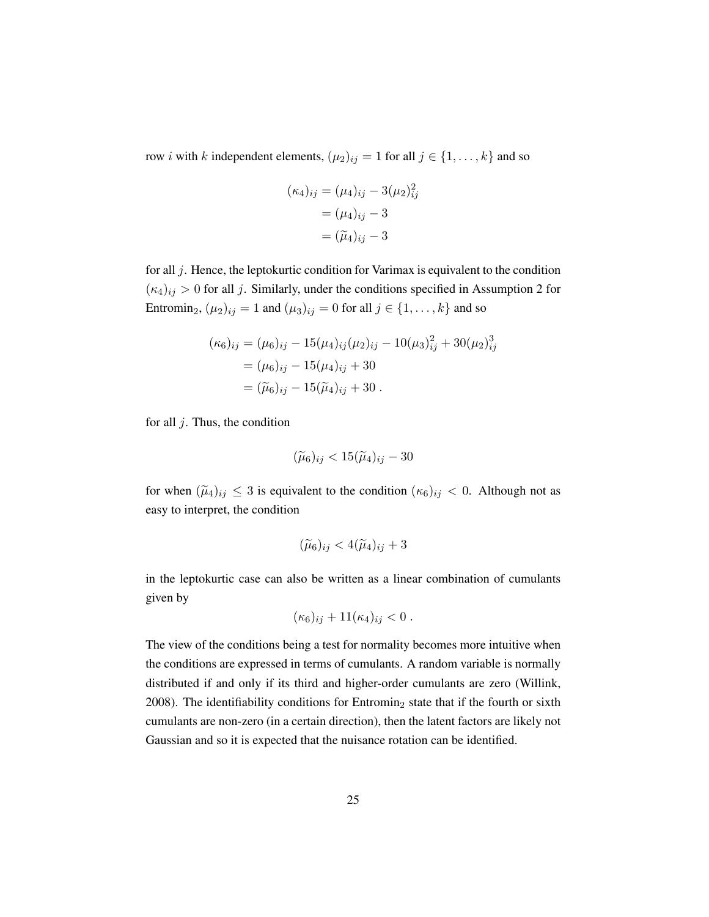row *i* with k independent elements,  $(\mu_2)_{ij} = 1$  for all  $j \in \{1, ..., k\}$  and so

$$
(\kappa_4)_{ij} = (\mu_4)_{ij} - 3(\mu_2)_{ij}^2
$$
  
=  $(\mu_4)_{ij} - 3$   
=  $(\tilde{\mu}_4)_{ij} - 3$ 

for all  $j$ . Hence, the leptokurtic condition for Varimax is equivalent to the condition  $(\kappa_4)_{ij} > 0$  for all j. Similarly, under the conditions specified in [Assumption 2](#page-38-0) for Entromin<sub>2</sub>,  $(\mu_2)_{ij} = 1$  and  $(\mu_3)_{ij} = 0$  for all  $j \in \{1, ..., k\}$  and so

$$
(\kappa_6)_{ij} = (\mu_6)_{ij} - 15(\mu_4)_{ij}(\mu_2)_{ij} - 10(\mu_3)_{ij}^2 + 30(\mu_2)_{ij}^3
$$
  
=  $(\mu_6)_{ij} - 15(\mu_4)_{ij} + 30$   
=  $(\tilde{\mu}_6)_{ij} - 15(\tilde{\mu}_4)_{ij} + 30$ .

for all  $j$ . Thus, the condition

$$
(\widetilde{\mu}_6)_{ij} < 15(\widetilde{\mu}_4)_{ij} - 30
$$

for when  $(\tilde{\mu}_4)_{ij} \leq 3$  is equivalent to the condition  $(\kappa_6)_{ij} < 0$ . Although not as easy to interpret, the condition

$$
(\widetilde{\mu}_6)_{ij} < 4(\widetilde{\mu}_4)_{ij} + 3
$$

in the leptokurtic case can also be written as a linear combination of cumulants given by

$$
(\kappa_6)_{ij} + 11(\kappa_4)_{ij} < 0 \, .
$$

The view of the conditions being a test for normality becomes more intuitive when the conditions are expressed in terms of cumulants. A random variable is normally distributed if and only if its third and higher-order cumulants are zero [\(Willink,](#page-76-1) [2008\)](#page-76-1). The identifiability conditions for Entromin<sub>2</sub> state that if the fourth or sixth cumulants are non-zero (in a certain direction), then the latent factors are likely not Gaussian and so it is expected that the nuisance rotation can be identified.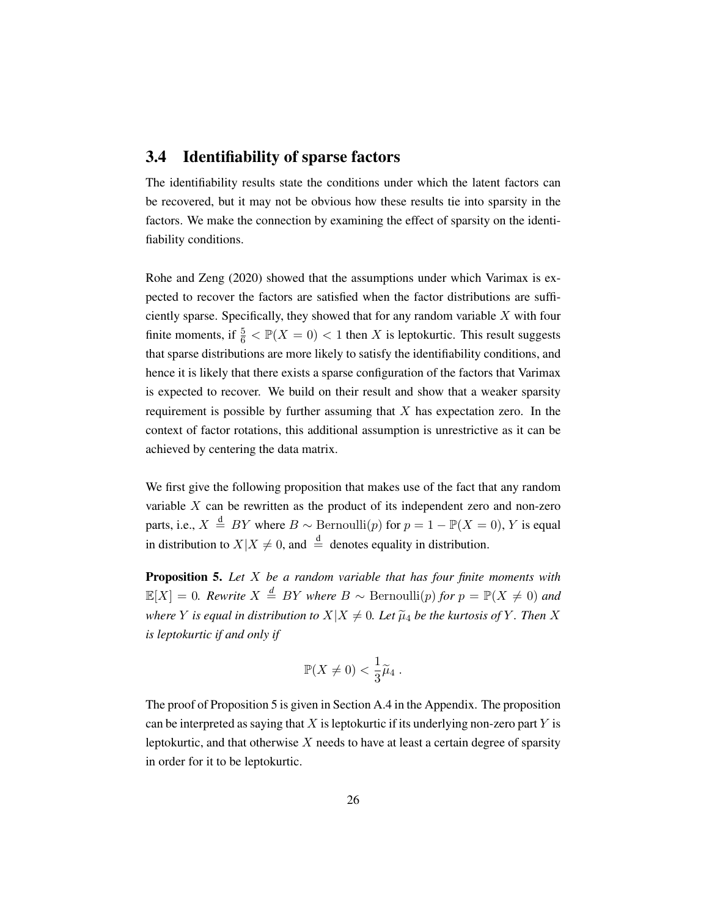#### 3.4 Identifiability of sparse factors

The identifiability results state the conditions under which the latent factors can be recovered, but it may not be obvious how these results tie into sparsity in the factors. We make the connection by examining the effect of sparsity on the identifiability conditions.

[Rohe and Zeng](#page-75-2) [\(2020\)](#page-75-2) showed that the assumptions under which Varimax is expected to recover the factors are satisfied when the factor distributions are sufficiently sparse. Specifically, they showed that for any random variable  $X$  with four finite moments, if  $\frac{5}{6} < \mathbb{P}(X = 0) < 1$  then X is leptokurtic. This result suggests that sparse distributions are more likely to satisfy the identifiability conditions, and hence it is likely that there exists a sparse configuration of the factors that Varimax is expected to recover. We build on their result and show that a weaker sparsity requirement is possible by further assuming that  $X$  has expectation zero. In the context of factor rotations, this additional assumption is unrestrictive as it can be achieved by centering the data matrix.

We first give the following proposition that makes use of the fact that any random variable  $X$  can be rewritten as the product of its independent zero and non-zero parts, i.e.,  $X \stackrel{\text{d}}{=} BY$  where  $B \sim \text{Bernoulli}(p)$  for  $p = 1 - \mathbb{P}(X = 0)$ , Y is equal in distribution to  $X|X \neq 0$ , and  $\stackrel{d}{=}$  denotes equality in distribution.

<span id="page-43-0"></span>Proposition 5. *Let* X *be a random variable that has four finite moments with*  $\mathbb{E}[X] = 0$ *. Rewrite*  $X \stackrel{d}{=} BY$  *where*  $B ∼$  Bernoulli $(p)$  *for*  $p = \mathbb{P}(X \neq 0)$  *and where Y is equal in distribution to*  $X|X \neq 0$ *. Let*  $\widetilde{\mu}_4$  *be the kurtosis of Y. Then X is leptokurtic if and only if*

$$
\mathbb{P}(X \neq 0) < \frac{1}{3}\widetilde{\mu}_4 \,.
$$

The proof of [Proposition 5](#page-43-0) is given in [Section A.4](#page-88-0) in the Appendix. The proposition can be interpreted as saying that  $X$  is leptokurtic if its underlying non-zero part  $Y$  is leptokurtic, and that otherwise  $X$  needs to have at least a certain degree of sparsity in order for it to be leptokurtic.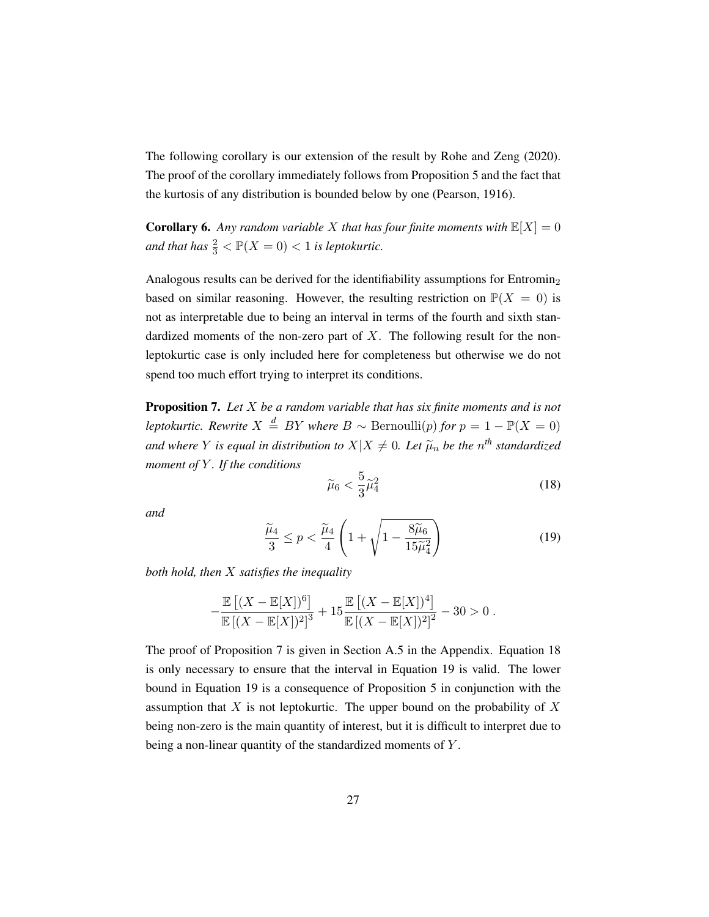The following corollary is our extension of the result by [Rohe and Zeng](#page-75-2) [\(2020\)](#page-75-2). The proof of the corollary immediately follows from [Proposition 5](#page-43-0) and the fact that the kurtosis of any distribution is bounded below by one [\(Pearson,](#page-75-3) [1916\)](#page-75-3).

**Corollary 6.** Any random variable X that has four finite moments with  $\mathbb{E}[X] = 0$ and that has  $\frac{2}{3} < \mathbb{P}(X = 0) < 1$  is leptokurtic.

Analogous results can be derived for the identifiability assumptions for Entromin<sup>2</sup> based on similar reasoning. However, the resulting restriction on  $\mathbb{P}(X = 0)$  is not as interpretable due to being an interval in terms of the fourth and sixth standardized moments of the non-zero part of  $X$ . The following result for the nonleptokurtic case is only included here for completeness but otherwise we do not spend too much effort trying to interpret its conditions.

<span id="page-44-0"></span>Proposition 7. *Let* X *be a random variable that has six finite moments and is not leptokurtic. Rewrite*  $X \stackrel{d}{=} BY$  *where*  $B \sim \text{Bernoulli}(p)$  *for*  $p = 1 - \mathbb{P}(X = 0)$ *and where* Y *is equal in distribution to*  $X|X \neq 0$ *. Let*  $\widetilde{\mu}_n$  *be the*  $n^{th}$  *standardized moment of* Y *. If the conditions*

<span id="page-44-1"></span>
$$
\widetilde{\mu}_6 < \frac{5}{3} \widetilde{\mu}_4^2 \tag{18}
$$

*and*

<span id="page-44-2"></span>
$$
\frac{\widetilde{\mu}_4}{3} \le p < \frac{\widetilde{\mu}_4}{4} \left( 1 + \sqrt{1 - \frac{8\widetilde{\mu}_6}{15\widetilde{\mu}_4^2}} \right) \tag{19}
$$

*both hold, then* X *satisfies the inequality*

$$
-\frac{\mathbb{E}[(X-\mathbb{E}[X])^6]}{\mathbb{E}[(X-\mathbb{E}[X])^2]^3} + 15\frac{\mathbb{E}[(X-\mathbb{E}[X])^4]}{\mathbb{E}[(X-\mathbb{E}[X])^2]^2} - 30 > 0.
$$

The proof of [Proposition 7](#page-44-0) is given in [Section A.5](#page-89-0) in the Appendix. [Equation 18](#page-44-1) is only necessary to ensure that the interval in [Equation 19](#page-44-2) is valid. The lower bound in [Equation 19](#page-44-2) is a consequence of [Proposition 5](#page-43-0) in conjunction with the assumption that  $X$  is not leptokurtic. The upper bound on the probability of  $X$ being non-zero is the main quantity of interest, but it is difficult to interpret due to being a non-linear quantity of the standardized moments of Y.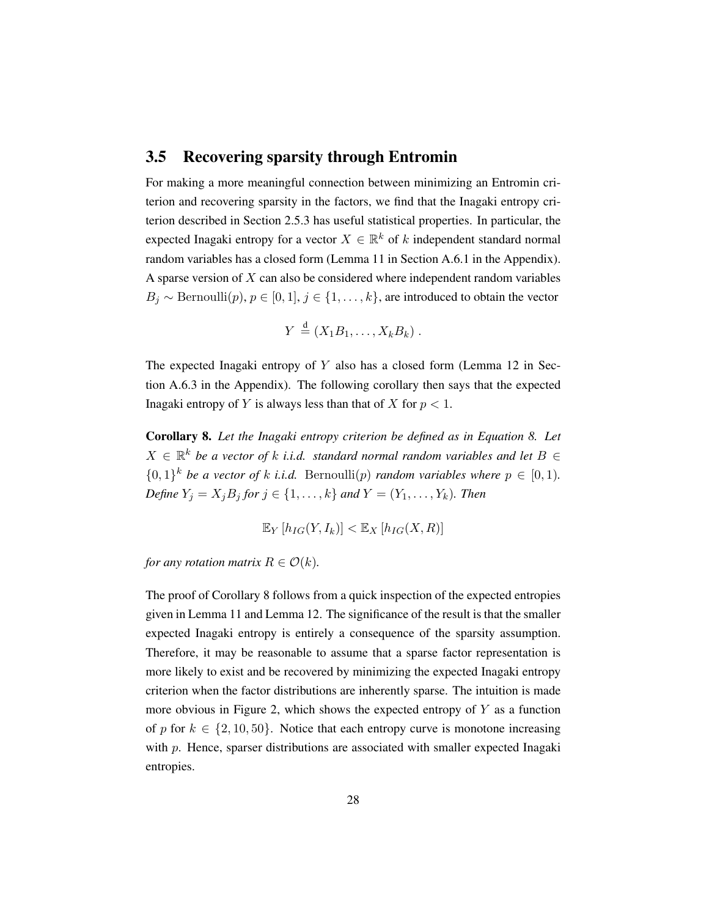### 3.5 Recovering sparsity through Entromin

For making a more meaningful connection between minimizing an Entromin criterion and recovering sparsity in the factors, we find that the Inagaki entropy criterion described in [Section 2.5.3](#page-32-0) has useful statistical properties. In particular, the expected Inagaki entropy for a vector  $X \in \mathbb{R}^k$  of k independent standard normal random variables has a closed form [\(Lemma 11](#page-90-0) in [Section A.6.1](#page-90-1) in the Appendix). A sparse version of X can also be considered where independent random variables  $B_j \sim \text{Bernoulli}(p), p \in [0, 1], j \in \{1, \ldots, k\},$  are introduced to obtain the vector

$$
Y \stackrel{\text{d}}{=} (X_1B_1,\ldots,X_kB_k) \ .
$$

The expected Inagaki entropy of  $Y$  also has a closed form [\(Lemma 12](#page-94-0) in [Sec](#page-94-1)[tion A.6.3](#page-94-1) in the Appendix). The following corollary then says that the expected Inagaki entropy of Y is always less than that of X for  $p < 1$ .

<span id="page-45-0"></span>Corollary 8. *Let the Inagaki entropy criterion be defined as in [Equation 8.](#page-32-1) Let*  $X \in \mathbb{R}^k$  be a vector of k *i.i.d.* standard normal random variables and let  $B \in$  $\{0,1\}^k$  *be a vector of k i.i.d.* Bernoulli(*p*) *random variables where*  $p \in [0,1)$ *. Define*  $Y_i = X_j B_j$  *for*  $j \in \{1, ..., k\}$  *and*  $Y = (Y_1, ..., Y_k)$ *. Then* 

$$
\mathbb{E}_Y[h_{IG}(Y,I_k)] < \mathbb{E}_X[h_{IG}(X,R)]
$$

*for any rotation matrix*  $R \in \mathcal{O}(k)$ *.* 

The proof of [Corollary 8](#page-45-0) follows from a quick inspection of the expected entropies given in [Lemma 11](#page-90-0) and [Lemma 12.](#page-94-0) The significance of the result is that the smaller expected Inagaki entropy is entirely a consequence of the sparsity assumption. Therefore, it may be reasonable to assume that a sparse factor representation is more likely to exist and be recovered by minimizing the expected Inagaki entropy criterion when the factor distributions are inherently sparse. The intuition is made more obvious in [Figure 2,](#page-46-0) which shows the expected entropy of  $Y$  as a function of p for  $k \in \{2, 10, 50\}$ . Notice that each entropy curve is monotone increasing with  $p$ . Hence, sparser distributions are associated with smaller expected Inagaki entropies.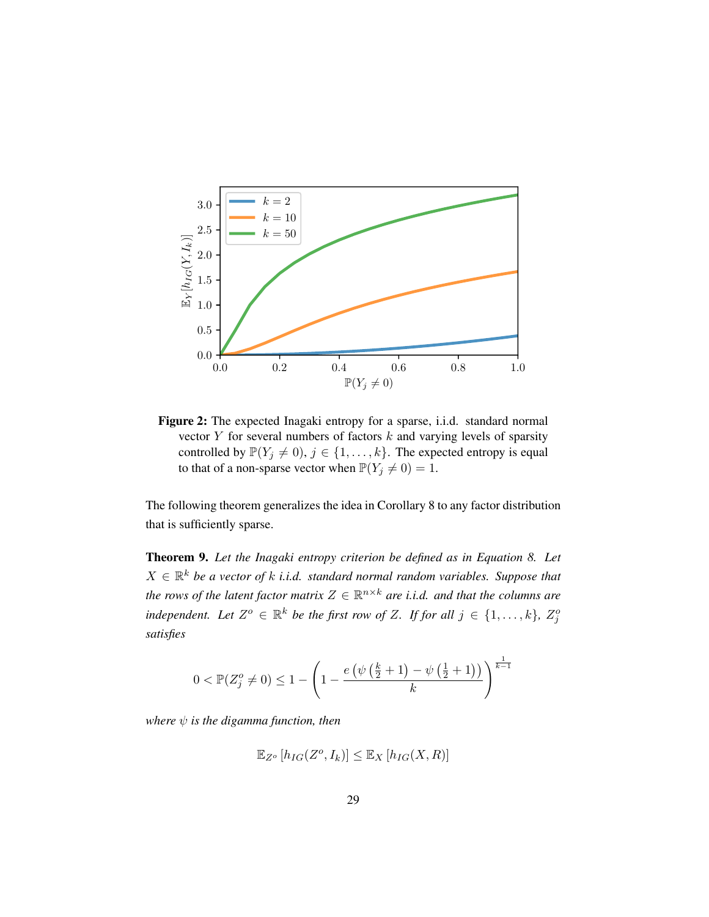<span id="page-46-0"></span>

Figure 2: The expected Inagaki entropy for a sparse, i.i.d. standard normal vector  $Y$  for several numbers of factors  $k$  and varying levels of sparsity controlled by  $\mathbb{P}(Y_j \neq 0), j \in \{1, \ldots, k\}$ . The expected entropy is equal to that of a non-sparse vector when  $\mathbb{P}(Y_j \neq 0) = 1$ .

The following theorem generalizes the idea in [Corollary 8](#page-45-0) to any factor distribution that is sufficiently sparse.

<span id="page-46-1"></span>Theorem 9. *Let the Inagaki entropy criterion be defined as in [Equation 8.](#page-32-1) Let*  $X \in \mathbb{R}^k$  be a vector of k *i.i.d.* standard normal random variables. Suppose that the rows of the latent factor matrix  $Z \in \mathbb{R}^{n \times k}$  are i.i.d. and that the columns are *independent.* Let  $Z^o \in \mathbb{R}^k$  be the first row of Z. If for all  $j \in \{1, \ldots, k\}$ ,  $Z_j^o$ *satisfies*

$$
0 < \mathbb{P}(Z_j^o \neq 0) \le 1 - \left(1 - \frac{e\left(\psi\left(\frac{k}{2} + 1\right) - \psi\left(\frac{1}{2} + 1\right)\right)}{k}\right)^{\frac{1}{k-1}}
$$

*where*  $\psi$  *is the digamma function, then* 

$$
\mathbb{E}_{Z^o}[h_{IG}(Z^o, I_k)] \le \mathbb{E}_X[h_{IG}(X, R)]
$$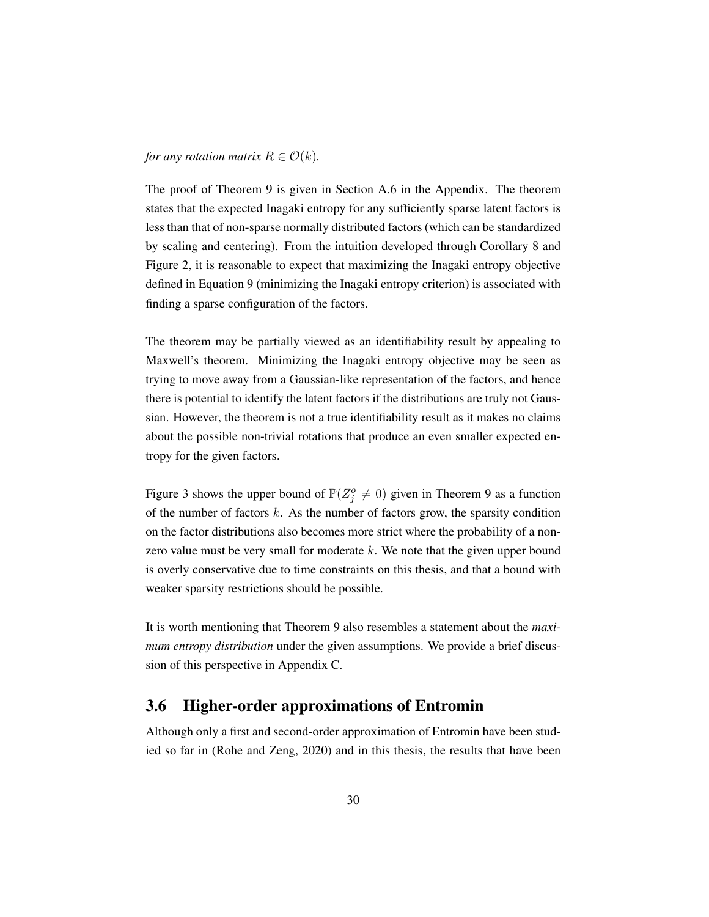*for any rotation matrix*  $R \in \mathcal{O}(k)$ *.* 

The proof of [Theorem 9](#page-46-1) is given in [Section A.6](#page-90-2) in the Appendix. The theorem states that the expected Inagaki entropy for any sufficiently sparse latent factors is less than that of non-sparse normally distributed factors (which can be standardized by scaling and centering). From the intuition developed through [Corollary 8](#page-45-0) and [Figure 2,](#page-46-0) it is reasonable to expect that maximizing the Inagaki entropy objective defined in [Equation 9](#page-32-2) (minimizing the Inagaki entropy criterion) is associated with finding a sparse configuration of the factors.

The theorem may be partially viewed as an identifiability result by appealing to Maxwell's theorem. Minimizing the Inagaki entropy objective may be seen as trying to move away from a Gaussian-like representation of the factors, and hence there is potential to identify the latent factors if the distributions are truly not Gaussian. However, the theorem is not a true identifiability result as it makes no claims about the possible non-trivial rotations that produce an even smaller expected entropy for the given factors.

[Figure 3](#page-48-0) shows the upper bound of  $\mathbb{P}(Z_j^o \neq 0)$  given in [Theorem 9](#page-46-1) as a function of the number of factors  $k$ . As the number of factors grow, the sparsity condition on the factor distributions also becomes more strict where the probability of a nonzero value must be very small for moderate  $k$ . We note that the given upper bound is overly conservative due to time constraints on this thesis, and that a bound with weaker sparsity restrictions should be possible.

It is worth mentioning that [Theorem 9](#page-46-1) also resembles a statement about the *maximum entropy distribution* under the given assumptions. We provide a brief discussion of this perspective in [Appendix C.](#page-99-0)

## <span id="page-47-0"></span>3.6 Higher-order approximations of Entromin

Although only a first and second-order approximation of Entromin have been studied so far in [\(Rohe and Zeng,](#page-75-2) [2020\)](#page-75-2) and in this thesis, the results that have been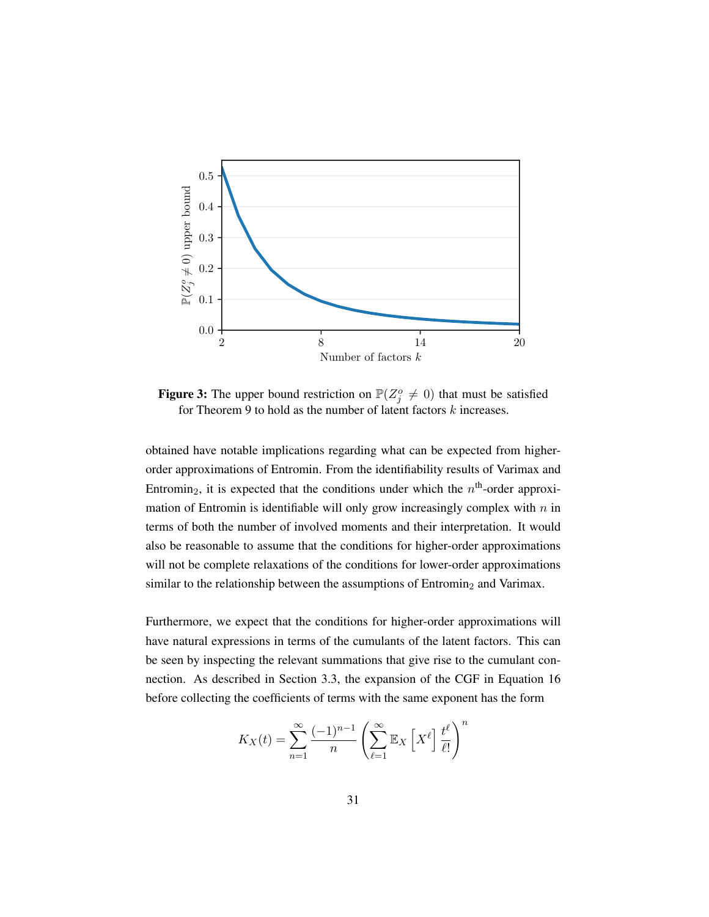<span id="page-48-0"></span>

**Figure 3:** The upper bound restriction on  $\mathbb{P}(Z_j^o \neq 0)$  that must be satisfied for [Theorem 9](#page-46-1) to hold as the number of latent factors  $k$  increases.

obtained have notable implications regarding what can be expected from higherorder approximations of Entromin. From the identifiability results of Varimax and Entromin<sub>2</sub>, it is expected that the conditions under which the  $n<sup>th</sup>$ -order approximation of Entromin is identifiable will only grow increasingly complex with  $n$  in terms of both the number of involved moments and their interpretation. It would also be reasonable to assume that the conditions for higher-order approximations will not be complete relaxations of the conditions for lower-order approximations similar to the relationship between the assumptions of  $Entromin<sub>2</sub>$  and Varimax.

Furthermore, we expect that the conditions for higher-order approximations will have natural expressions in terms of the cumulants of the latent factors. This can be seen by inspecting the relevant summations that give rise to the cumulant connection. As described in [Section 3.3,](#page-40-1) the expansion of the CGF in [Equation 16](#page-41-1) before collecting the coefficients of terms with the same exponent has the form

$$
K_X(t) = \sum_{n=1}^{\infty} \frac{(-1)^{n-1}}{n} \left( \sum_{\ell=1}^{\infty} \mathbb{E}_X \left[ X^{\ell} \right] \frac{t^{\ell}}{\ell!} \right)^n
$$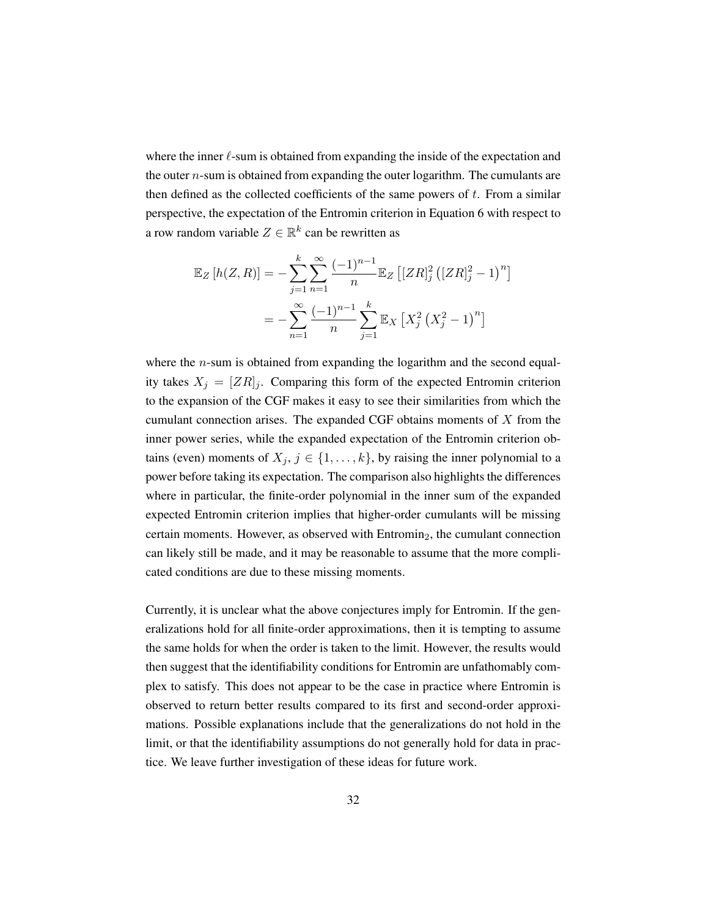where the inner  $\ell$ -sum is obtained from expanding the inside of the expectation and the outer  $n$ -sum is obtained from expanding the outer logarithm. The cumulants are then defined as the collected coefficients of the same powers of  $t$ . From a similar perspective, the expectation of the Entromin criterion in [Equation 6](#page-30-0) with respect to a row random variable  $Z \in \mathbb{R}^k$  can be rewritten as

$$
\mathbb{E}_Z[h(Z,R)] = -\sum_{j=1}^k \sum_{n=1}^\infty \frac{(-1)^{n-1}}{n} \mathbb{E}_Z\left[ [ZR]_j^2 \left( [ZR]_j^2 - 1 \right)^n \right]
$$

$$
= -\sum_{n=1}^\infty \frac{(-1)^{n-1}}{n} \sum_{j=1}^k \mathbb{E}_X\left[ X_j^2 \left( X_j^2 - 1 \right)^n \right]
$$

where the  $n$ -sum is obtained from expanding the logarithm and the second equality takes  $X_i = [ZR]_i$ . Comparing this form of the expected Entromin criterion to the expansion of the CGF makes it easy to see their similarities from which the cumulant connection arises. The expanded CGF obtains moments of  $X$  from the inner power series, while the expanded expectation of the Entromin criterion obtains (even) moments of  $X_j$ ,  $j \in \{1, ..., k\}$ , by raising the inner polynomial to a power before taking its expectation. The comparison also highlights the differences where in particular, the finite-order polynomial in the inner sum of the expanded expected Entromin criterion implies that higher-order cumulants will be missing certain moments. However, as observed with  $Entromin<sub>2</sub>$ , the cumulant connection can likely still be made, and it may be reasonable to assume that the more complicated conditions are due to these missing moments.

Currently, it is unclear what the above conjectures imply for Entromin. If the generalizations hold for all finite-order approximations, then it is tempting to assume the same holds for when the order is taken to the limit. However, the results would then suggest that the identifiability conditions for Entromin are unfathomably complex to satisfy. This does not appear to be the case in practice where Entromin is observed to return better results compared to its first and second-order approximations. Possible explanations include that the generalizations do not hold in the limit, or that the identifiability assumptions do not generally hold for data in practice. We leave further investigation of these ideas for future work.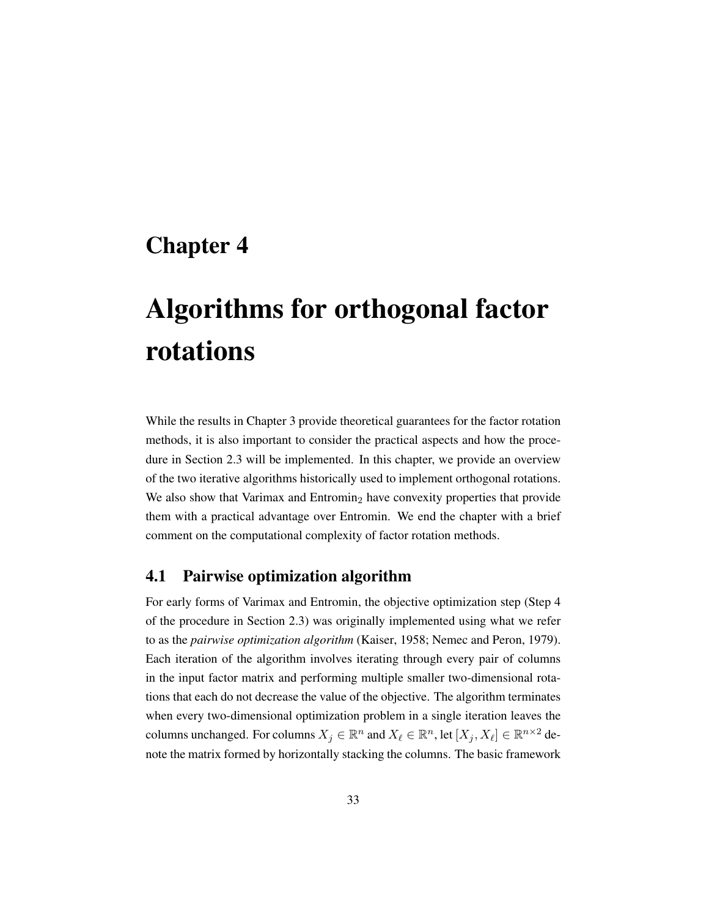# Chapter 4

# Algorithms for orthogonal factor rotations

While the results in [Chapter 3](#page-34-0) provide theoretical guarantees for the factor rotation methods, it is also important to consider the practical aspects and how the procedure in [Section 2.3](#page-24-0) will be implemented. In this chapter, we provide an overview of the two iterative algorithms historically used to implement orthogonal rotations. We also show that Varimax and Entromin<sub>2</sub> have convexity properties that provide them with a practical advantage over Entromin. We end the chapter with a brief comment on the computational complexity of factor rotation methods.

# 4.1 Pairwise optimization algorithm

For early forms of Varimax and Entromin, the objective optimization step (Step 4 of the procedure in [Section 2.3\)](#page-24-0) was originally implemented using what we refer to as the *pairwise optimization algorithm* [\(Kaiser,](#page-74-0) [1958;](#page-74-0) [Nemec and Peron,](#page-74-1) [1979\)](#page-74-1). Each iteration of the algorithm involves iterating through every pair of columns in the input factor matrix and performing multiple smaller two-dimensional rotations that each do not decrease the value of the objective. The algorithm terminates when every two-dimensional optimization problem in a single iteration leaves the columns unchanged. For columns  $X_j \in \mathbb{R}^n$  and  $X_\ell \in \mathbb{R}^n$ , let  $[X_j, X_\ell] \in \mathbb{R}^{n \times 2}$  denote the matrix formed by horizontally stacking the columns. The basic framework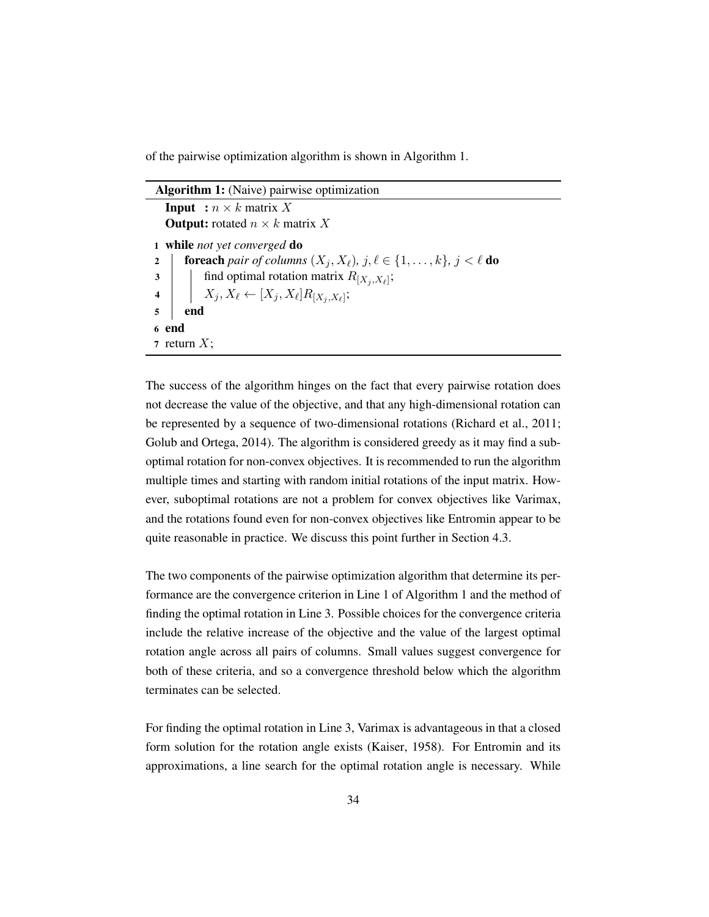of the pairwise optimization algorithm is shown in [Algorithm](#page-51-0) [1.](#page-51-0)

| <b>Algorithm 1:</b> (Naive) pairwise optimization                                                                      |  |  |  |
|------------------------------------------------------------------------------------------------------------------------|--|--|--|
| <b>Input</b> : $n \times k$ matrix X                                                                                   |  |  |  |
| <b>Output:</b> rotated $n \times k$ matrix X                                                                           |  |  |  |
| 1 while not yet converged do                                                                                           |  |  |  |
| <b>foreach</b> pair of columns $(X_j, X_\ell)$ , $j, \ell \in \{1, \ldots, k\}$ , $j < \ell$ <b>do</b><br>$\mathbf{2}$ |  |  |  |
| find optimal rotation matrix $R_{[X_i,X_\ell]};$<br>$\boldsymbol{3}$                                                   |  |  |  |
| 4   $X_j, X_\ell \leftarrow [X_j, X_\ell] R_{[X_j, X_\ell]};$                                                          |  |  |  |
| 5<br>end                                                                                                               |  |  |  |
| 6 end                                                                                                                  |  |  |  |
| 7 return X;                                                                                                            |  |  |  |

<span id="page-51-0"></span>The success of the algorithm hinges on the fact that every pairwise rotation does not decrease the value of the objective, and that any high-dimensional rotation can be represented by a sequence of two-dimensional rotations [\(Richard et al.,](#page-75-4) [2011;](#page-75-4) [Golub and Ortega,](#page-73-1) [2014\)](#page-73-1). The algorithm is considered greedy as it may find a suboptimal rotation for non-convex objectives. It is recommended to run the algorithm multiple times and starting with random initial rotations of the input matrix. However, suboptimal rotations are not a problem for convex objectives like Varimax, and the rotations found even for non-convex objectives like Entromin appear to be quite reasonable in practice. We discuss this point further in [Section 4.3.](#page-54-0)

The two components of the pairwise optimization algorithm that determine its performance are the convergence criterion in Line 1 of [Algorithm](#page-51-0) [1](#page-51-0) and the method of finding the optimal rotation in Line 3. Possible choices for the convergence criteria include the relative increase of the objective and the value of the largest optimal rotation angle across all pairs of columns. Small values suggest convergence for both of these criteria, and so a convergence threshold below which the algorithm terminates can be selected.

For finding the optimal rotation in Line 3, Varimax is advantageous in that a closed form solution for the rotation angle exists [\(Kaiser,](#page-74-0) [1958\)](#page-74-0). For Entromin and its approximations, a line search for the optimal rotation angle is necessary. While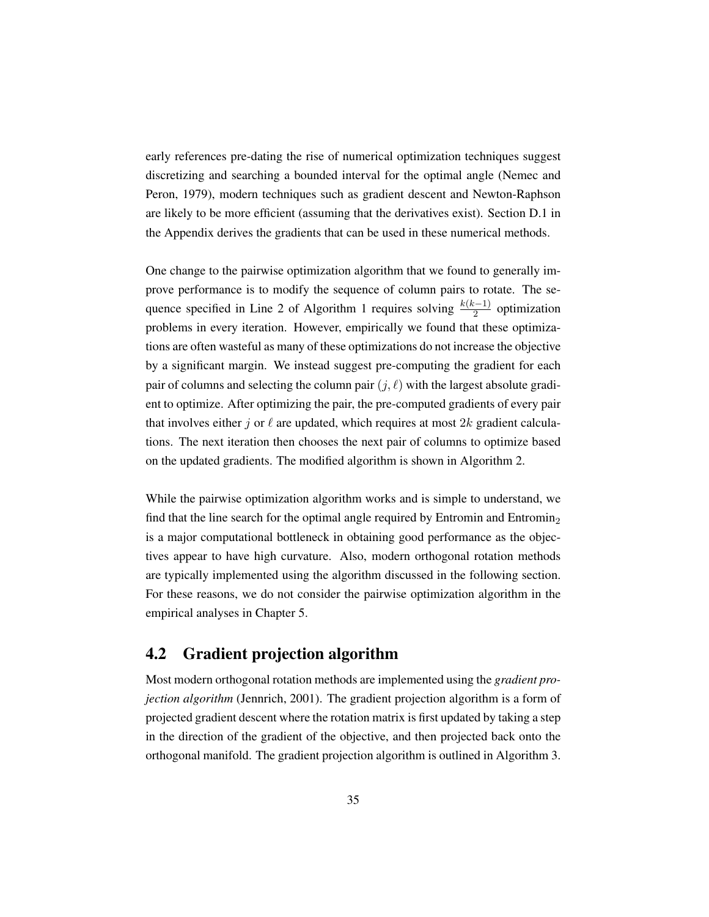early references pre-dating the rise of numerical optimization techniques suggest discretizing and searching a bounded interval for the optimal angle [\(Nemec and](#page-74-1) [Peron,](#page-74-1) [1979\)](#page-74-1), modern techniques such as gradient descent and Newton-Raphson are likely to be more efficient (assuming that the derivatives exist). [Section D.1](#page-101-0) in the Appendix derives the gradients that can be used in these numerical methods.

One change to the pairwise optimization algorithm that we found to generally improve performance is to modify the sequence of column pairs to rotate. The se-quence specified in Line 2 of [Algorithm](#page-51-0) [1](#page-51-0) requires solving  $\frac{k(k-1)}{2}$  optimization problems in every iteration. However, empirically we found that these optimizations are often wasteful as many of these optimizations do not increase the objective by a significant margin. We instead suggest pre-computing the gradient for each pair of columns and selecting the column pair  $(j, \ell)$  with the largest absolute gradient to optimize. After optimizing the pair, the pre-computed gradients of every pair that involves either j or  $\ell$  are updated, which requires at most 2k gradient calculations. The next iteration then chooses the next pair of columns to optimize based on the updated gradients. The modified algorithm is shown in [Algorithm](#page-53-0) [2.](#page-53-0)

While the pairwise optimization algorithm works and is simple to understand, we find that the line search for the optimal angle required by Entromin and Entromin<sub>2</sub> is a major computational bottleneck in obtaining good performance as the objectives appear to have high curvature. Also, modern orthogonal rotation methods are typically implemented using the algorithm discussed in the following section. For these reasons, we do not consider the pairwise optimization algorithm in the empirical analyses in [Chapter 5.](#page-57-0)

## 4.2 Gradient projection algorithm

Most modern orthogonal rotation methods are implemented using the *gradient projection algorithm* [\(Jennrich,](#page-74-2) [2001\)](#page-74-2). The gradient projection algorithm is a form of projected gradient descent where the rotation matrix is first updated by taking a step in the direction of the gradient of the objective, and then projected back onto the orthogonal manifold. The gradient projection algorithm is outlined in [Algorithm](#page-54-1) [3.](#page-54-1)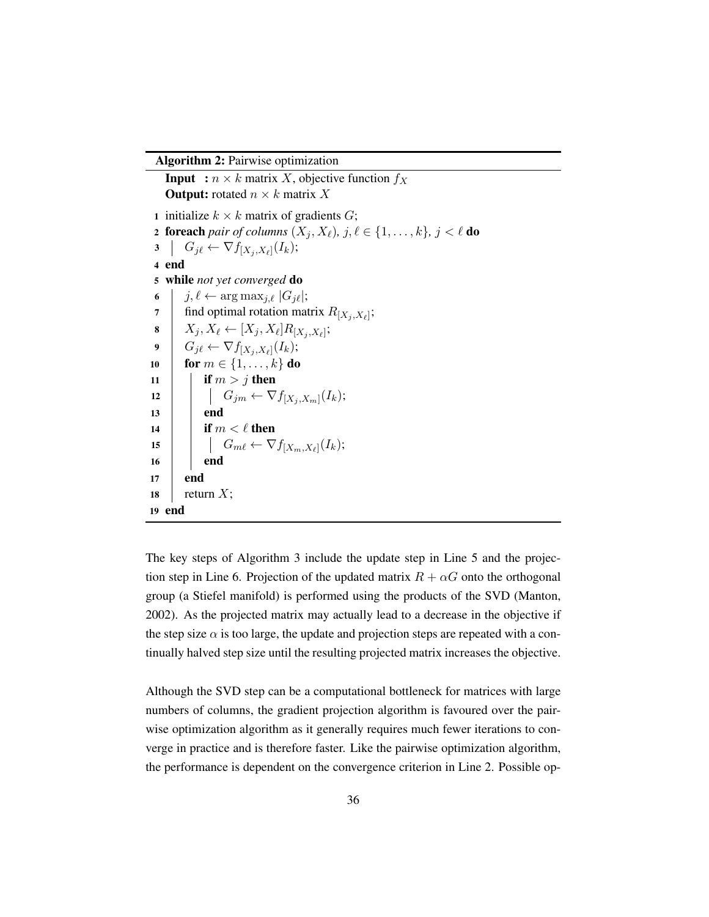Algorithm 2: Pairwise optimization

**Input** :  $n \times k$  matrix X, objective function  $f_X$ **Output:** rotated  $n \times k$  matrix X 1 initialize  $k \times k$  matrix of gradients  $G$ ; 2 foreach *pair of columns*  $(X_j, X_\ell)$ *,*  $j, \ell \in \{1, \ldots, k\}$ *,*  $j < \ell$  *do*<br>
3  $\mid G_{i\ell} \leftarrow \nabla f_{[X_i, X_\ell]}(I_k)$ ; 3  $G_{j\ell} \leftarrow \nabla f_{[X_j,X_{\ell}]}(I_k);$ 4 end 5 while *not yet converged* do 6  $j, \ell \leftarrow \arg \max_{j, \ell} |G_j \ell|;$ <br>
7 find optimal rotation mat 7 | find optimal rotation matrix  $R_{[X_j, X_\ell]};$ 8  $\mid X_j, X_\ell \leftarrow [X_j, X_\ell] R_{[X_j, X_\ell]};$  $9 \mid G_{j\ell} \leftarrow \nabla f_{[X_j,X_\ell]}(I_k);$ 10 **for**  $m \in \{1, ..., k\}$  do 11 **if**  $m > j$  then 12  $\Big|\quad\Big|\quad G_{jm} \leftarrow \nabla f_{[X_j,X_m]}(I_k);$  $13$  end 14 if  $m < \ell$  then 15  $\Big|\qquad\Big|\qquad G_{m\ell} \leftarrow \nabla f_{[X_m,X_\ell]}(I_k);$ 16 **end** 17 end 18 | return  $X$ ; 19 end

<span id="page-53-0"></span>The key steps of [Algorithm](#page-54-1) [3](#page-54-1) include the update step in Line 5 and the projection step in Line 6. Projection of the updated matrix  $R + \alpha G$  onto the orthogonal group (a Stiefel manifold) is performed using the products of the SVD [\(Manton,](#page-74-3) [2002\)](#page-74-3). As the projected matrix may actually lead to a decrease in the objective if the step size  $\alpha$  is too large, the update and projection steps are repeated with a continually halved step size until the resulting projected matrix increases the objective.

Although the SVD step can be a computational bottleneck for matrices with large numbers of columns, the gradient projection algorithm is favoured over the pairwise optimization algorithm as it generally requires much fewer iterations to converge in practice and is therefore faster. Like the pairwise optimization algorithm, the performance is dependent on the convergence criterion in Line 2. Possible op-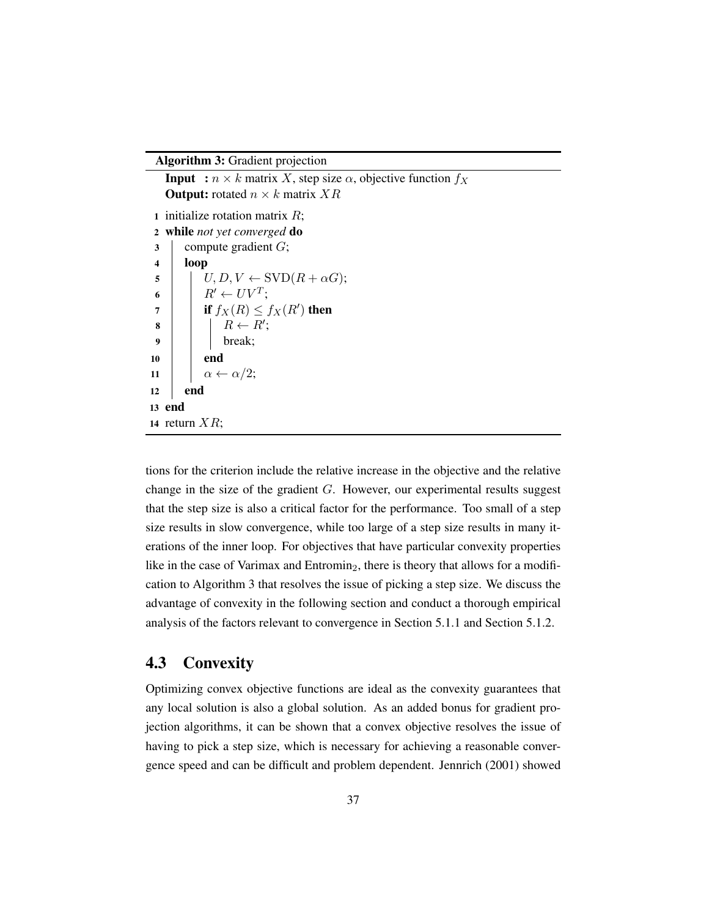Algorithm 3: Gradient projection

**Input** :  $n \times k$  matrix X, step size  $\alpha$ , objective function  $f_X$ **Output:** rotated  $n \times k$  matrix  $XR$ 1 initialize rotation matrix  $R$ ; 2 while *not yet converged* do  $3$  compute gradient  $G$ ; 4 loop  $\mathfrak{s}$  |  $U, D, V \leftarrow \text{SVD}(R + \alpha G);$ 6  $R' \leftarrow UV^T;$  $\begin{array}{c|c} \mathbf{7} & \mathbf{1} \end{array}$  if  $f_X(R) \leq f_X(R')$  then  $\begin{array}{c|c} \hline \textbf{8} & \textbf{8} & \textbf{8} \end{array}$   $\begin{array}{|c|c|c|c|c|} \hline \textbf{8} & \textbf{8} & \textbf{8} & \textbf{8} & \textbf{8} & \textbf{8} & \textbf{8} & \textbf{8} & \textbf{8} & \textbf{8} & \textbf{8} & \textbf{8} & \textbf{8} & \textbf{8} & \textbf{8} & \textbf{8} & \textbf{8} & \textbf{8} & \textbf{8} & \textbf{8} & \textbf{8} & \textbf{8} & \textbf{8}$  $9 \mid \cdot \cdot \cdot \cdot \cdot$  break; 10 **end** 11  $\alpha \leftarrow \alpha/2;$  $12$  end 13 end 14 return  $XR$ ;

<span id="page-54-1"></span>tions for the criterion include the relative increase in the objective and the relative change in the size of the gradient G. However, our experimental results suggest that the step size is also a critical factor for the performance. Too small of a step size results in slow convergence, while too large of a step size results in many iterations of the inner loop. For objectives that have particular convexity properties like in the case of Varimax and Entromin<sub>2</sub>, there is theory that allows for a modification to [Algorithm](#page-54-1) [3](#page-54-1) that resolves the issue of picking a step size. We discuss the advantage of convexity in the following section and conduct a thorough empirical analysis of the factors relevant to convergence in [Section 5.1.1](#page-58-0) and [Section 5.1.2.](#page-59-0)

### <span id="page-54-0"></span>4.3 Convexity

Optimizing convex objective functions are ideal as the convexity guarantees that any local solution is also a global solution. As an added bonus for gradient projection algorithms, it can be shown that a convex objective resolves the issue of having to pick a step size, which is necessary for achieving a reasonable convergence speed and can be difficult and problem dependent. [Jennrich](#page-74-2) [\(2001\)](#page-74-2) showed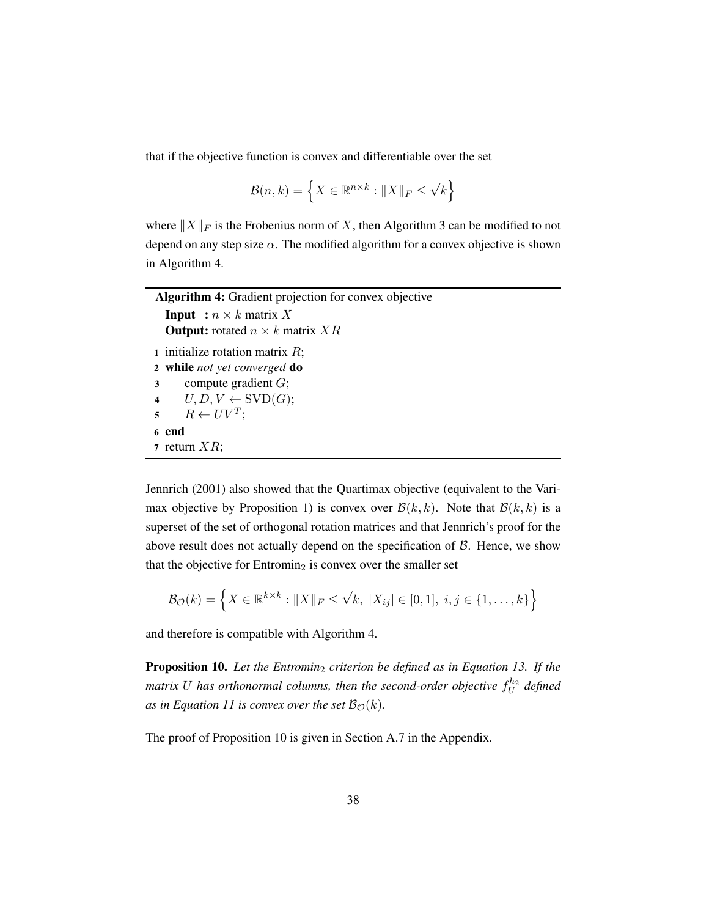that if the objective function is convex and differentiable over the set

$$
\mathcal{B}(n,k) = \left\{ X \in \mathbb{R}^{n \times k} : \|X\|_F \le \sqrt{k} \right\}
$$

where  $||X||_F$  is the Frobenius norm of X, then [Algorithm](#page-54-1) [3](#page-54-1) can be modified to not depend on any step size  $\alpha$ . The modified algorithm for a convex objective is shown in [Algorithm](#page-55-0) [4.](#page-55-0)

| <b>Algorithm 4:</b> Gradient projection for convex objective |  |  |  |  |
|--------------------------------------------------------------|--|--|--|--|
| <b>Input</b> : $n \times k$ matrix X                         |  |  |  |  |
| <b>Output:</b> rotated $n \times k$ matrix XR                |  |  |  |  |
| 1 initialize rotation matrix $R$ ;                           |  |  |  |  |
| 2 while not yet converged do                                 |  |  |  |  |
| compute gradient $G$ ;<br>3                                  |  |  |  |  |
| 4   $U, D, V \leftarrow \text{SVD}(G);$                      |  |  |  |  |
| $R \leftarrow UV^T$ ;<br>$\overline{5}$                      |  |  |  |  |
| 6 end                                                        |  |  |  |  |
| 7 return $XR$ ;                                              |  |  |  |  |

<span id="page-55-0"></span>[Jennrich](#page-74-2) [\(2001\)](#page-74-2) also showed that the Quartimax objective (equivalent to the Vari-max objective by [Proposition](#page-36-1) [1\)](#page-36-1) is convex over  $\mathcal{B}(k, k)$ . Note that  $\mathcal{B}(k, k)$  is a superset of the set of orthogonal rotation matrices and that [Jennrich'](#page-74-2)s proof for the above result does not actually depend on the specification of  $\beta$ . Hence, we show that the objective for Entromin<sub>2</sub> is convex over the smaller set

$$
\mathcal{B}_{\mathcal{O}}(k) = \left\{ X \in \mathbb{R}^{k \times k} : \|X\|_F \le \sqrt{k}, \ |X_{ij}| \in [0,1], \ i, j \in \{1, \dots, k\} \right\}
$$

and therefore is compatible with [Algorithm](#page-55-0) [4.](#page-55-0)

<span id="page-55-1"></span>Proposition 10. *Let the Entromin*<sup>2</sup> *criterion be defined as in [Equation 13.](#page-37-2) If the* matrix  $U$  has orthonormal columns, then the second-order objective  $f_U^{h_2}$  defined *as in [Equation 11](#page-35-0) is convex over the set*  $\mathcal{B}_{\mathcal{O}}(k)$ *.* 

The proof of [Proposition 10](#page-55-1) is given in [Section A.7](#page-94-2) in the Appendix.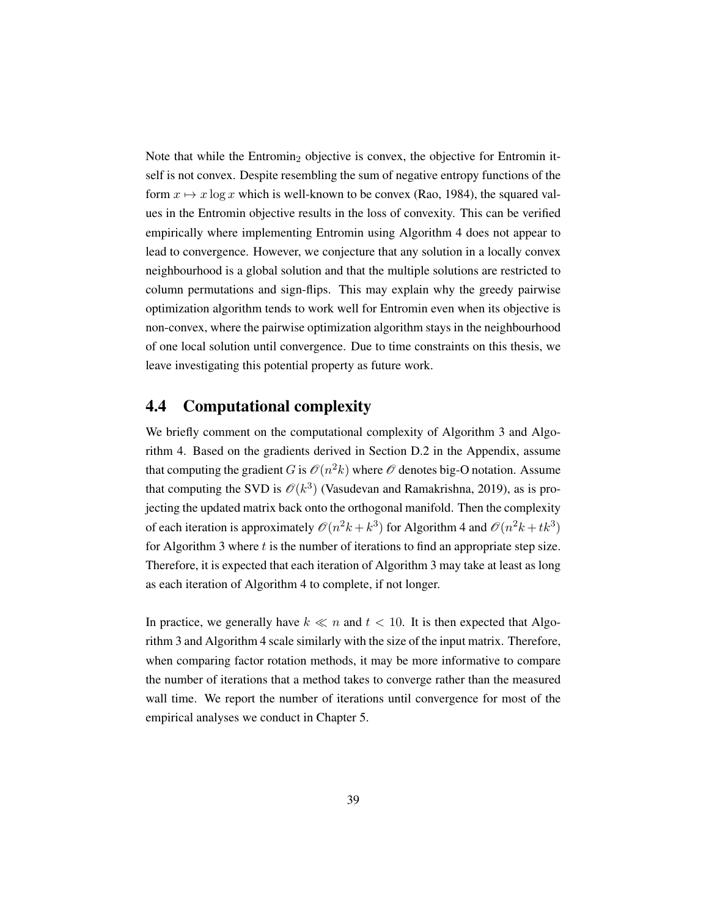Note that while the Entromin<sub>2</sub> objective is convex, the objective for Entromin itself is not convex. Despite resembling the sum of negative entropy functions of the form  $x \mapsto x \log x$  which is well-known to be convex [\(Rao,](#page-75-5) [1984\)](#page-75-5), the squared values in the Entromin objective results in the loss of convexity. This can be verified empirically where implementing Entromin using [Algorithm](#page-55-0) [4](#page-55-0) does not appear to lead to convergence. However, we conjecture that any solution in a locally convex neighbourhood is a global solution and that the multiple solutions are restricted to column permutations and sign-flips. This may explain why the greedy pairwise optimization algorithm tends to work well for Entromin even when its objective is non-convex, where the pairwise optimization algorithm stays in the neighbourhood of one local solution until convergence. Due to time constraints on this thesis, we leave investigating this potential property as future work.

### 4.4 Computational complexity

We briefly comment on the computational complexity of [Algorithm](#page-54-1) [3](#page-54-1) and [Algo](#page-55-0)[rithm](#page-55-0) [4.](#page-55-0) Based on the gradients derived in [Section D.2](#page-104-0) in the Appendix, assume that computing the gradient G is  $\mathcal{O}(n^2k)$  where  $\mathcal O$  denotes big-O notation. Assume that computing the SVD is  $\mathcal{O}(k^3)$  [\(Vasudevan and Ramakrishna,](#page-76-2) [2019\)](#page-76-2), as is projecting the updated matrix back onto the orthogonal manifold. Then the complexity of each iteration is approximately  $\mathcal{O}(n^2k + k^3)$  for [Algorithm](#page-55-0) [4](#page-55-0) and  $\mathcal{O}(n^2k + tk^3)$ for [Algorithm](#page-54-1) [3](#page-54-1) where  $t$  is the number of iterations to find an appropriate step size. Therefore, it is expected that each iteration of [Algorithm](#page-54-1) [3](#page-54-1) may take at least as long as each iteration of [Algorithm](#page-55-0) [4](#page-55-0) to complete, if not longer.

In practice, we generally have  $k \ll n$  and  $t < 10$ . It is then expected that [Algo](#page-54-1)[rithm](#page-54-1) [3](#page-54-1) and [Algorithm](#page-55-0) [4](#page-55-0) scale similarly with the size of the input matrix. Therefore, when comparing factor rotation methods, it may be more informative to compare the number of iterations that a method takes to converge rather than the measured wall time. We report the number of iterations until convergence for most of the empirical analyses we conduct in [Chapter 5.](#page-57-0)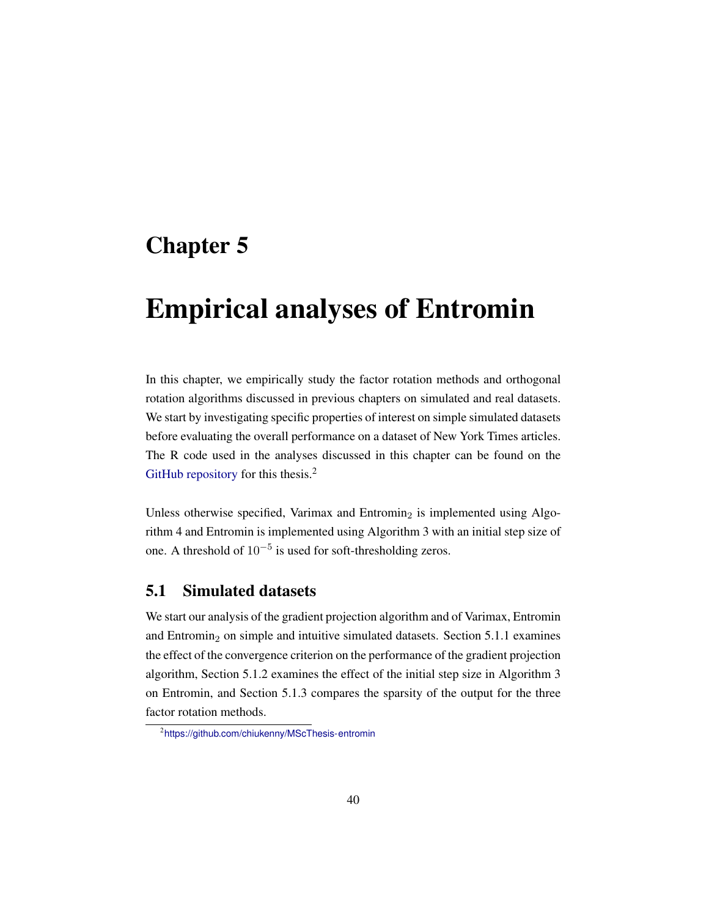# <span id="page-57-0"></span>Chapter 5

# Empirical analyses of Entromin

In this chapter, we empirically study the factor rotation methods and orthogonal rotation algorithms discussed in previous chapters on simulated and real datasets. We start by investigating specific properties of interest on simple simulated datasets before evaluating the overall performance on a dataset of New York Times articles. The R code used in the analyses discussed in this chapter can be found on the [GitHub repository](https://github.com/chiukenny/MScThesis-entromin) for this thesis.<sup>[2](#page-57-1)</sup>

Unless otherwise specified, Varimax and Entromin<sub>2</sub> is implemented using [Algo](#page-55-0)[rithm](#page-55-0) [4](#page-55-0) and Entromin is implemented using [Algorithm](#page-54-1) [3](#page-54-1) with an initial step size of one. A threshold of  $10^{-5}$  is used for soft-thresholding zeros.

## 5.1 Simulated datasets

We start our analysis of the gradient projection algorithm and of Varimax, Entromin and Entromin<sub>2</sub> on simple and intuitive simulated datasets. [Section 5.1.1](#page-58-0) examines the effect of the convergence criterion on the performance of the gradient projection algorithm, [Section 5.1.2](#page-59-0) examines the effect of the initial step size in [Algorithm](#page-54-1) [3](#page-54-1) on Entromin, and [Section 5.1.3](#page-61-0) compares the sparsity of the output for the three factor rotation methods.

<span id="page-57-1"></span><sup>2</sup> <https://github.com/chiukenny/MScThesis-entromin>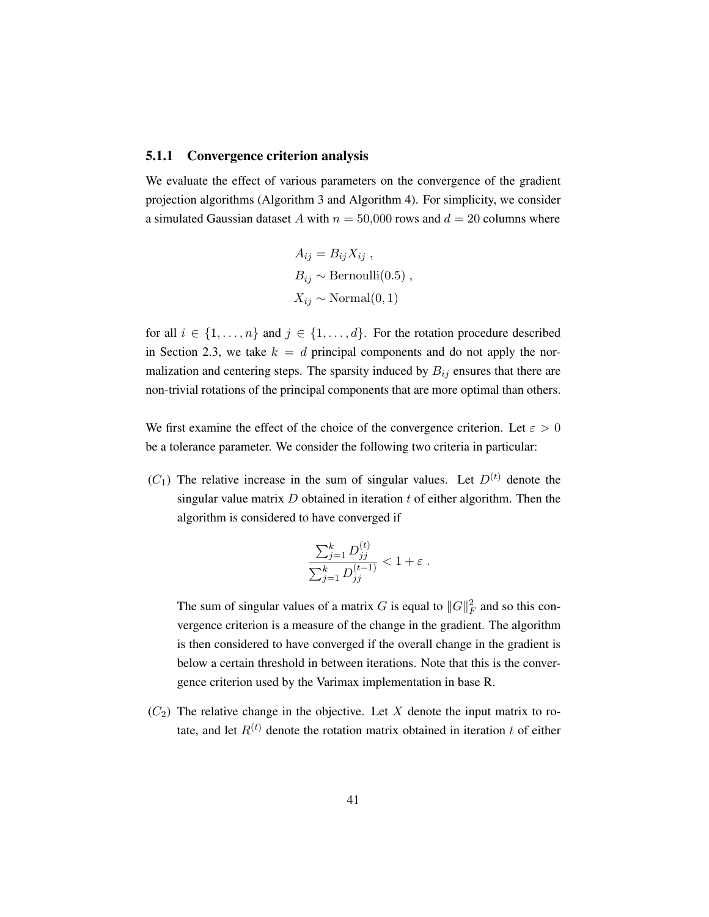#### <span id="page-58-0"></span>5.1.1 Convergence criterion analysis

We evaluate the effect of various parameters on the convergence of the gradient projection algorithms [\(Algorithm](#page-54-1) [3](#page-54-1) and [Algorithm](#page-55-0) [4\)](#page-55-0). For simplicity, we consider a simulated Gaussian dataset A with  $n = 50,000$  rows and  $d = 20$  columns where

$$
A_{ij} = B_{ij} X_{ij} ,
$$
  
\n
$$
B_{ij} \sim \text{Bernoulli}(0.5) ,
$$
  
\n
$$
X_{ij} \sim \text{Normal}(0, 1)
$$

for all  $i \in \{1, \ldots, n\}$  and  $j \in \{1, \ldots, d\}$ . For the rotation procedure described in [Section 2.3,](#page-24-0) we take  $k = d$  principal components and do not apply the normalization and centering steps. The sparsity induced by  $B_{ij}$  ensures that there are non-trivial rotations of the principal components that are more optimal than others.

We first examine the effect of the choice of the convergence criterion. Let  $\varepsilon > 0$ be a tolerance parameter. We consider the following two criteria in particular:

 $(C_1)$  The relative increase in the sum of singular values. Let  $D^{(t)}$  denote the singular value matrix  $D$  obtained in iteration  $t$  of either algorithm. Then the algorithm is considered to have converged if

$$
\frac{\sum_{j=1}^k D_{jj}^{(t)}}{\sum_{j=1}^k D_{jj}^{(t-1)}} < 1 + \varepsilon.
$$

The sum of singular values of a matrix G is equal to  $||G||_F^2$  and so this convergence criterion is a measure of the change in the gradient. The algorithm is then considered to have converged if the overall change in the gradient is below a certain threshold in between iterations. Note that this is the convergence criterion used by the Varimax implementation in base R.

 $(C_2)$  The relative change in the objective. Let X denote the input matrix to rotate, and let  $R^{(t)}$  denote the rotation matrix obtained in iteration t of either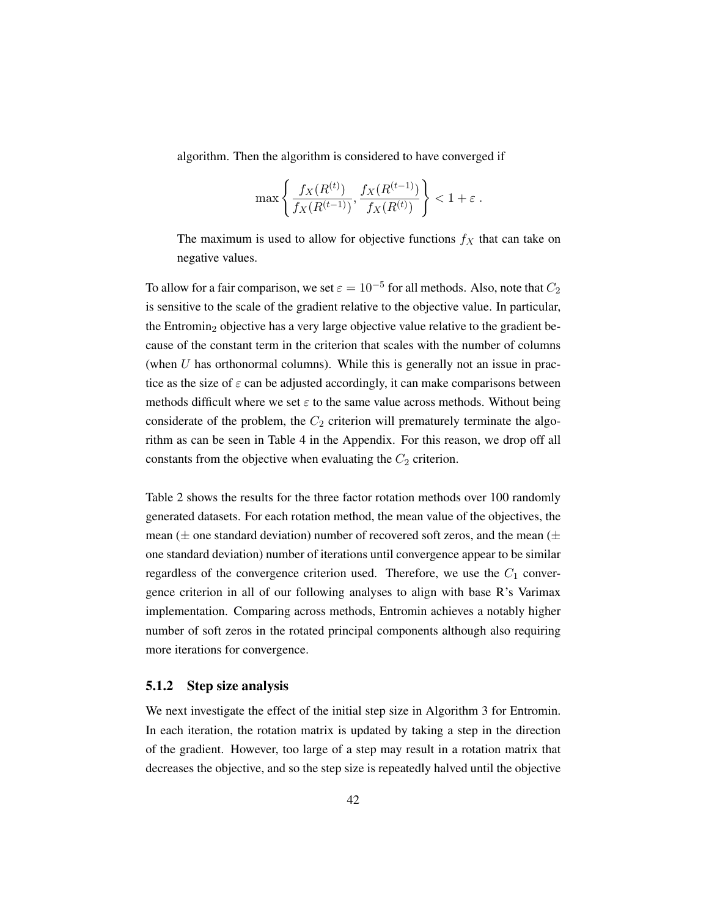algorithm. Then the algorithm is considered to have converged if

$$
\max\left\{\frac{f_X(R^{(t)})}{f_X(R^{(t-1)})}, \frac{f_X(R^{(t-1)})}{f_X(R^{(t)})}\right\} < 1 + \varepsilon.
$$

The maximum is used to allow for objective functions  $f_X$  that can take on negative values.

To allow for a fair comparison, we set  $\varepsilon = 10^{-5}$  for all methods. Also, note that  $C_2$ is sensitive to the scale of the gradient relative to the objective value. In particular, the Entromin<sub>2</sub> objective has a very large objective value relative to the gradient because of the constant term in the criterion that scales with the number of columns (when  $U$  has orthonormal columns). While this is generally not an issue in practice as the size of  $\varepsilon$  can be adjusted accordingly, it can make comparisons between methods difficult where we set  $\varepsilon$  to the same value across methods. Without being considerate of the problem, the  $C_2$  criterion will prematurely terminate the algorithm as can be seen in [Table 4](#page-107-0) in the Appendix. For this reason, we drop off all constants from the objective when evaluating the  $C_2$  criterion.

[Table 2](#page-60-0) shows the results for the three factor rotation methods over 100 randomly generated datasets. For each rotation method, the mean value of the objectives, the mean ( $\pm$  one standard deviation) number of recovered soft zeros, and the mean ( $\pm$ one standard deviation) number of iterations until convergence appear to be similar regardless of the convergence criterion used. Therefore, we use the  $C_1$  convergence criterion in all of our following analyses to align with base R's Varimax implementation. Comparing across methods, Entromin achieves a notably higher number of soft zeros in the rotated principal components although also requiring more iterations for convergence.

#### <span id="page-59-0"></span>5.1.2 Step size analysis

We next investigate the effect of the initial step size in [Algorithm](#page-54-1) [3](#page-54-1) for Entromin. In each iteration, the rotation matrix is updated by taking a step in the direction of the gradient. However, too large of a step may result in a rotation matrix that decreases the objective, and so the step size is repeatedly halved until the objective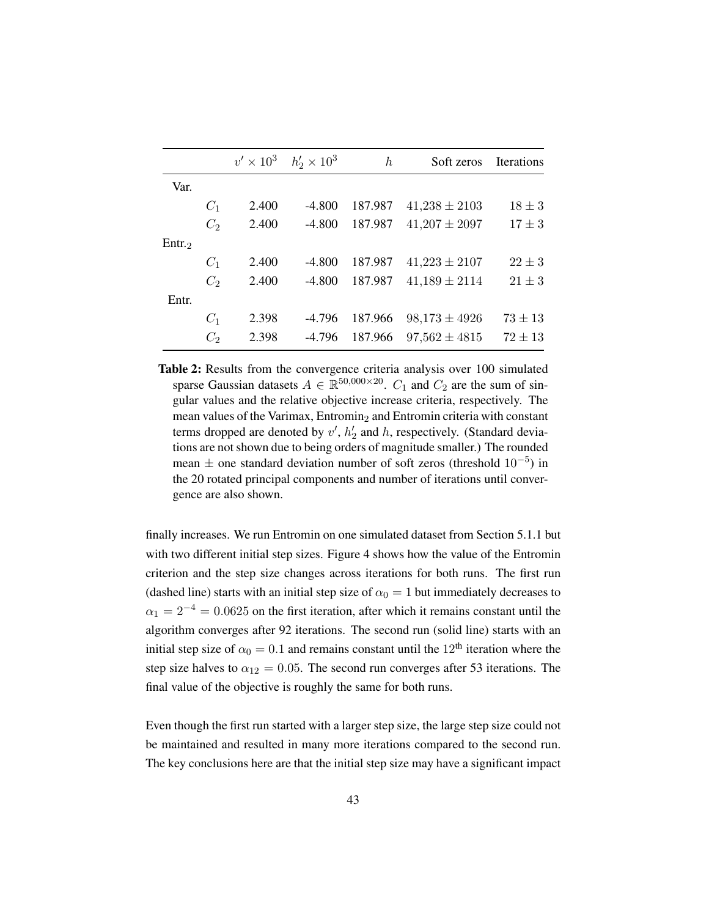<span id="page-60-0"></span>

|          |                | $v' \times 10^3$ | $h'_2 \times 10^3$ | $\boldsymbol{h}$ | Soft zeros        | <b>Iterations</b> |
|----------|----------------|------------------|--------------------|------------------|-------------------|-------------------|
| Var.     |                |                  |                    |                  |                   |                   |
|          | $C_1$          | 2.400            | $-4.800$           | 187.987          | $41,238 \pm 2103$ | $18 \pm 3$        |
|          | C <sub>2</sub> | 2.400            | $-4.800$           | 187.987          | $41,207 \pm 2097$ | $17 \pm 3$        |
| $E$ ntr. |                |                  |                    |                  |                   |                   |
|          | $C_1$          | 2.400            | $-4.800$           | 187.987          | $41,223 \pm 2107$ | $22 \pm 3$        |
|          | C <sub>2</sub> | 2.400            | $-4.800$           | 187.987          | $41,189 \pm 2114$ | $21 \pm 3$        |
| Entr.    |                |                  |                    |                  |                   |                   |
|          | $C_1$          | 2.398            | $-4.796$           | 187.966          | $98,173 \pm 4926$ | $73 \pm 13$       |
|          | $C_2$          | 2.398            | $-4.796$           | 187.966          | $97,562 \pm 4815$ | $72 \pm 13$       |
|          |                |                  |                    |                  |                   |                   |

Table 2: Results from the convergence criteria analysis over 100 simulated sparse Gaussian datasets  $A \in \mathbb{R}^{50,000 \times 20}$ .  $C_1$  and  $C_2$  are the sum of singular values and the relative objective increase criteria, respectively. The mean values of the Varimax, Entromin<sub>2</sub> and Entromin criteria with constant terms dropped are denoted by  $v'$ ,  $h'_2$  and h, respectively. (Standard deviations are not shown due to being orders of magnitude smaller.) The rounded mean  $\pm$  one standard deviation number of soft zeros (threshold  $10^{-5}$ ) in the 20 rotated principal components and number of iterations until convergence are also shown.

finally increases. We run Entromin on one simulated dataset from [Section 5.1.1](#page-58-0) but with two different initial step sizes. [Figure 4](#page-61-1) shows how the value of the Entromin criterion and the step size changes across iterations for both runs. The first run (dashed line) starts with an initial step size of  $\alpha_0 = 1$  but immediately decreases to  $\alpha_1 = 2^{-4} = 0.0625$  on the first iteration, after which it remains constant until the algorithm converges after 92 iterations. The second run (solid line) starts with an initial step size of  $\alpha_0 = 0.1$  and remains constant until the 12<sup>th</sup> iteration where the step size halves to  $\alpha_{12} = 0.05$ . The second run converges after 53 iterations. The final value of the objective is roughly the same for both runs.

Even though the first run started with a larger step size, the large step size could not be maintained and resulted in many more iterations compared to the second run. The key conclusions here are that the initial step size may have a significant impact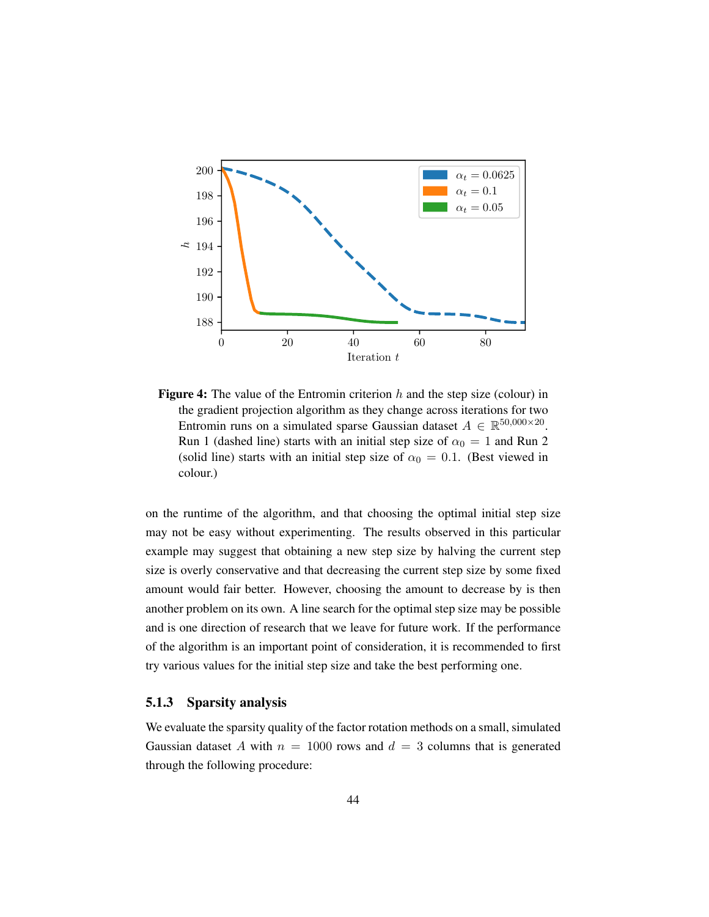<span id="page-61-1"></span>

**Figure 4:** The value of the Entromin criterion  $h$  and the step size (colour) in the gradient projection algorithm as they change across iterations for two Entromin runs on a simulated sparse Gaussian dataset  $A \in \mathbb{R}^{50,000 \times 20}$ . Run 1 (dashed line) starts with an initial step size of  $\alpha_0 = 1$  and Run 2 (solid line) starts with an initial step size of  $\alpha_0 = 0.1$ . (Best viewed in colour.)

on the runtime of the algorithm, and that choosing the optimal initial step size may not be easy without experimenting. The results observed in this particular example may suggest that obtaining a new step size by halving the current step size is overly conservative and that decreasing the current step size by some fixed amount would fair better. However, choosing the amount to decrease by is then another problem on its own. A line search for the optimal step size may be possible and is one direction of research that we leave for future work. If the performance of the algorithm is an important point of consideration, it is recommended to first try various values for the initial step size and take the best performing one.

#### <span id="page-61-0"></span>5.1.3 Sparsity analysis

We evaluate the sparsity quality of the factor rotation methods on a small, simulated Gaussian dataset A with  $n = 1000$  rows and  $d = 3$  columns that is generated through the following procedure: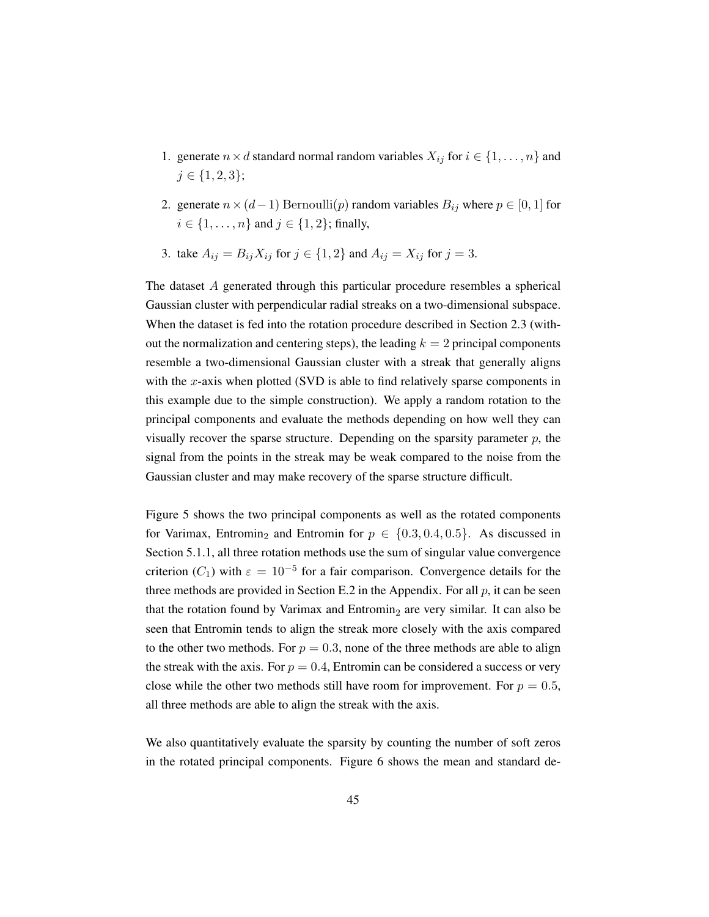- 1. generate  $n \times d$  standard normal random variables  $X_{ij}$  for  $i \in \{1, \ldots, n\}$  and  $j \in \{1, 2, 3\};$
- 2. generate  $n \times (d-1)$  Bernoulli $(p)$  random variables  $B_{ij}$  where  $p \in [0, 1]$  for  $i \in \{1, ..., n\}$  and  $j \in \{1, 2\}$ ; finally,
- 3. take  $A_{ij} = B_{ij} X_{ij}$  for  $j \in \{1, 2\}$  and  $A_{ij} = X_{ij}$  for  $j = 3$ .

The dataset A generated through this particular procedure resembles a spherical Gaussian cluster with perpendicular radial streaks on a two-dimensional subspace. When the dataset is fed into the rotation procedure described in [Section 2.3](#page-24-0) (without the normalization and centering steps), the leading  $k = 2$  principal components resemble a two-dimensional Gaussian cluster with a streak that generally aligns with the  $x$ -axis when plotted (SVD is able to find relatively sparse components in this example due to the simple construction). We apply a random rotation to the principal components and evaluate the methods depending on how well they can visually recover the sparse structure. Depending on the sparsity parameter  $p$ , the signal from the points in the streak may be weak compared to the noise from the Gaussian cluster and may make recovery of the sparse structure difficult.

[Figure 5](#page-63-0) shows the two principal components as well as the rotated components for Varimax, Entromin<sub>2</sub> and Entromin for  $p \in \{0.3, 0.4, 0.5\}$ . As discussed in [Section 5.1.1,](#page-58-0) all three rotation methods use the sum of singular value convergence criterion ( $C_1$ ) with  $\varepsilon = 10^{-5}$  for a fair comparison. Convergence details for the three methods are provided in [Section E.2](#page-107-1) in the Appendix. For all  $p$ , it can be seen that the rotation found by Varimax and Entromin<sub>2</sub> are very similar. It can also be seen that Entromin tends to align the streak more closely with the axis compared to the other two methods. For  $p = 0.3$ , none of the three methods are able to align the streak with the axis. For  $p = 0.4$ , Entromin can be considered a success or very close while the other two methods still have room for improvement. For  $p = 0.5$ , all three methods are able to align the streak with the axis.

We also quantitatively evaluate the sparsity by counting the number of soft zeros in the rotated principal components. [Figure 6](#page-64-0) shows the mean and standard de-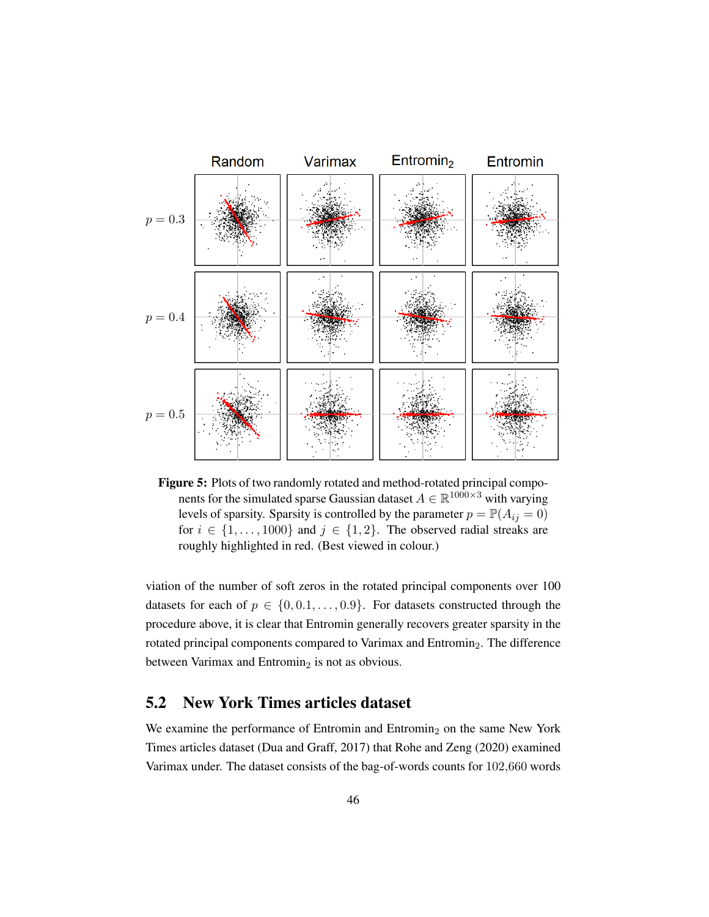<span id="page-63-0"></span>

Figure 5: Plots of two randomly rotated and method-rotated principal components for the simulated sparse Gaussian dataset  $A \in \mathbb{R}^{1000 \times 3}$  with varying levels of sparsity. Sparsity is controlled by the parameter  $p = \mathbb{P}(A_{ij} = 0)$ for  $i \in \{1, \ldots, 1000\}$  and  $j \in \{1, 2\}$ . The observed radial streaks are roughly highlighted in red. (Best viewed in colour.)

viation of the number of soft zeros in the rotated principal components over 100 datasets for each of  $p \in \{0, 0.1, \ldots, 0.9\}$ . For datasets constructed through the procedure above, it is clear that Entromin generally recovers greater sparsity in the rotated principal components compared to Varimax and Entromin<sub>2</sub>. The difference between Varimax and Entromin<sub>2</sub> is not as obvious.

# 5.2 New York Times articles dataset

We examine the performance of Entromin and Entromin<sub>2</sub> on the same New York Times articles dataset [\(Dua and Graff,](#page-73-2) [2017\)](#page-73-2) that [Rohe and Zeng](#page-75-2) [\(2020\)](#page-75-2) examined Varimax under. The dataset consists of the bag-of-words counts for 102,660 words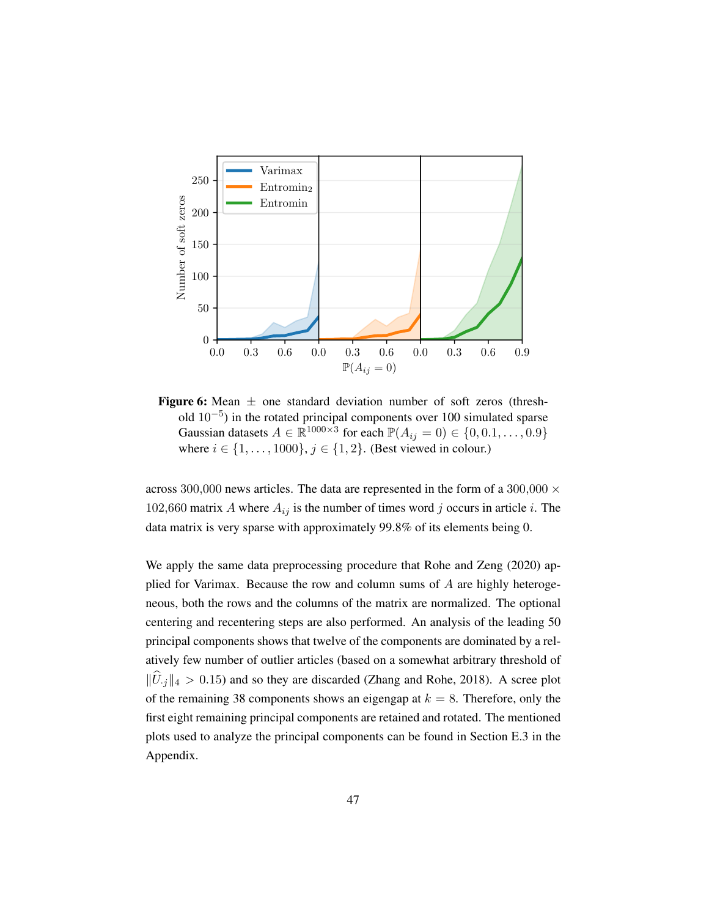<span id="page-64-0"></span>

**Figure 6:** Mean  $\pm$  one standard deviation number of soft zeros (threshold 10−<sup>5</sup> ) in the rotated principal components over 100 simulated sparse Gaussian datasets  $A \in \mathbb{R}^{1000 \times 3}$  for each  $\mathbb{P}(A_{ij} = 0) \in \{0, 0.1, \dots, 0.9\}$ where  $i \in \{1, \ldots, 1000\}$ ,  $j \in \{1, 2\}$ . (Best viewed in colour.)

across 300,000 news articles. The data are represented in the form of a 300,000  $\times$ 102,660 matrix A where  $A_{ij}$  is the number of times word j occurs in article i. The data matrix is very sparse with approximately 99.8% of its elements being 0.

We apply the same data preprocessing procedure that [Rohe and Zeng](#page-75-2) [\(2020\)](#page-75-2) applied for Varimax. Because the row and column sums of A are highly heterogeneous, both the rows and the columns of the matrix are normalized. The optional centering and recentering steps are also performed. An analysis of the leading 50 principal components shows that twelve of the components are dominated by a relatively few number of outlier articles (based on a somewhat arbitrary threshold of  $\|\widehat{U}_{i\cdot j}\|_4 > 0.15$ ) and so they are discarded [\(Zhang and Rohe,](#page-76-3) [2018\)](#page-76-3). A scree plot of the remaining 38 components shows an eigengap at  $k = 8$ . Therefore, only the first eight remaining principal components are retained and rotated. The mentioned plots used to analyze the principal components can be found in [Section E.3](#page-108-0) in the Appendix.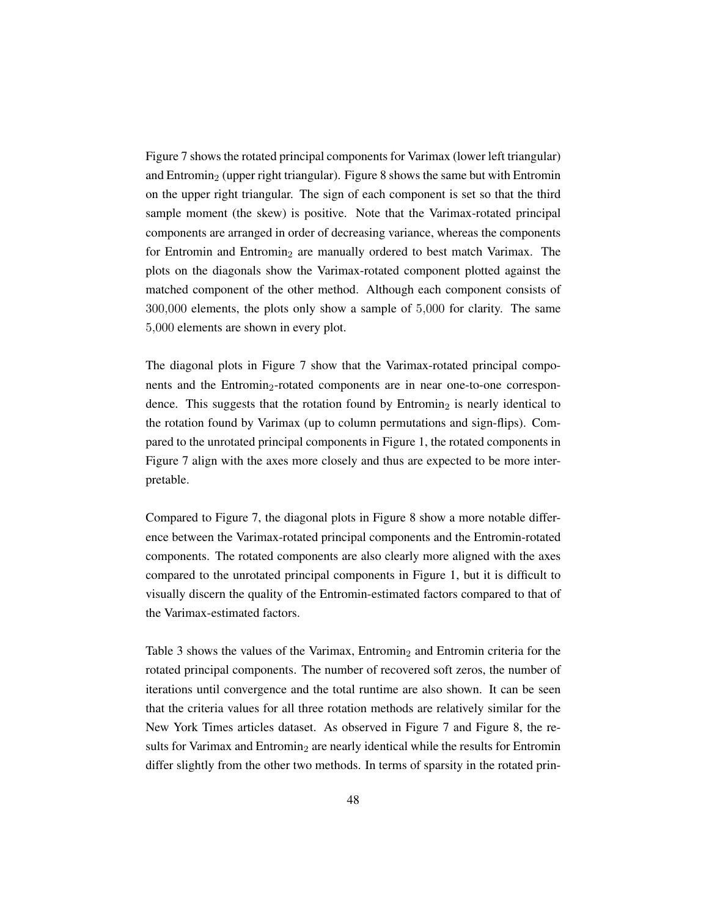[Figure 7](#page-66-0) shows the rotated principal components for Varimax (lower left triangular) and Entromin<sub>2</sub> (upper right triangular). [Figure 8](#page-67-0) shows the same but with Entromin on the upper right triangular. The sign of each component is set so that the third sample moment (the skew) is positive. Note that the Varimax-rotated principal components are arranged in order of decreasing variance, whereas the components for Entromin and Entromin<sub>2</sub> are manually ordered to best match Varimax. The plots on the diagonals show the Varimax-rotated component plotted against the matched component of the other method. Although each component consists of 300,000 elements, the plots only show a sample of 5,000 for clarity. The same 5,000 elements are shown in every plot.

The diagonal plots in [Figure 7](#page-66-0) show that the Varimax-rotated principal components and the Entromin<sub>2</sub>-rotated components are in near one-to-one correspondence. This suggests that the rotation found by  $Entromin<sub>2</sub>$  is nearly identical to the rotation found by Varimax (up to column permutations and sign-flips). Compared to the unrotated principal components in [Figure 1,](#page-20-0) the rotated components in [Figure 7](#page-66-0) align with the axes more closely and thus are expected to be more interpretable.

Compared to [Figure 7,](#page-66-0) the diagonal plots in [Figure 8](#page-67-0) show a more notable difference between the Varimax-rotated principal components and the Entromin-rotated components. The rotated components are also clearly more aligned with the axes compared to the unrotated principal components in [Figure 1,](#page-20-0) but it is difficult to visually discern the quality of the Entromin-estimated factors compared to that of the Varimax-estimated factors.

[Table 3](#page-68-0) shows the values of the Varimax, Entromin<sub>2</sub> and Entromin criteria for the rotated principal components. The number of recovered soft zeros, the number of iterations until convergence and the total runtime are also shown. It can be seen that the criteria values for all three rotation methods are relatively similar for the New York Times articles dataset. As observed in [Figure 7](#page-66-0) and [Figure 8,](#page-67-0) the results for Varimax and Entromin<sub>2</sub> are nearly identical while the results for Entromin differ slightly from the other two methods. In terms of sparsity in the rotated prin-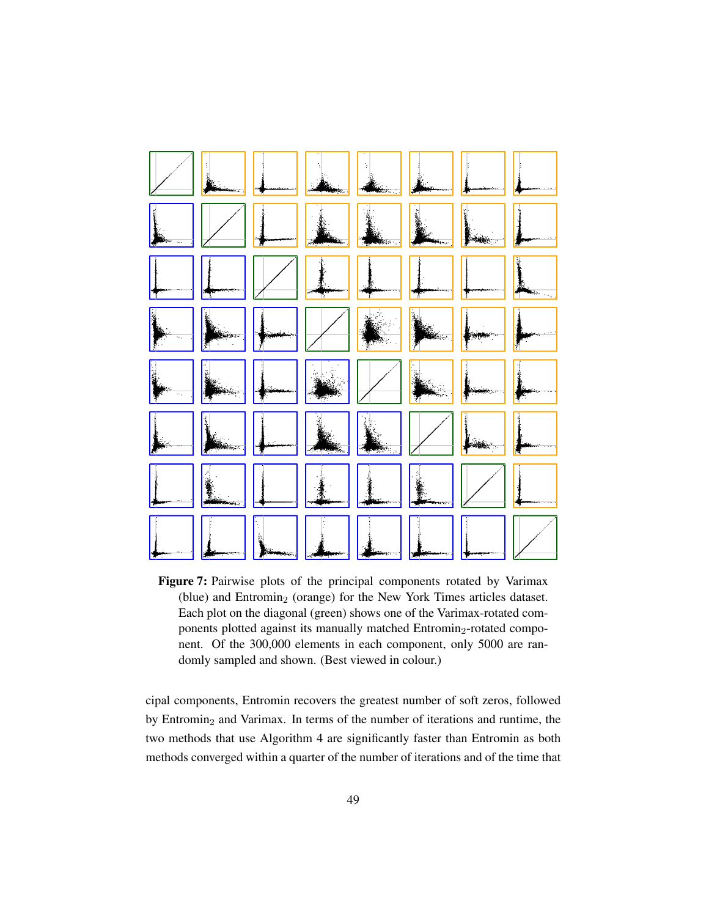<span id="page-66-0"></span>

Figure 7: Pairwise plots of the principal components rotated by Varimax (blue) and Entromin<sub>2</sub> (orange) for the New York Times articles dataset. Each plot on the diagonal (green) shows one of the Varimax-rotated components plotted against its manually matched Entromin<sub>2</sub>-rotated component. Of the 300,000 elements in each component, only 5000 are randomly sampled and shown. (Best viewed in colour.)

cipal components, Entromin recovers the greatest number of soft zeros, followed by Entromin<sub>2</sub> and Varimax. In terms of the number of iterations and runtime, the two methods that use [Algorithm](#page-55-0) [4](#page-55-0) are significantly faster than Entromin as both methods converged within a quarter of the number of iterations and of the time that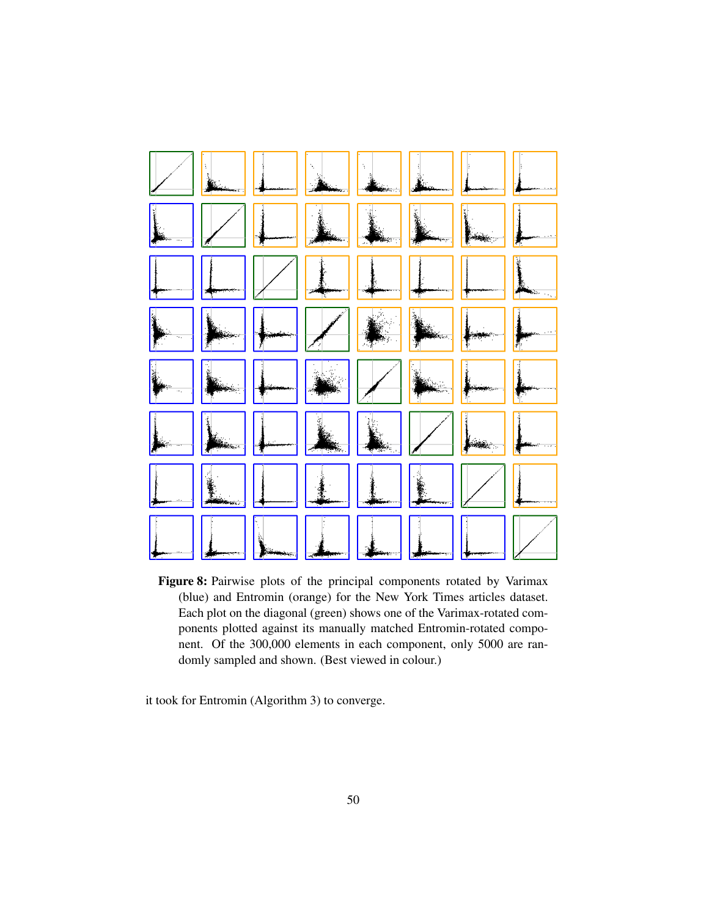<span id="page-67-0"></span>

Figure 8: Pairwise plots of the principal components rotated by Varimax (blue) and Entromin (orange) for the New York Times articles dataset. Each plot on the diagonal (green) shows one of the Varimax-rotated components plotted against its manually matched Entromin-rotated component. Of the 300,000 elements in each component, only 5000 are randomly sampled and shown. (Best viewed in colour.)

it took for Entromin [\(Algorithm](#page-54-1) [3\)](#page-54-1) to converge.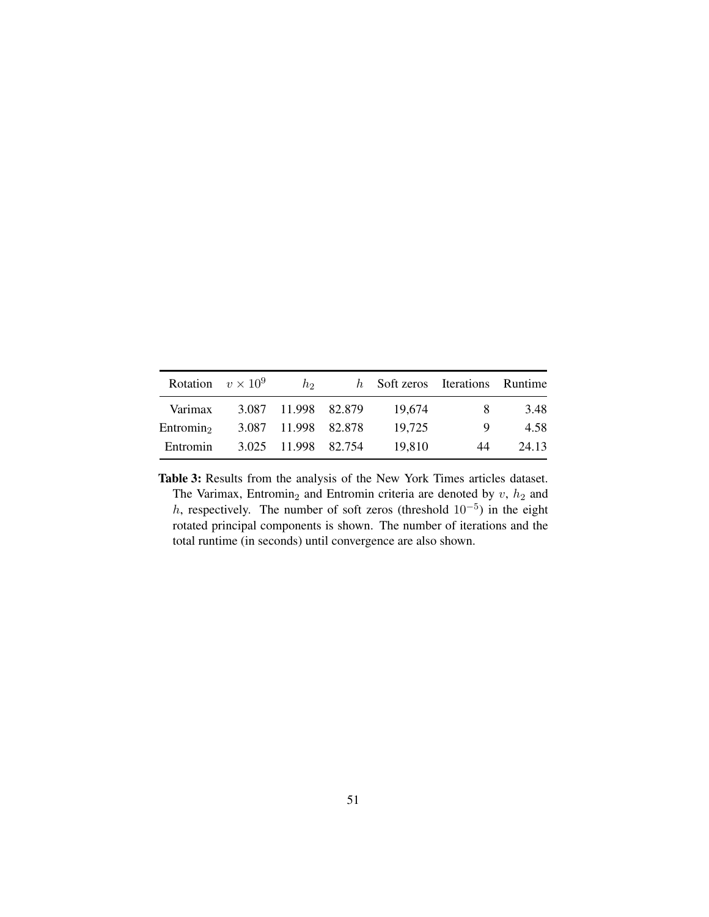<span id="page-68-0"></span>

| Rotation $v \times 10^9$ | h                   | h Soft zeros Iterations Runtime |    |       |
|--------------------------|---------------------|---------------------------------|----|-------|
| Varimax                  | 3.087 11.998 82.879 | 19.674                          | x. | 3.48  |
| Entromin <sub>2</sub>    | 3.087 11.998 82.878 | 19.725                          | 9  | 4.58  |
| Entromin                 | 3.025 11.998 82.754 | 19.810                          | 44 | 24.13 |

Table 3: Results from the analysis of the New York Times articles dataset. The Varimax, Entromin<sub>2</sub> and Entromin criteria are denoted by  $v$ ,  $h_2$  and h, respectively. The number of soft zeros (threshold  $10^{-5}$ ) in the eight rotated principal components is shown. The number of iterations and the total runtime (in seconds) until convergence are also shown.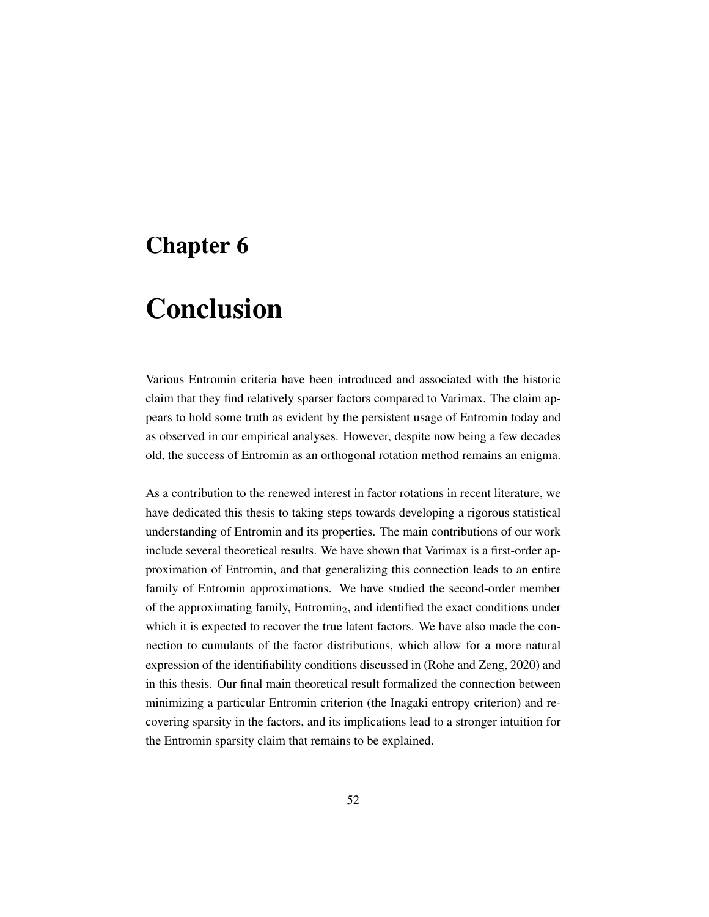# Chapter 6

# Conclusion

Various Entromin criteria have been introduced and associated with the historic claim that they find relatively sparser factors compared to Varimax. The claim appears to hold some truth as evident by the persistent usage of Entromin today and as observed in our empirical analyses. However, despite now being a few decades old, the success of Entromin as an orthogonal rotation method remains an enigma.

As a contribution to the renewed interest in factor rotations in recent literature, we have dedicated this thesis to taking steps towards developing a rigorous statistical understanding of Entromin and its properties. The main contributions of our work include several theoretical results. We have shown that Varimax is a first-order approximation of Entromin, and that generalizing this connection leads to an entire family of Entromin approximations. We have studied the second-order member of the approximating family,  $Entromin<sub>2</sub>$ , and identified the exact conditions under which it is expected to recover the true latent factors. We have also made the connection to cumulants of the factor distributions, which allow for a more natural expression of the identifiability conditions discussed in [\(Rohe and Zeng,](#page-75-2) [2020\)](#page-75-2) and in this thesis. Our final main theoretical result formalized the connection between minimizing a particular Entromin criterion (the Inagaki entropy criterion) and recovering sparsity in the factors, and its implications lead to a stronger intuition for the Entromin sparsity claim that remains to be explained.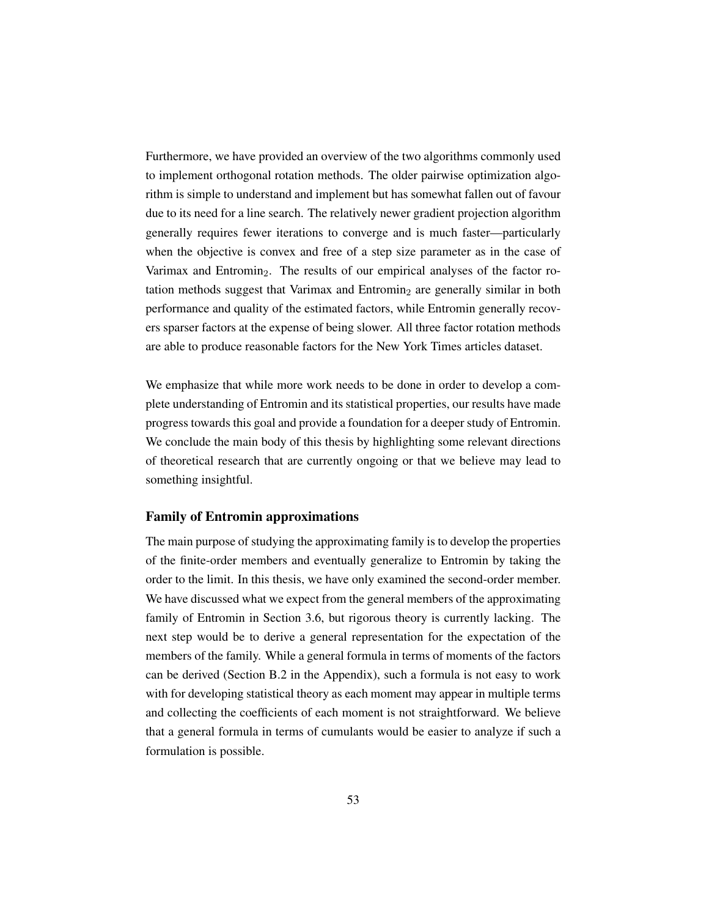Furthermore, we have provided an overview of the two algorithms commonly used to implement orthogonal rotation methods. The older pairwise optimization algorithm is simple to understand and implement but has somewhat fallen out of favour due to its need for a line search. The relatively newer gradient projection algorithm generally requires fewer iterations to converge and is much faster—particularly when the objective is convex and free of a step size parameter as in the case of Varimax and Entromin<sub>2</sub>. The results of our empirical analyses of the factor rotation methods suggest that Varimax and Entromin<sub>2</sub> are generally similar in both performance and quality of the estimated factors, while Entromin generally recovers sparser factors at the expense of being slower. All three factor rotation methods are able to produce reasonable factors for the New York Times articles dataset.

We emphasize that while more work needs to be done in order to develop a complete understanding of Entromin and its statistical properties, our results have made progress towards this goal and provide a foundation for a deeper study of Entromin. We conclude the main body of this thesis by highlighting some relevant directions of theoretical research that are currently ongoing or that we believe may lead to something insightful.

#### Family of Entromin approximations

The main purpose of studying the approximating family is to develop the properties of the finite-order members and eventually generalize to Entromin by taking the order to the limit. In this thesis, we have only examined the second-order member. We have discussed what we expect from the general members of the approximating family of Entromin in [Section 3.6,](#page-47-0) but rigorous theory is currently lacking. The next step would be to derive a general representation for the expectation of the members of the family. While a general formula in terms of moments of the factors can be derived [\(Section B.2](#page-97-0) in the Appendix), such a formula is not easy to work with for developing statistical theory as each moment may appear in multiple terms and collecting the coefficients of each moment is not straightforward. We believe that a general formula in terms of cumulants would be easier to analyze if such a formulation is possible.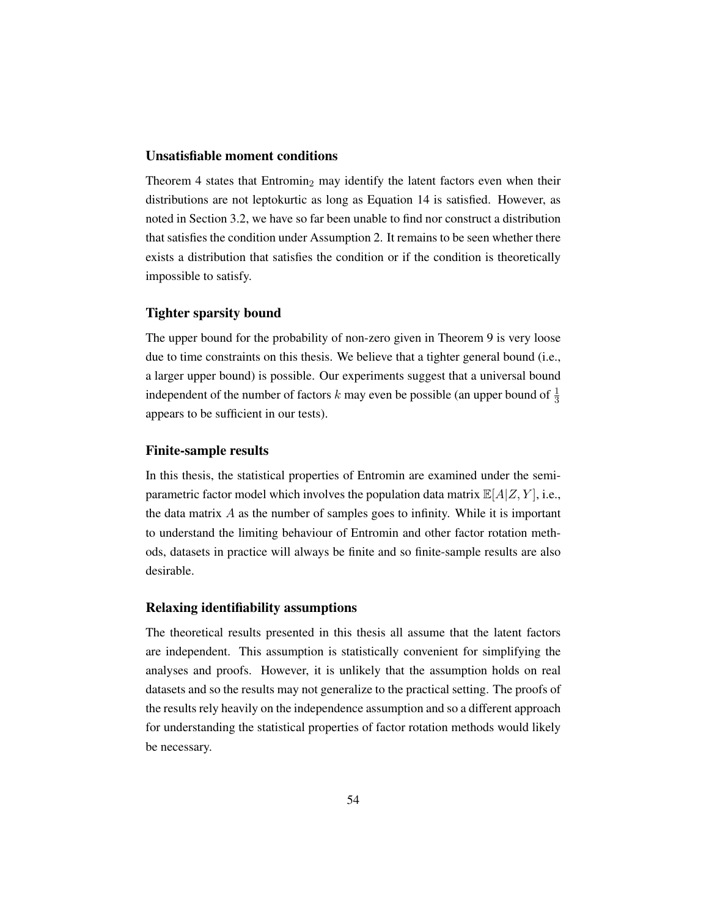#### Unsatisfiable moment conditions

[Theorem 4](#page-40-0) states that Entromin<sub>2</sub> may identify the latent factors even when their distributions are not leptokurtic as long as [Equation](#page-38-1) [14](#page-38-1) is satisfied. However, as noted in [Section 3.2,](#page-37-3) we have so far been unable to find nor construct a distribution that satisfies the condition under [Assumption](#page-38-0) [2.](#page-38-0) It remains to be seen whether there exists a distribution that satisfies the condition or if the condition is theoretically impossible to satisfy.

#### Tighter sparsity bound

The upper bound for the probability of non-zero given in [Theorem 9](#page-46-1) is very loose due to time constraints on this thesis. We believe that a tighter general bound (i.e., a larger upper bound) is possible. Our experiments suggest that a universal bound independent of the number of factors k may even be possible (an upper bound of  $\frac{1}{3}$ appears to be sufficient in our tests).

#### Finite-sample results

In this thesis, the statistical properties of Entromin are examined under the semiparametric factor model which involves the population data matrix  $\mathbb{E}[A|Z, Y]$ , i.e., the data matrix  $\vec{A}$  as the number of samples goes to infinity. While it is important to understand the limiting behaviour of Entromin and other factor rotation methods, datasets in practice will always be finite and so finite-sample results are also desirable.

#### Relaxing identifiability assumptions

The theoretical results presented in this thesis all assume that the latent factors are independent. This assumption is statistically convenient for simplifying the analyses and proofs. However, it is unlikely that the assumption holds on real datasets and so the results may not generalize to the practical setting. The proofs of the results rely heavily on the independence assumption and so a different approach for understanding the statistical properties of factor rotation methods would likely be necessary.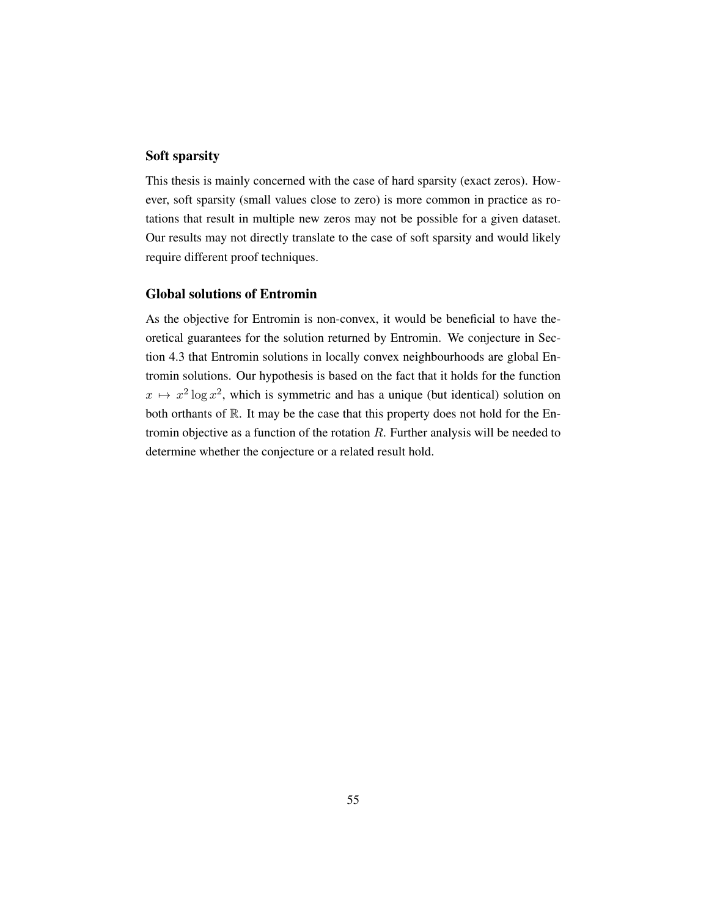#### Soft sparsity

This thesis is mainly concerned with the case of hard sparsity (exact zeros). However, soft sparsity (small values close to zero) is more common in practice as rotations that result in multiple new zeros may not be possible for a given dataset. Our results may not directly translate to the case of soft sparsity and would likely require different proof techniques.

#### Global solutions of Entromin

As the objective for Entromin is non-convex, it would be beneficial to have theoretical guarantees for the solution returned by Entromin. We conjecture in [Sec](#page-54-0)[tion 4.3](#page-54-0) that Entromin solutions in locally convex neighbourhoods are global Entromin solutions. Our hypothesis is based on the fact that it holds for the function  $x \mapsto x^2 \log x^2$ , which is symmetric and has a unique (but identical) solution on both orthants of R. It may be the case that this property does not hold for the Entromin objective as a function of the rotation  $R$ . Further analysis will be needed to determine whether the conjecture or a related result hold.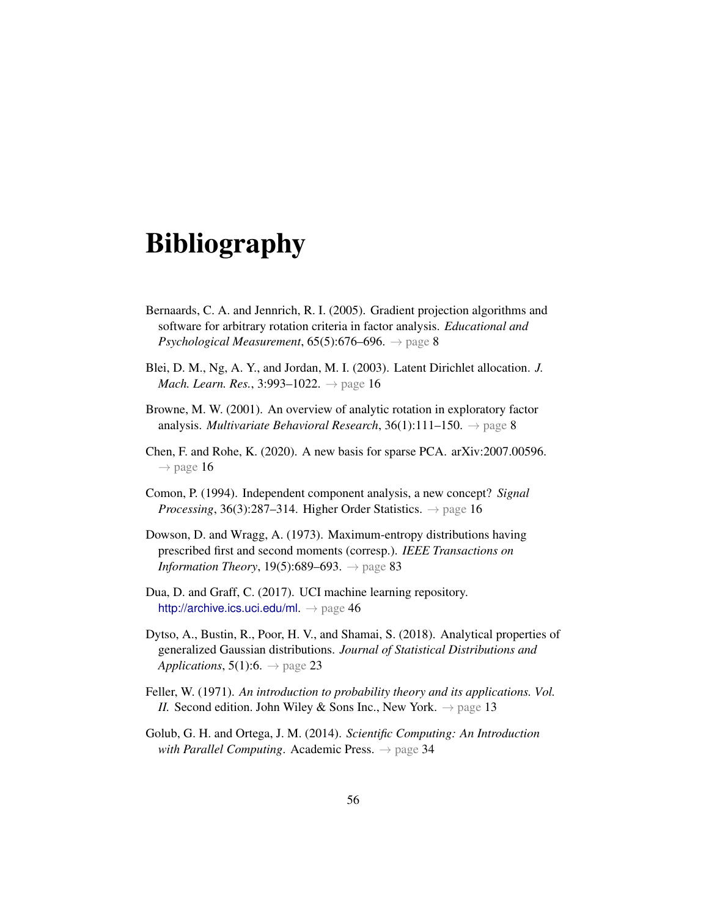# Bibliography

- Bernaards, C. A. and Jennrich, R. I. (2005). Gradient projection algorithms and software for arbitrary rotation criteria in factor analysis. *Educational and Psychological Measurement*,  $65(5):676-696. \rightarrow$  page [8](#page-25-0)
- Blei, D. M., Ng, A. Y., and Jordan, M. I. (2003). Latent Dirichlet allocation. *J. Mach. Learn. Res.*, 3:993–1022. → page [16](#page-33-0)
- Browne, M. W. (2001). An overview of analytic rotation in exploratory factor analysis. *Multivariate Behavioral Research*, 36(1):111–150. → page [8](#page-25-0)
- Chen, F. and Rohe, K. (2020). A new basis for sparse PCA. arXiv:2007.00596.  $\rightarrow$  page [16](#page-33-0)
- Comon, P. (1994). Independent component analysis, a new concept? *Signal Processing*, 36(3):287–314. Higher Order Statistics. → page [16](#page-33-0)
- <span id="page-73-0"></span>Dowson, D. and Wragg, A. (1973). Maximum-entropy distributions having prescribed first and second moments (corresp.). *IEEE Transactions on Information Theory*, 19(5):689–693. → page [83](#page-100-0)
- Dua, D. and Graff, C. (2017). UCI machine learning repository. <http://archive.ics.uci.edu/ml>.  $\rightarrow$  page [46](#page-63-0)
- Dytso, A., Bustin, R., Poor, H. V., and Shamai, S. (2018). Analytical properties of generalized Gaussian distributions. *Journal of Statistical Distributions and Applications*,  $5(1):6. \rightarrow$  page [23](#page-40-0)
- Feller, W. (1971). *An introduction to probability theory and its applications. Vol. II.* Second edition. John Wiley & Sons Inc., New York.  $\rightarrow$  page [13](#page-30-0)
- Golub, G. H. and Ortega, J. M. (2014). *Scientific Computing: An Introduction with Parallel Computing.* Academic Press.  $\rightarrow$  page [34](#page-51-0)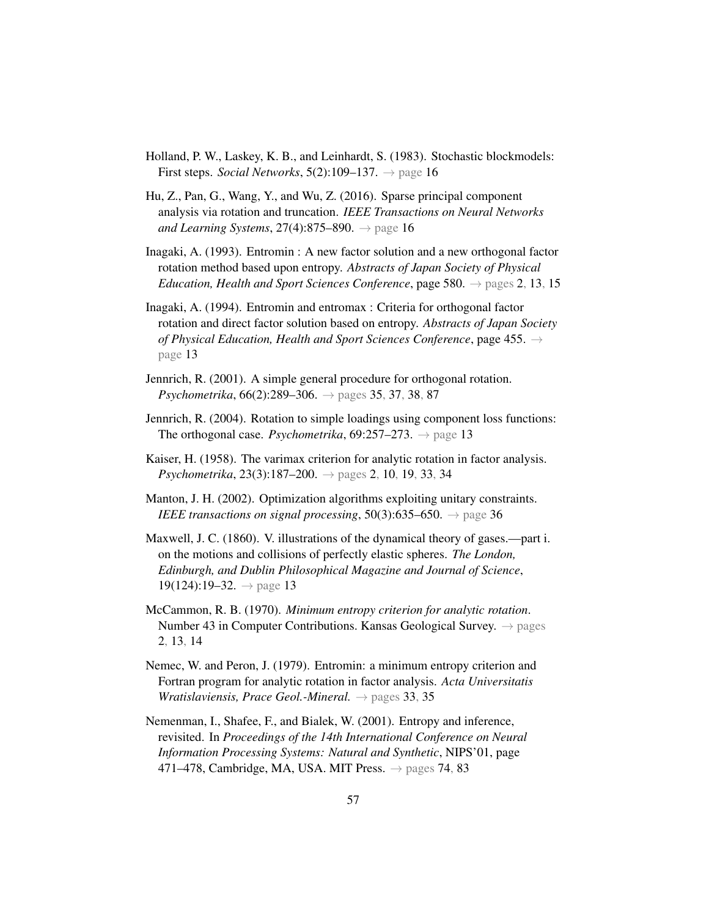- Holland, P. W., Laskey, K. B., and Leinhardt, S. (1983). Stochastic blockmodels: First steps. *Social Networks*, 5(2):109–137.  $\rightarrow$  page [16](#page-33-0)
- Hu, Z., Pan, G., Wang, Y., and Wu, Z. (2016). Sparse principal component analysis via rotation and truncation. *IEEE Transactions on Neural Networks and Learning Systems*, 27(4):875–890. → page [16](#page-33-0)
- Inagaki, A. (1993). Entromin : A new factor solution and a new orthogonal factor rotation method based upon entropy. *Abstracts of Japan Society of Physical Education, Health and Sport Sciences Conference*, page 580. → pages [2,](#page-19-0) [13,](#page-30-0) [15](#page-32-0)
- Inagaki, A. (1994). Entromin and entromax : Criteria for orthogonal factor rotation and direct factor solution based on entropy. *Abstracts of Japan Society of Physical Education, Health and Sport Sciences Conference*, page 455. → page [13](#page-30-0)
- <span id="page-74-1"></span>Jennrich, R. (2001). A simple general procedure for orthogonal rotation. *Psychometrika*, 66(2):289–306. → pages [35,](#page-52-0) [37,](#page-54-1) [38,](#page-55-0) [87](#page-104-0)
- Jennrich, R. (2004). Rotation to simple loadings using component loss functions: The orthogonal case. *Psychometrika*,  $69:257-273$ .  $\rightarrow$  page [13](#page-30-0)
- Kaiser, H. (1958). The varimax criterion for analytic rotation in factor analysis. *Psychometrika*, 23(3):187–200. → pages [2,](#page-19-0) [10,](#page-27-0) [19,](#page-36-0) [33,](#page-50-0) [34](#page-51-0)
- Manton, J. H. (2002). Optimization algorithms exploiting unitary constraints. *IEEE transactions on signal processing*,  $50(3):635-650. \rightarrow$  page [36](#page-53-0)
- Maxwell, J. C. (1860). V. illustrations of the dynamical theory of gases.—part i. on the motions and collisions of perfectly elastic spheres. *The London, Edinburgh, and Dublin Philosophical Magazine and Journal of Science*,  $19(124):19-32. \rightarrow$  page [13](#page-30-0)
- McCammon, R. B. (1970). *Minimum entropy criterion for analytic rotation*. Number 43 in Computer Contributions. Kansas Geological Survey.  $\rightarrow$  pages [2,](#page-19-0) [13,](#page-30-0) [14](#page-31-0)
- Nemec, W. and Peron, J. (1979). Entromin: a minimum entropy criterion and Fortran program for analytic rotation in factor analysis. *Acta Universitatis Wratislaviensis, Prace Geol.-Mineral.* → pages [33,](#page-50-0) [35](#page-52-0)
- <span id="page-74-0"></span>Nemenman, I., Shafee, F., and Bialek, W. (2001). Entropy and inference, revisited. In *Proceedings of the 14th International Conference on Neural Information Processing Systems: Natural and Synthetic*, NIPS'01, page 471–478, Cambridge, MA, USA. MIT Press.  $\rightarrow$  pages [74,](#page-91-0) [83](#page-100-0)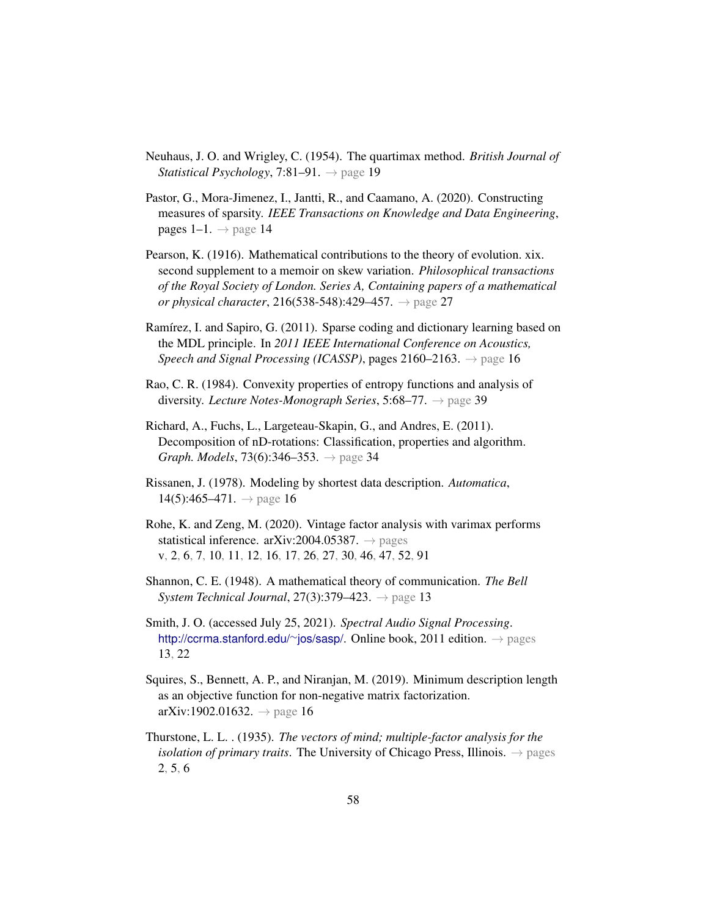- Neuhaus, J. O. and Wrigley, C. (1954). The quartimax method. *British Journal of Statistical Psychology*, 7:81–91. → page [19](#page-36-0)
- Pastor, G., Mora-Jimenez, I., Jantti, R., and Caamano, A. (2020). Constructing measures of sparsity. *IEEE Transactions on Knowledge and Data Engineering*, pages 1–1.  $\rightarrow$  page [14](#page-31-0)
- Pearson, K. (1916). Mathematical contributions to the theory of evolution. xix. second supplement to a memoir on skew variation. *Philosophical transactions of the Royal Society of London. Series A, Containing papers of a mathematical or physical character*, 216(538-548):429–457. → page [27](#page-44-0)
- Ramírez, I. and Sapiro, G. (2011). Sparse coding and dictionary learning based on the MDL principle. In *2011 IEEE International Conference on Acoustics, Speech and Signal Processing (ICASSP)*, pages  $2160-2163$  $2160-2163$  $2160-2163$ .  $\rightarrow$  page 16
- Rao, C. R. (1984). Convexity properties of entropy functions and analysis of diversity. *Lecture Notes-Monograph Series*, 5:68–77. → page [39](#page-56-0)
- Richard, A., Fuchs, L., Largeteau-Skapin, G., and Andres, E. (2011). Decomposition of nD-rotations: Classification, properties and algorithm. *Graph. Models*, 73(6):346–353. → page [34](#page-51-0)
- Rissanen, J. (1978). Modeling by shortest data description. *Automatica*,  $14(5):465-471. \rightarrow$  page [16](#page-33-0)
- Rohe, K. and Zeng, M. (2020). Vintage factor analysis with varimax performs statistical inference. arXiv:2004.05387.  $\rightarrow$  pages [v,](#page-4-0) [2,](#page-19-0) [6,](#page-23-0) [7,](#page-24-0) [10,](#page-27-0) [11,](#page-28-0) [12,](#page-29-0) [16,](#page-33-0) [17,](#page-34-0) [26,](#page-43-0) [27,](#page-44-0) [30,](#page-47-0) [46,](#page-63-0) [47,](#page-64-0) [52,](#page-69-0) [91](#page-108-0)
- Shannon, C. E. (1948). A mathematical theory of communication. *The Bell System Technical Journal*, 27(3):379–423. → page [13](#page-30-0)
- Smith, J. O. (accessed July 25, 2021). *Spectral Audio Signal Processing*. [http://ccrma.stanford.edu/](http://ccrma.stanford.edu/~jos/sasp/)∼jos/sasp/. Online book, 2011 edition. → pages [13,](#page-30-0) [22](#page-39-0)
- Squires, S., Bennett, A. P., and Niranjan, M. (2019). Minimum description length as an objective function for non-negative matrix factorization.  $arXiv:1902.01632. \rightarrow page 16$  $arXiv:1902.01632. \rightarrow page 16$  $arXiv:1902.01632. \rightarrow page 16$
- Thurstone, L. L. . (1935). *The vectors of mind; multiple-factor analysis for the isolation of primary traits.* The University of Chicago Press, Illinois.  $\rightarrow$  pages [2,](#page-19-0) [5,](#page-22-0) [6](#page-23-0)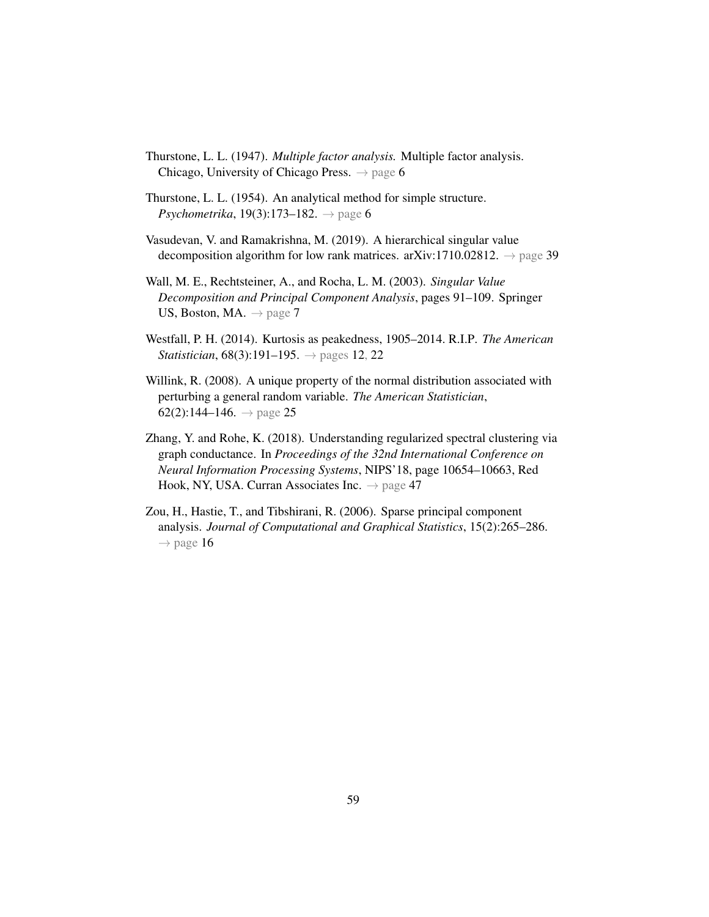- Thurstone, L. L. (1947). *Multiple factor analysis.* Multiple factor analysis. Chicago, University of Chicago Press.  $\rightarrow$  page [6](#page-23-0)
- Thurstone, L. L. (1954). An analytical method for simple structure. *Psychometrika*, 19(3):173–182.  $\rightarrow$  page [6](#page-23-0)
- Vasudevan, V. and Ramakrishna, M. (2019). A hierarchical singular value decomposition algorithm for low rank matrices. arXiv:1710.02812.  $\rightarrow$  page [39](#page-56-0)
- Wall, M. E., Rechtsteiner, A., and Rocha, L. M. (2003). *Singular Value Decomposition and Principal Component Analysis*, pages 91–109. Springer US, Boston, MA.  $\rightarrow$  page [7](#page-24-0)
- Westfall, P. H. (2014). Kurtosis as peakedness, 1905–2014. R.I.P. *The American Statistician*,  $68(3):191-195. \rightarrow$  pages [12,](#page-29-0) [22](#page-39-0)
- Willink, R. (2008). A unique property of the normal distribution associated with perturbing a general random variable. *The American Statistician*, 62(2):144–146.  $\rightarrow$  page [25](#page-42-0)
- Zhang, Y. and Rohe, K. (2018). Understanding regularized spectral clustering via graph conductance. In *Proceedings of the 32nd International Conference on Neural Information Processing Systems*, NIPS'18, page 10654–10663, Red Hook, NY, USA. Curran Associates Inc.  $\rightarrow$  page [47](#page-64-0)
- Zou, H., Hastie, T., and Tibshirani, R. (2006). Sparse principal component analysis. *Journal of Computational and Graphical Statistics*, 15(2):265–286.  $\rightarrow$  page [16](#page-33-0)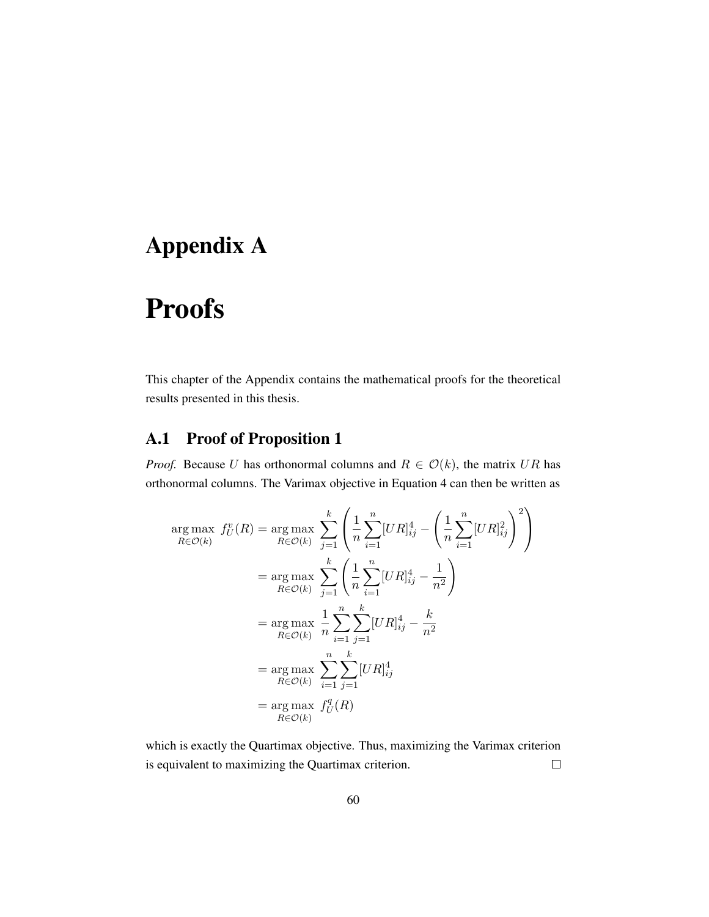# Appendix A

# Proofs

This chapter of the Appendix contains the mathematical proofs for the theoretical results presented in this thesis.

### A.1 Proof of [Proposition 1](#page-36-1)

*Proof.* Because U has orthonormal columns and  $R \in \mathcal{O}(k)$ , the matrix UR has orthonormal columns. The Varimax objective in [Equation 4](#page-27-1) can then be written as

$$
\arg \max_{R \in \mathcal{O}(k)} f_U^v(R) = \arg \max_{R \in \mathcal{O}(k)} \sum_{j=1}^k \left( \frac{1}{n} \sum_{i=1}^n [UR]_{ij}^4 - \left( \frac{1}{n} \sum_{i=1}^n [UR]_{ij}^2 \right)^2 \right)
$$
  
\n
$$
= \arg \max_{R \in \mathcal{O}(k)} \sum_{j=1}^k \left( \frac{1}{n} \sum_{i=1}^n [UR]_{ij}^4 - \frac{1}{n^2} \right)
$$
  
\n
$$
= \arg \max_{R \in \mathcal{O}(k)} \frac{1}{n} \sum_{i=1}^n \sum_{j=1}^k [UR]_{ij}^4 - \frac{k}{n^2}
$$
  
\n
$$
= \arg \max_{R \in \mathcal{O}(k)} \sum_{i=1}^n \sum_{j=1}^k [UR]_{ij}^4
$$
  
\n
$$
= \arg \max_{R \in \mathcal{O}(k)} f_U^q(R)
$$

which is exactly the Quartimax objective. Thus, maximizing the Varimax criterion is equivalent to maximizing the Quartimax criterion.  $\Box$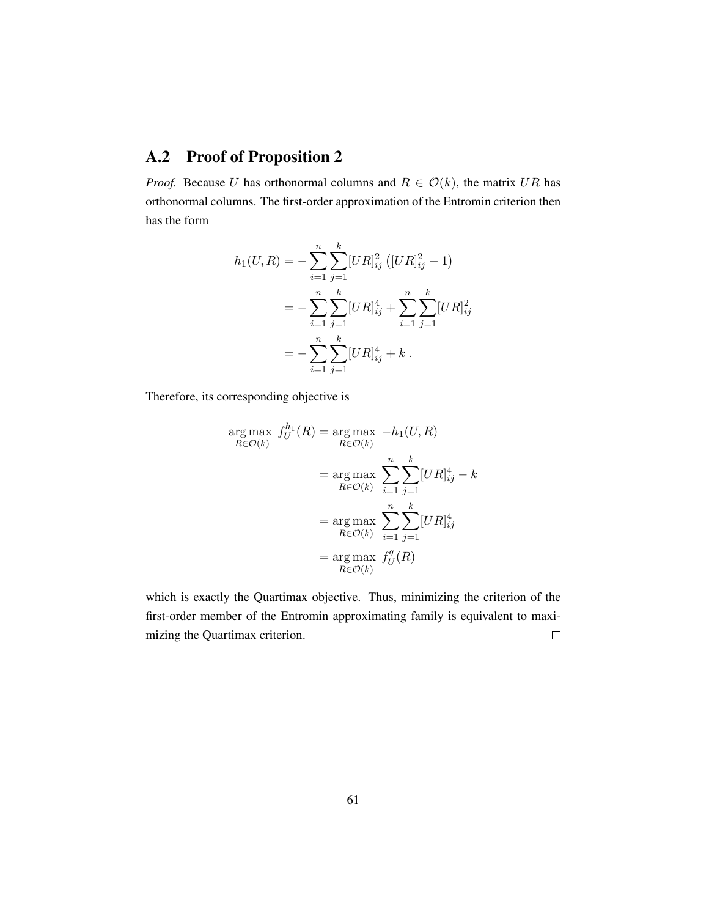### A.2 Proof of [Proposition 2](#page-37-0)

*Proof.* Because U has orthonormal columns and  $R \in \mathcal{O}(k)$ , the matrix UR has orthonormal columns. The first-order approximation of the Entromin criterion then has the form

$$
h_1(U, R) = -\sum_{i=1}^n \sum_{j=1}^k [UR]_{ij}^2 \left( [UR]_{ij}^2 - 1 \right)
$$
  
= 
$$
-\sum_{i=1}^n \sum_{j=1}^k [UR]_{ij}^4 + \sum_{i=1}^n \sum_{j=1}^k [UR]_{ij}^2
$$
  
= 
$$
-\sum_{i=1}^n \sum_{j=1}^k [UR]_{ij}^4 + k.
$$

Therefore, its corresponding objective is

$$
\arg \max_{R \in \mathcal{O}(k)} f_U^{h_1}(R) = \arg \max_{R \in \mathcal{O}(k)} -h_1(U, R)
$$

$$
= \arg \max_{R \in \mathcal{O}(k)} \sum_{i=1}^n \sum_{j=1}^k [UR]_{ij}^4 - k
$$

$$
= \arg \max_{R \in \mathcal{O}(k)} \sum_{i=1}^n \sum_{j=1}^k [UR]_{ij}^4
$$

$$
= \arg \max_{R \in \mathcal{O}(k)} f_U^q(R)
$$

$$
= \arg \max_{R \in \mathcal{O}(k)} f_U^q(R)
$$

which is exactly the Quartimax objective. Thus, minimizing the criterion of the first-order member of the Entromin approximating family is equivalent to maximizing the Quartimax criterion.  $\Box$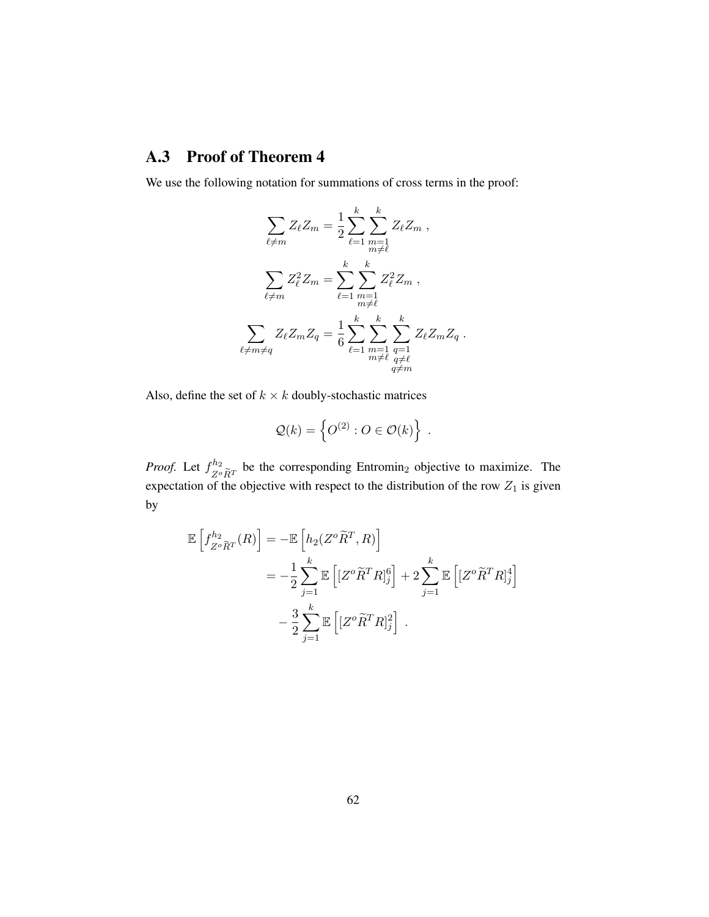### A.3 Proof of [Theorem 4](#page-40-1)

We use the following notation for summations of cross terms in the proof:

$$
\sum_{\ell \neq m} Z_{\ell} Z_m = \frac{1}{2} \sum_{\ell=1}^k \sum_{\substack{m=1 \ m \neq \ell}}^k Z_{\ell} Z_m ,
$$

$$
\sum_{\ell \neq m} Z_{\ell}^2 Z_m = \sum_{\ell=1}^k \sum_{\substack{m=1 \ m \neq \ell}}^k Z_{\ell}^2 Z_m ,
$$

$$
\sum_{\ell \neq m \neq q} Z_{\ell} Z_m Z_q = \frac{1}{6} \sum_{\ell=1}^k \sum_{\substack{m=1 \ m \neq \ell}}^k \sum_{\substack{q=1 \ q \neq \ell}}^k Z_{\ell} Z_m Z_q .
$$

Also, define the set of  $k \times k$  doubly-stochastic matrices

$$
\mathcal{Q}(k) = \left\{ O^{(2)} : O \in \mathcal{O}(k) \right\} .
$$

*Proof.* Let  $f_{z_0}^{h_2}$  $Z^o \tilde{R}^T$  be the corresponding Entromin<sub>2</sub> objective to maximize. The expectation of the objective with respect to the distribution of the row  $Z_1$  is given by

$$
\mathbb{E}\left[f_{Z^o\widetilde{R}^T}^{h_2}(R)\right] = -\mathbb{E}\left[h_2(Z^o\widetilde{R}^T,R)\right]
$$
  

$$
= -\frac{1}{2}\sum_{j=1}^k \mathbb{E}\left[[Z^o\widetilde{R}^TR]_j^6\right] + 2\sum_{j=1}^k \mathbb{E}\left[[Z^o\widetilde{R}^TR]_j^4\right]
$$
  

$$
- \frac{3}{2}\sum_{j=1}^k \mathbb{E}\left[[Z^o\widetilde{R}^TR]_j^2\right].
$$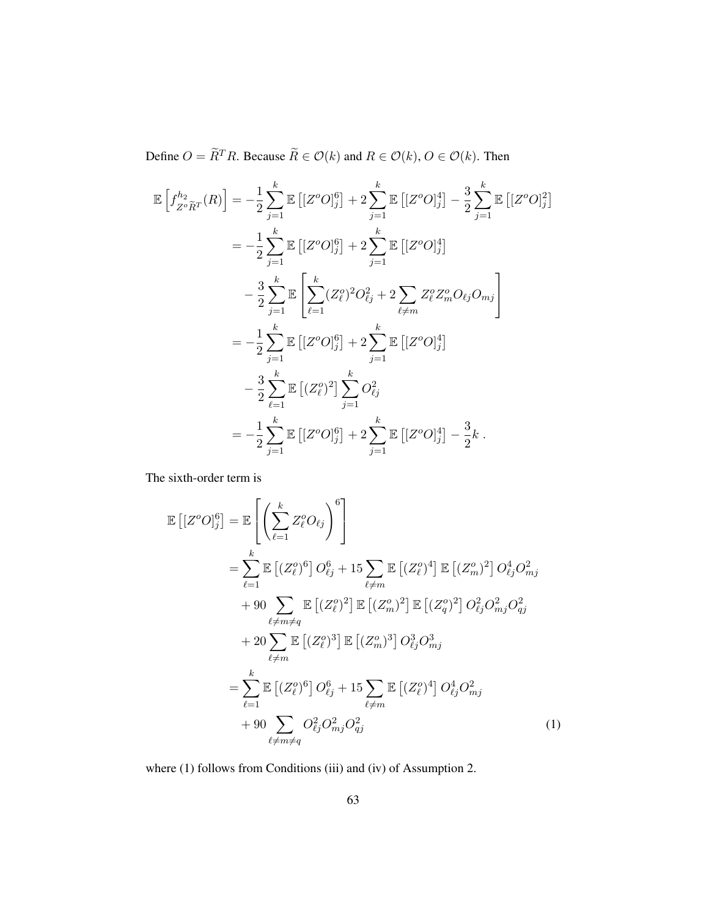Define  $O = \widetilde{R}^T R$ . Because  $\widetilde{R} \in \mathcal{O}(k)$  and  $R \in \mathcal{O}(k)$ ,  $O \in \mathcal{O}(k)$ . Then

$$
\mathbb{E}\left[f_{Z^o\widetilde{R}^T}^{h_2}(R)\right] = -\frac{1}{2}\sum_{j=1}^k \mathbb{E}\left[[Z^oO]_j^6\right] + 2\sum_{j=1}^k \mathbb{E}\left[[Z^oO]_j^4\right] - \frac{3}{2}\sum_{j=1}^k \mathbb{E}\left[[Z^oO]_j^2\right]
$$
  
\n
$$
= -\frac{1}{2}\sum_{j=1}^k \mathbb{E}\left[[Z^oO]_j^6\right] + 2\sum_{j=1}^k \mathbb{E}\left[[Z^oO]_j^4\right]
$$
  
\n
$$
- \frac{3}{2}\sum_{j=1}^k \mathbb{E}\left[\sum_{\ell=1}^k (Z_\ell^o)^2 O_{\ell j}^2 + 2\sum_{\ell \neq m} Z_\ell^o Z_m^o O_{\ell j} O_{mj}\right]
$$
  
\n
$$
= -\frac{1}{2}\sum_{j=1}^k \mathbb{E}\left[[Z^oO]_j^6\right] + 2\sum_{j=1}^k \mathbb{E}\left[[Z^oO]_j^4\right]
$$
  
\n
$$
- \frac{3}{2}\sum_{\ell=1}^k \mathbb{E}\left[(Z_\ell^o)^2\right]\sum_{j=1}^k O_{\ell j}^2
$$
  
\n
$$
= -\frac{1}{2}\sum_{j=1}^k \mathbb{E}\left[[Z^oO]_j^6\right] + 2\sum_{j=1}^k \mathbb{E}\left[[Z^oO]_j^4\right] - \frac{3}{2}k.
$$

The sixth-order term is

$$
\mathbb{E}\left[\left[Z^{o}O\right]_{j}^{6}\right] = \mathbb{E}\left[\left(\sum_{\ell=1}^{k} Z_{\ell}^{o}O_{\ell j}\right)^{6}\right]
$$
\n
$$
= \sum_{\ell=1}^{k} \mathbb{E}\left[\left(Z_{\ell}^{o}\right)^{6}\right] O_{\ell j}^{6} + 15 \sum_{\ell \neq m} \mathbb{E}\left[\left(Z_{\ell}^{o}\right)^{4}\right] \mathbb{E}\left[\left(Z_{m}^{o}\right)^{2}\right] O_{\ell j}^{4} O_{mj}^{2}
$$
\n
$$
+ 90 \sum_{\ell \neq m \neq q} \mathbb{E}\left[\left(Z_{\ell}^{o}\right)^{2}\right] \mathbb{E}\left[\left(Z_{m}^{o}\right)^{2}\right] \mathbb{E}\left[\left(Z_{q}^{o}\right)^{2}\right] O_{\ell j}^{2} O_{mj}^{2} O_{q j}^{2}
$$
\n
$$
+ 20 \sum_{\ell \neq m} \mathbb{E}\left[\left(Z_{\ell}^{o}\right)^{3}\right] \mathbb{E}\left[\left(Z_{m}^{o}\right)^{3}\right] O_{\ell j}^{3} O_{mj}^{3}
$$
\n
$$
= \sum_{\ell=1}^{k} \mathbb{E}\left[\left(Z_{\ell}^{o}\right)^{6}\right] O_{\ell j}^{6} + 15 \sum_{\ell \neq m} \mathbb{E}\left[\left(Z_{\ell}^{o}\right)^{4}\right] O_{\ell j}^{4} O_{mj}^{2}
$$
\n
$$
+ 90 \sum_{\ell \neq m \neq q} O_{\ell j}^{2} O_{mj}^{2} O_{q j}^{2} \tag{1}
$$

where (1) follows from Conditions (iii) and (iv) of [Assumption](#page-38-0) [2.](#page-38-0)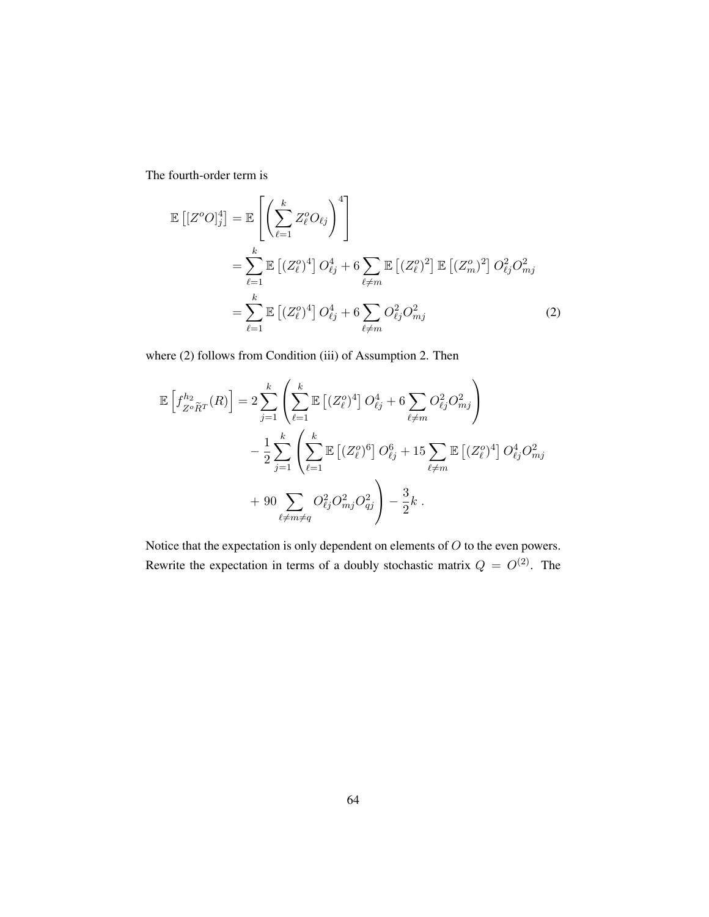The fourth-order term is

$$
\mathbb{E}\left[\left[Z^{o}O\right]_{j}^{4}\right] = \mathbb{E}\left[\left(\sum_{\ell=1}^{k} Z_{\ell}^{o}O_{\ell j}\right)^{4}\right]
$$
\n
$$
= \sum_{\ell=1}^{k} \mathbb{E}\left[\left(Z_{\ell}^{o}\right)^{4}\right] O_{\ell j}^{4} + 6 \sum_{\ell \neq m} \mathbb{E}\left[\left(Z_{\ell}^{o}\right)^{2}\right] \mathbb{E}\left[\left(Z_{m}^{o}\right)^{2}\right] O_{\ell j}^{2} O_{mj}^{2}
$$
\n
$$
= \sum_{\ell=1}^{k} \mathbb{E}\left[\left(Z_{\ell}^{o}\right)^{4}\right] O_{\ell j}^{4} + 6 \sum_{\ell \neq m} O_{\ell j}^{2} O_{mj}^{2}
$$
\n
$$
(2)
$$

where (2) follows from Condition (iii) of [Assumption](#page-38-0) [2.](#page-38-0) Then

$$
\mathbb{E}\left[f_{Z^o\tilde{R}^T}^{h_2}(R)\right] = 2\sum_{j=1}^k \left(\sum_{\ell=1}^k \mathbb{E}\left[(Z^o_{\ell})^4\right]O_{\ell j}^4 + 6\sum_{\ell \neq m} O_{\ell j}^2 O_{m j}^2\right) \n- \frac{1}{2}\sum_{j=1}^k \left(\sum_{\ell=1}^k \mathbb{E}\left[(Z^o_{\ell})^6\right]O_{\ell j}^6 + 15\sum_{\ell \neq m} \mathbb{E}\left[(Z^o_{\ell})^4\right]O_{\ell j}^4 O_{m j}^2 \n+ 90\sum_{\ell \neq m \neq q} O_{\ell j}^2 O_{m j}^2 O_{q j}^2\right) - \frac{3}{2}k.
$$

Notice that the expectation is only dependent on elements of  $O$  to the even powers. Rewrite the expectation in terms of a doubly stochastic matrix  $Q = O^{(2)}$ . The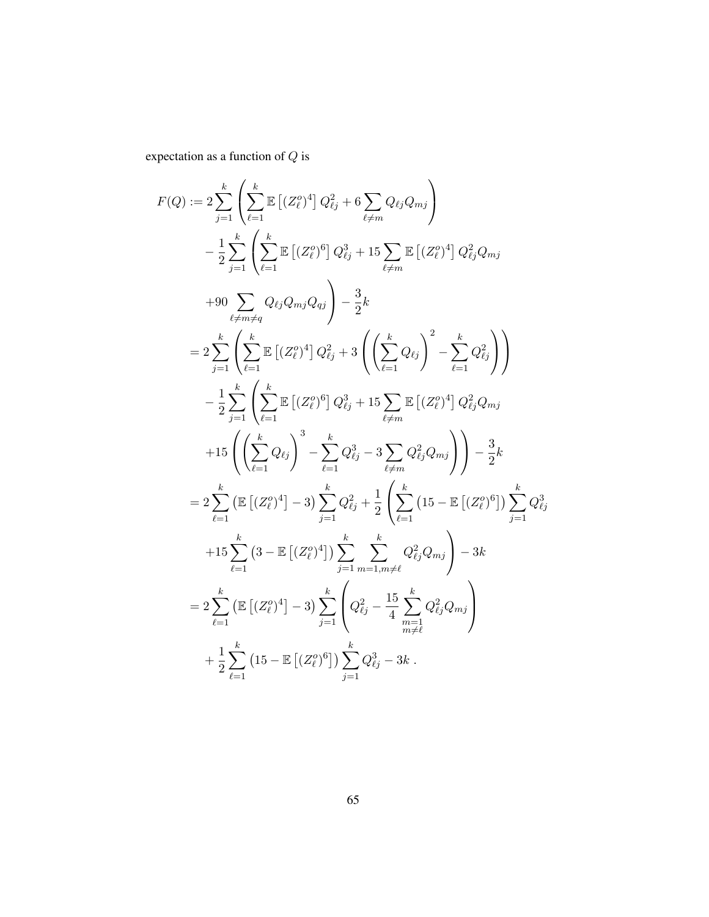expectation as a function of  $\boldsymbol{Q}$  is

$$
F(Q) := 2 \sum_{j=1}^{k} \left( \sum_{\ell=1}^{k} \mathbb{E} \left[ (Z_{\ell}^{o})^{4} \right] Q_{\ell j}^{2} + 6 \sum_{\ell \neq m} Q_{\ell j} Q_{mj} \right)
$$
  
\n
$$
- \frac{1}{2} \sum_{j=1}^{k} \left( \sum_{\ell=1}^{k} \mathbb{E} \left[ (Z_{\ell}^{o})^{6} \right] Q_{\ell j}^{3} + 15 \sum_{\ell \neq m} \mathbb{E} \left[ (Z_{\ell}^{o})^{4} \right] Q_{\ell j}^{2} Q_{mj}
$$
  
\n
$$
+ 90 \sum_{\ell \neq m \neq q} Q_{\ell j} Q_{mj} Q_{q j} \right) - \frac{3}{2} k
$$
  
\n
$$
= 2 \sum_{j=1}^{k} \left( \sum_{\ell=1}^{k} \mathbb{E} \left[ (Z_{\ell}^{o})^{4} \right] Q_{\ell j}^{2} + 3 \left( \left( \sum_{\ell=1}^{k} Q_{\ell j} \right)^{2} - \sum_{\ell=1}^{k} Q_{\ell j}^{2} \right) \right)
$$
  
\n
$$
- \frac{1}{2} \sum_{j=1}^{k} \left( \sum_{\ell=1}^{k} \mathbb{E} \left[ (Z_{\ell}^{o})^{6} \right] Q_{\ell j}^{3} + 15 \sum_{\ell \neq m} \mathbb{E} \left[ (Z_{\ell}^{o})^{4} \right] Q_{\ell j}^{2} Q_{mj}
$$
  
\n
$$
+ 15 \left( \left( \sum_{\ell=1}^{k} Q_{\ell j} \right)^{3} - \sum_{\ell=1}^{k} Q_{\ell j}^{3} - 3 \sum_{\ell \neq m} Q_{\ell j}^{2} Q_{mj} \right) \right) - \frac{3}{2} k
$$
  
\n
$$
= 2 \sum_{\ell=1}^{k} \left( \mathbb{E} \left[ (Z_{\ell}^{o})^{4} \right] - 3 \right) \sum_{j=1}^{k} Q_{\ell j}^{2} + \frac{1}{2} \left( \sum_{\ell=1}^{k} \left( 15 - \mathbb{E} \left[ (Z_{\ell}^{
$$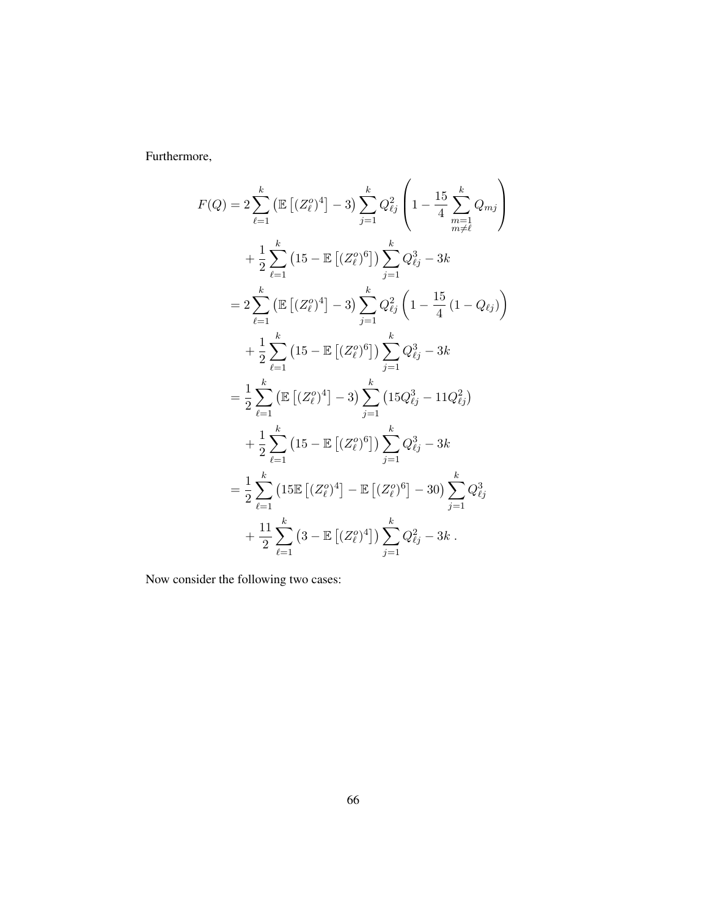Furthermore,

$$
F(Q) = 2 \sum_{\ell=1}^{k} \left( \mathbb{E} \left[ (Z_{\ell}^{o})^{4} \right] - 3 \right) \sum_{j=1}^{k} Q_{\ell j}^{2} \left( 1 - \frac{15}{4} \sum_{\substack{m=1 \ m \neq \ell}}^{k} Q_{mj} \right)
$$
  
+  $\frac{1}{2} \sum_{\ell=1}^{k} \left( 15 - \mathbb{E} \left[ (Z_{\ell}^{o})^{6} \right] \right) \sum_{j=1}^{k} Q_{\ell j}^{3} - 3k$   
=  $2 \sum_{\ell=1}^{k} \left( \mathbb{E} \left[ (Z_{\ell}^{o})^{4} \right] - 3 \right) \sum_{j=1}^{k} Q_{\ell j}^{2} \left( 1 - \frac{15}{4} (1 - Q_{\ell j}) \right)$   
+  $\frac{1}{2} \sum_{\ell=1}^{k} \left( 15 - \mathbb{E} \left[ (Z_{\ell}^{o})^{6} \right] \right) \sum_{j=1}^{k} Q_{\ell j}^{3} - 3k$   
=  $\frac{1}{2} \sum_{\ell=1}^{k} \left( \mathbb{E} \left[ (Z_{\ell}^{o})^{4} \right] - 3 \right) \sum_{j=1}^{k} \left( 15Q_{\ell j}^{3} - 11Q_{\ell j}^{2} \right)$   
+  $\frac{1}{2} \sum_{\ell=1}^{k} \left( 15 - \mathbb{E} \left[ (Z_{\ell}^{o})^{6} \right] \right) \sum_{j=1}^{k} Q_{\ell j}^{3} - 3k$   
=  $\frac{1}{2} \sum_{\ell=1}^{k} \left( 15 \mathbb{E} \left[ (Z_{\ell}^{o})^{4} \right] - \mathbb{E} \left[ (Z_{\ell}^{o})^{6} \right] - 30 \right) \sum_{j=1}^{k} Q_{\ell j}^{3}$   
+  $\frac{11}{2} \sum_{\ell=1}^{k} \left( 3 - \mathbb{E} \left[ (Z_{\ell}^{o})^{4} \right] \right) \sum_{j=1}^{k} Q_{\ell j}^{2} - 3k$ .

Now consider the following two cases: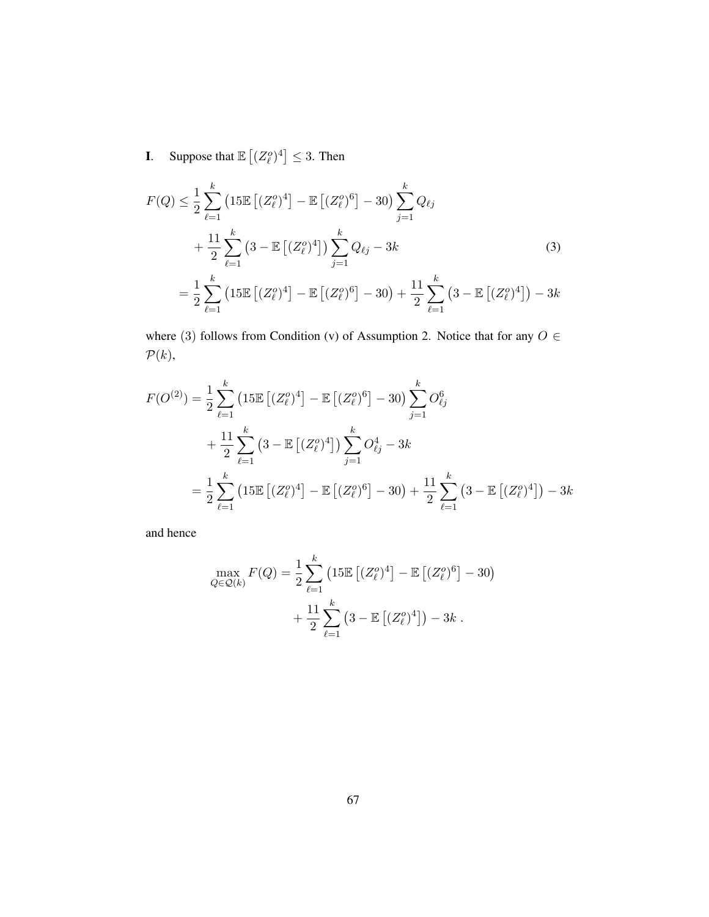**I**. Suppose that  $\mathbb{E}[(Z_{\ell}^o)^4] \leq 3$ . Then

$$
F(Q) \leq \frac{1}{2} \sum_{\ell=1}^{k} \left( 15 \mathbb{E} \left[ (Z_{\ell}^{o})^{4} \right] - \mathbb{E} \left[ (Z_{\ell}^{o})^{6} \right] - 30 \right) \sum_{j=1}^{k} Q_{\ell j} + \frac{11}{2} \sum_{\ell=1}^{k} \left( 3 - \mathbb{E} \left[ (Z_{\ell}^{o})^{4} \right] \right) \sum_{j=1}^{k} Q_{\ell j} - 3k
$$
(3)  
=  $\frac{1}{2} \sum_{\ell=1}^{k} \left( 15 \mathbb{E} \left[ (Z_{\ell}^{o})^{4} \right] - \mathbb{E} \left[ (Z_{\ell}^{o})^{6} \right] - 30 \right) + \frac{11}{2} \sum_{\ell=1}^{k} \left( 3 - \mathbb{E} \left[ (Z_{\ell}^{o})^{4} \right] \right) - 3k$ 

where (3) follows from Condition (v) of [Assumption](#page-38-0) [2.](#page-38-0) Notice that for any  $O \in$  $\mathcal{P}(k),$ 

$$
F(O^{(2)}) = \frac{1}{2} \sum_{\ell=1}^{k} \left( 15 \mathbb{E} \left[ (Z_{\ell}^{o})^{4} \right] - \mathbb{E} \left[ (Z_{\ell}^{o})^{6} \right] - 30 \right) \sum_{j=1}^{k} O_{\ell j}^{6}
$$
  
+ 
$$
\frac{11}{2} \sum_{\ell=1}^{k} \left( 3 - \mathbb{E} \left[ (Z_{\ell}^{o})^{4} \right] \right) \sum_{j=1}^{k} O_{\ell j}^{4} - 3k
$$
  
= 
$$
\frac{1}{2} \sum_{\ell=1}^{k} \left( 15 \mathbb{E} \left[ (Z_{\ell}^{o})^{4} \right] - \mathbb{E} \left[ (Z_{\ell}^{o})^{6} \right] - 30 \right) + \frac{11}{2} \sum_{\ell=1}^{k} \left( 3 - \mathbb{E} \left[ (Z_{\ell}^{o})^{4} \right] \right) - 3k
$$

and hence

$$
\max_{Q \in \mathcal{Q}(k)} F(Q) = \frac{1}{2} \sum_{\ell=1}^{k} \left( 15 \mathbb{E} \left[ (Z_{\ell}^{o})^4 \right] - \mathbb{E} \left[ (Z_{\ell}^{o})^6 \right] - 30 \right) + \frac{11}{2} \sum_{\ell=1}^{k} \left( 3 - \mathbb{E} \left[ (Z_{\ell}^{o})^4 \right] \right) - 3k.
$$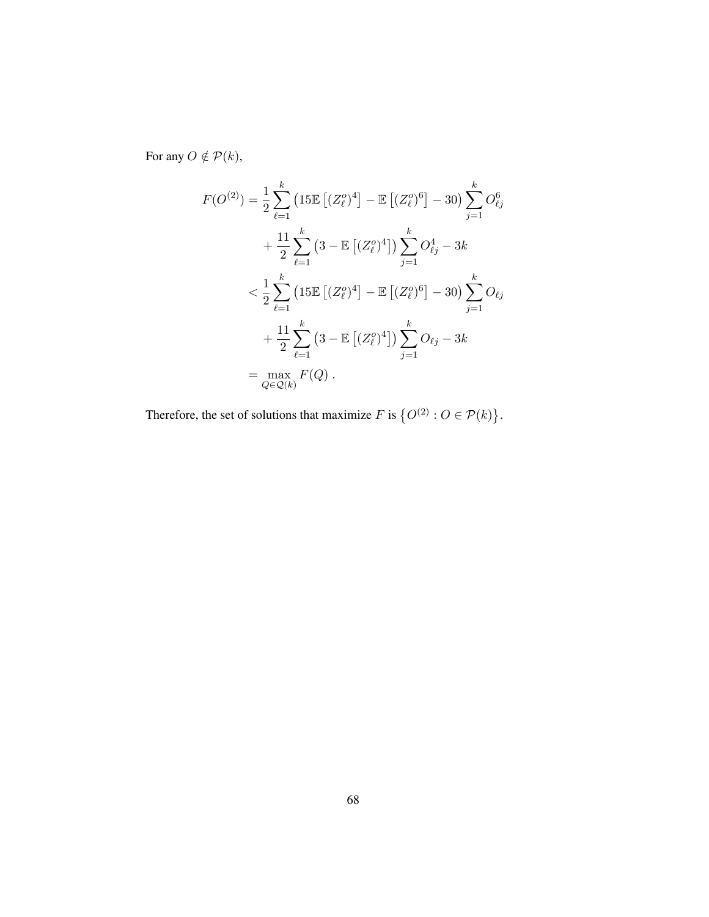For any  $O \notin \mathcal{P}(k)$ ,

$$
F(O^{(2)}) = \frac{1}{2} \sum_{\ell=1}^{k} \left(15\mathbb{E}\left[(Z_{\ell}^{o})^{4}\right] - \mathbb{E}\left[(Z_{\ell}^{o})^{6}\right] - 30\right) \sum_{j=1}^{k} O_{\ell j}^{6}
$$
  
+ 
$$
\frac{11}{2} \sum_{\ell=1}^{k} \left(3 - \mathbb{E}\left[(Z_{\ell}^{o})^{4}\right]\right) \sum_{j=1}^{k} O_{\ell j}^{4} - 3k
$$
  
< 
$$
< \frac{1}{2} \sum_{\ell=1}^{k} \left(15\mathbb{E}\left[(Z_{\ell}^{o})^{4}\right] - \mathbb{E}\left[(Z_{\ell}^{o})^{6}\right] - 30\right) \sum_{j=1}^{k} O_{\ell j}
$$
  
+ 
$$
\frac{11}{2} \sum_{\ell=1}^{k} \left(3 - \mathbb{E}\left[(Z_{\ell}^{o})^{4}\right]\right) \sum_{j=1}^{k} O_{\ell j} - 3k
$$
  
= 
$$
\max_{Q \in \mathcal{Q}(k)} F(Q).
$$

Therefore, the set of solutions that maximize  $F$  is  $\{O^{(2)}: O \in \mathcal{P}(k)\}.$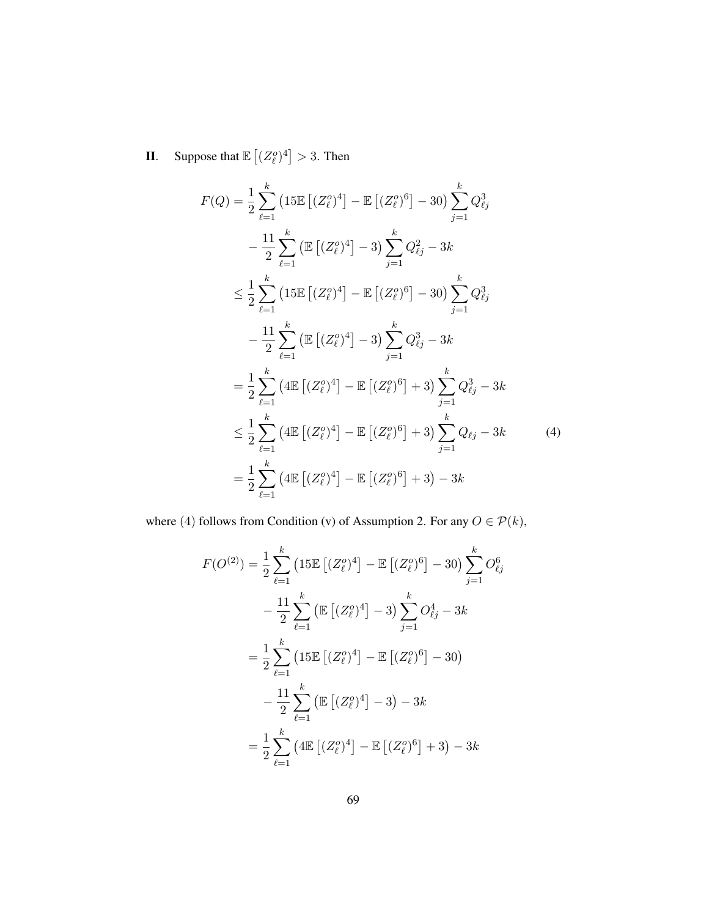**II.** Suppose that  $\mathbb{E}\left[ (Z^o_\ell)^4 \right] > 3$ . Then

$$
F(Q) = \frac{1}{2} \sum_{\ell=1}^{k} \left(15\mathbb{E}\left[(Z_{\ell}^{o})^{4}\right] - \mathbb{E}\left[(Z_{\ell}^{o})^{6}\right] - 30\right) \sum_{j=1}^{k} Q_{\ell j}^{3}
$$
  
\n
$$
- \frac{11}{2} \sum_{\ell=1}^{k} \left(\mathbb{E}\left[(Z_{\ell}^{o})^{4}\right] - 3\right) \sum_{j=1}^{k} Q_{\ell j}^{2} - 3k
$$
  
\n
$$
\leq \frac{1}{2} \sum_{\ell=1}^{k} \left(15\mathbb{E}\left[(Z_{\ell}^{o})^{4}\right] - \mathbb{E}\left[(Z_{\ell}^{o})^{6}\right] - 30\right) \sum_{j=1}^{k} Q_{\ell j}^{3}
$$
  
\n
$$
- \frac{11}{2} \sum_{\ell=1}^{k} \left(\mathbb{E}\left[(Z_{\ell}^{o})^{4}\right] - 3\right) \sum_{j=1}^{k} Q_{\ell j}^{3} - 3k
$$
  
\n
$$
= \frac{1}{2} \sum_{\ell=1}^{k} \left(4\mathbb{E}\left[(Z_{\ell}^{o})^{4}\right] - \mathbb{E}\left[(Z_{\ell}^{o})^{6}\right] + 3\right) \sum_{j=1}^{k} Q_{\ell j}^{3} - 3k
$$
  
\n
$$
\leq \frac{1}{2} \sum_{\ell=1}^{k} \left(4\mathbb{E}\left[(Z_{\ell}^{o})^{4}\right] - \mathbb{E}\left[(Z_{\ell}^{o})^{6}\right] + 3\right) \sum_{j=1}^{k} Q_{\ell j} - 3k
$$
  
\n
$$
= \frac{1}{2} \sum_{\ell=1}^{k} \left(4\mathbb{E}\left[(Z_{\ell}^{o})^{4}\right] - \mathbb{E}\left[(Z_{\ell}^{o})^{6}\right] + 3\right) - 3k
$$
  
\n(4)

where (4) follows from Condition (v) of [Assumption](#page-38-0) [2.](#page-38-0) For any  $O\in\mathcal{P}(k),$ 

$$
F(O^{(2)}) = \frac{1}{2} \sum_{\ell=1}^{k} \left(15\mathbb{E}\left[(Z_{\ell}^{o})^{4}\right] - \mathbb{E}\left[(Z_{\ell}^{o})^{6}\right] - 30\right) \sum_{j=1}^{k} O_{\ell j}^{6}
$$

$$
- \frac{11}{2} \sum_{\ell=1}^{k} \left(\mathbb{E}\left[(Z_{\ell}^{o})^{4}\right] - 3\right) \sum_{j=1}^{k} O_{\ell j}^{4} - 3k
$$

$$
= \frac{1}{2} \sum_{\ell=1}^{k} \left(15\mathbb{E}\left[(Z_{\ell}^{o})^{4}\right] - \mathbb{E}\left[(Z_{\ell}^{o})^{6}\right] - 30\right)
$$

$$
- \frac{11}{2} \sum_{\ell=1}^{k} \left(\mathbb{E}\left[(Z_{\ell}^{o})^{4}\right] - 3\right) - 3k
$$

$$
= \frac{1}{2} \sum_{\ell=1}^{k} \left(4\mathbb{E}\left[(Z_{\ell}^{o})^{4}\right] - \mathbb{E}\left[(Z_{\ell}^{o})^{6}\right] + 3\right) - 3k
$$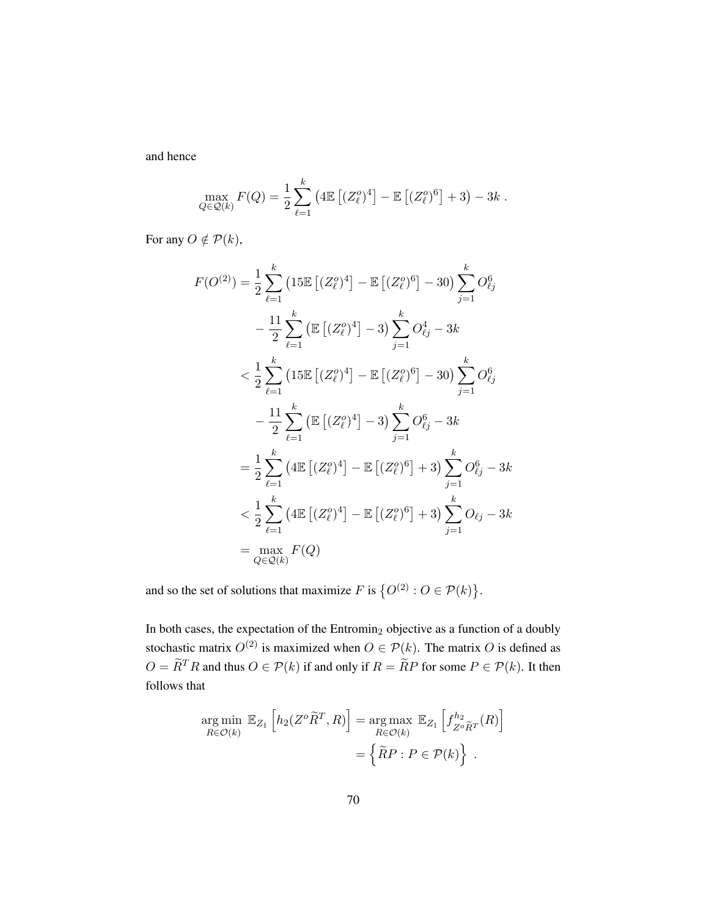and hence

$$
\max_{Q \in \mathcal{Q}(k)} F(Q) = \frac{1}{2} \sum_{\ell=1}^{k} \left( 4 \mathbb{E} \left[ (Z_{\ell}^{o})^{4} \right] - \mathbb{E} \left[ (Z_{\ell}^{o})^{6} \right] + 3 \right) - 3k.
$$

For any  $O \notin \mathcal{P}(k)$ ,

$$
F(O^{(2)}) = \frac{1}{2} \sum_{\ell=1}^{k} \left(15\mathbb{E}\left[(Z_{\ell}^{o})^{4}\right] - \mathbb{E}\left[(Z_{\ell}^{o})^{6}\right] - 30\right) \sum_{j=1}^{k} O_{\ell j}^{6}
$$
  

$$
- \frac{11}{2} \sum_{\ell=1}^{k} \left(\mathbb{E}\left[(Z_{\ell}^{o})^{4}\right] - 3\right) \sum_{j=1}^{k} O_{\ell j}^{4} - 3k
$$
  

$$
< \frac{1}{2} \sum_{\ell=1}^{k} \left(15\mathbb{E}\left[(Z_{\ell}^{o})^{4}\right] - \mathbb{E}\left[(Z_{\ell}^{o})^{6}\right] - 30\right) \sum_{j=1}^{k} O_{\ell j}^{6}
$$
  

$$
- \frac{11}{2} \sum_{\ell=1}^{k} \left(\mathbb{E}\left[(Z_{\ell}^{o})^{4}\right] - 3\right) \sum_{j=1}^{k} O_{\ell j}^{6} - 3k
$$
  

$$
= \frac{1}{2} \sum_{\ell=1}^{k} \left(4\mathbb{E}\left[(Z_{\ell}^{o})^{4}\right] - \mathbb{E}\left[(Z_{\ell}^{o})^{6}\right] + 3\right) \sum_{j=1}^{k} O_{\ell j}^{6} - 3k
$$
  

$$
< \frac{1}{2} \sum_{\ell=1}^{k} \left(4\mathbb{E}\left[(Z_{\ell}^{o})^{4}\right] - \mathbb{E}\left[(Z_{\ell}^{o})^{6}\right] + 3\right) \sum_{j=1}^{k} O_{\ell j} - 3k
$$
  

$$
= \max_{Q \in \mathcal{Q}(k)} F(Q)
$$

and so the set of solutions that maximize F is  $\{O^{(2)}: O \in \mathcal{P}(k)\}.$ 

In both cases, the expectation of the  $Entromin<sub>2</sub>$  objective as a function of a doubly stochastic matrix  $O^{(2)}$  is maximized when  $O \in \mathcal{P}(k)$ . The matrix O is defined as  $O = \widetilde{R}^T R$  and thus  $O \in \mathcal{P}(k)$  if and only if  $R = \widetilde{R}P$  for some  $P \in \mathcal{P}(k)$ . It then follows that

$$
\argmin_{R \in \mathcal{O}(k)} \mathbb{E}_{Z_1} \left[ h_2(Z^o \widetilde{R}^T, R) \right] = \argmax_{R \in \mathcal{O}(k)} \mathbb{E}_{Z_1} \left[ f_{Z^o \widetilde{R}^T}^{h_2}(R) \right]
$$

$$
= \left\{ \widetilde{R} P : P \in \mathcal{P}(k) \right\}.
$$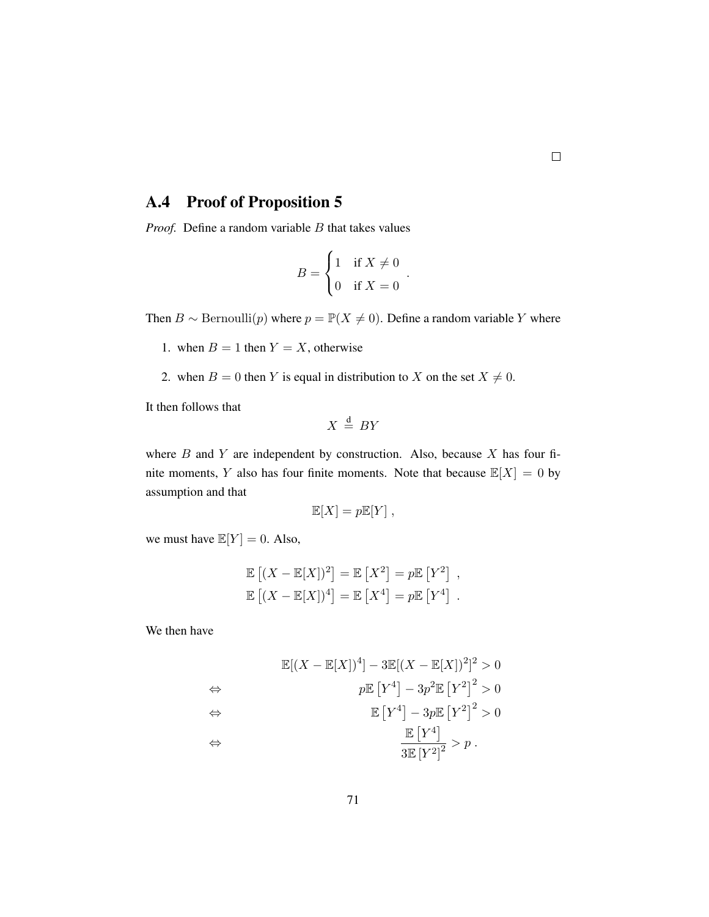### A.4 Proof of [Proposition 5](#page-43-1)

*Proof.* Define a random variable B that takes values

$$
B = \begin{cases} 1 & \text{if } X \neq 0 \\ 0 & \text{if } X = 0 \end{cases}.
$$

Then  $B \sim \text{Bernoulli}(p)$  where  $p = \mathbb{P}(X \neq 0)$ . Define a random variable Y where

- 1. when  $B = 1$  then  $Y = X$ , otherwise
- 2. when  $B = 0$  then Y is equal in distribution to X on the set  $X \neq 0$ .

It then follows that

$$
X \stackrel{\text{d}}{=} BY
$$

where  $B$  and  $Y$  are independent by construction. Also, because  $X$  has four finite moments, Y also has four finite moments. Note that because  $\mathbb{E}[X] = 0$  by assumption and that

$$
\mathbb{E}[X] = p\mathbb{E}[Y],
$$

we must have  $\mathbb{E}[Y] = 0$ . Also,

$$
\mathbb{E}[(X - \mathbb{E}[X])^{2}] = \mathbb{E}[X^{2}] = p\mathbb{E}[Y^{2}],
$$
  

$$
\mathbb{E}[(X - \mathbb{E}[X])^{4}] = \mathbb{E}[X^{4}] = p\mathbb{E}[Y^{4}].
$$

We then have

$$
\mathbb{E}[(X - \mathbb{E}[X])^{4}] - 3\mathbb{E}[(X - \mathbb{E}[X])^{2}]^{2} > 0
$$
  
\n
$$
\Leftrightarrow p\mathbb{E}[Y^{4}] - 3p^{2}\mathbb{E}[Y^{2}]^{2} > 0
$$
  
\n
$$
\Leftrightarrow \qquad \qquad \mathbb{E}[Y^{4}] - 3p\mathbb{E}[Y^{2}]^{2} > 0
$$
  
\n
$$
\Leftrightarrow \qquad \qquad \frac{\mathbb{E}[Y^{4}]}{3\mathbb{E}[Y^{2}]^{2}} > p.
$$

 $\Box$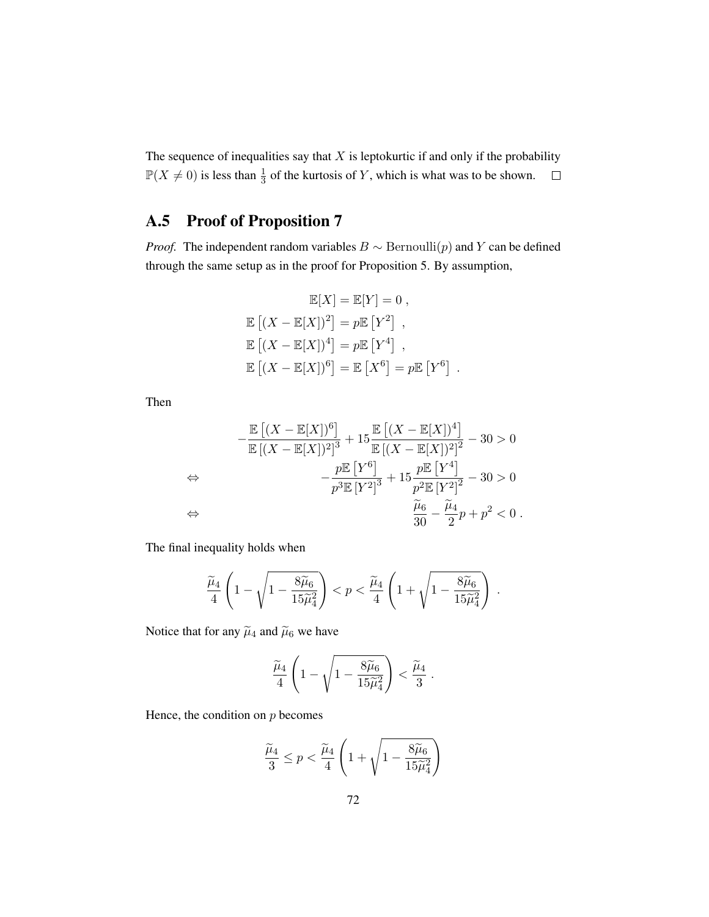The sequence of inequalities say that  $X$  is leptokurtic if and only if the probability  $\mathbb{P}(X \neq 0)$  is less than  $\frac{1}{3}$  of the kurtosis of Y, which is what was to be shown.

### A.5 Proof of [Proposition 7](#page-44-1)

*Proof.* The independent random variables  $B \sim \text{Bernoulli}(p)$  and Y can be defined through the same setup as in the proof for [Proposition 5.](#page-43-1) By assumption,

$$
\mathbb{E}[X] = \mathbb{E}[Y] = 0,
$$
  
\n
$$
\mathbb{E}[(X - \mathbb{E}[X])^{2}] = p\mathbb{E}[Y^{2}],
$$
  
\n
$$
\mathbb{E}[(X - \mathbb{E}[X])^{4}] = p\mathbb{E}[Y^{4}],
$$
  
\n
$$
\mathbb{E}[(X - \mathbb{E}[X])^{6}] = \mathbb{E}[X^{6}] = p\mathbb{E}[Y^{6}]
$$

.

Then

$$
-\frac{\mathbb{E}[(X-\mathbb{E}[X])^6]}{\mathbb{E}[(X-\mathbb{E}[X])^2]^3} + 15\frac{\mathbb{E}[(X-\mathbb{E}[X])^4]}{\mathbb{E}[(X-\mathbb{E}[X])^2]^2} - 30 > 0
$$
  
\n
$$
\Leftrightarrow -\frac{p\mathbb{E}[Y^6]}{p^3\mathbb{E}[Y^2]^3} + 15\frac{p\mathbb{E}[Y^4]}{p^2\mathbb{E}[Y^2]^2} - 30 > 0
$$
  
\n
$$
\Leftrightarrow \frac{\tilde{\mu}_6}{30} - \frac{\tilde{\mu}_4}{2}p + p^2 < 0.
$$

The final inequality holds when

$$
\frac{\widetilde{\mu}_4}{4}\left(1-\sqrt{1-\frac{8\widetilde{\mu}_6}{15\widetilde{\mu}_4^2}}\right) < p < \frac{\widetilde{\mu}_4}{4}\left(1+\sqrt{1-\frac{8\widetilde{\mu}_6}{15\widetilde{\mu}_4^2}}\right) \; .
$$

Notice that for any  $\tilde{\mu}_4$  and  $\tilde{\mu}_6$  we have

$$
\frac{\widetilde{\mu}_4}{4}\left(1-\sqrt{1-\frac{8\widetilde{\mu}_6}{15\widetilde{\mu}_4^2}}\right)<\frac{\widetilde{\mu}_4}{3}.
$$

Hence, the condition on  $p$  becomes

$$
\frac{\widetilde{\mu}_4}{3} \le p < \frac{\widetilde{\mu}_4}{4} \left( 1 + \sqrt{1 - \frac{8\widetilde{\mu}_6}{15\widetilde{\mu}_4^2}} \right)
$$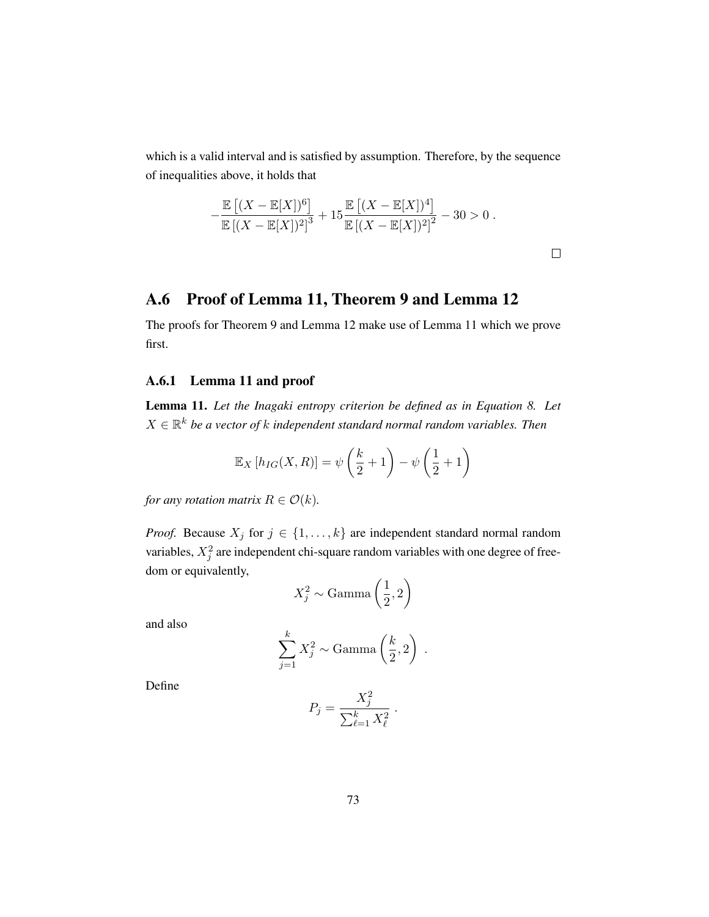which is a valid interval and is satisfied by assumption. Therefore, by the sequence of inequalities above, it holds that

$$
-\frac{\mathbb{E}[(X-\mathbb{E}[X])^6]}{\mathbb{E}[(X-\mathbb{E}[X])^2]^3} + 15\frac{\mathbb{E}[(X-\mathbb{E}[X])^4]}{\mathbb{E}[(X-\mathbb{E}[X])^2]^2} - 30 > 0.
$$

 $\Box$ 

### A.6 Proof of [Lemma 11,](#page-90-0) [Theorem 9](#page-46-0) and [Lemma 12](#page-94-0)

The proofs for [Theorem 9](#page-46-0) and [Lemma 12](#page-94-0) make use of [Lemma 11](#page-90-0) which we prove first.

#### A.6.1 [Lemma 11](#page-90-0) and proof

<span id="page-90-0"></span>Lemma 11. *Let the Inagaki entropy criterion be defined as in [Equation 8.](#page-32-1) Let*  $X \in \mathbb{R}^k$  be a vector of  $k$  independent standard normal random variables. Then

$$
\mathbb{E}_X\left[h_{IG}(X,R)\right] = \psi\left(\frac{k}{2} + 1\right) - \psi\left(\frac{1}{2} + 1\right)
$$

*for any rotation matrix*  $R \in \mathcal{O}(k)$ *.* 

*Proof.* Because  $X_j$  for  $j \in \{1, ..., k\}$  are independent standard normal random variables,  $X_j^2$  are independent chi-square random variables with one degree of freedom or equivalently,

$$
X_j^2 \sim \text{Gamma}\left(\frac{1}{2}, 2\right)
$$

and also

$$
\sum_{j=1}^{k} X_j^2 \sim \text{Gamma}\left(\frac{k}{2}, 2\right) \ .
$$

Define

$$
P_j = \frac{X_j^2}{\sum_{\ell=1}^k X_\ell^2} \; .
$$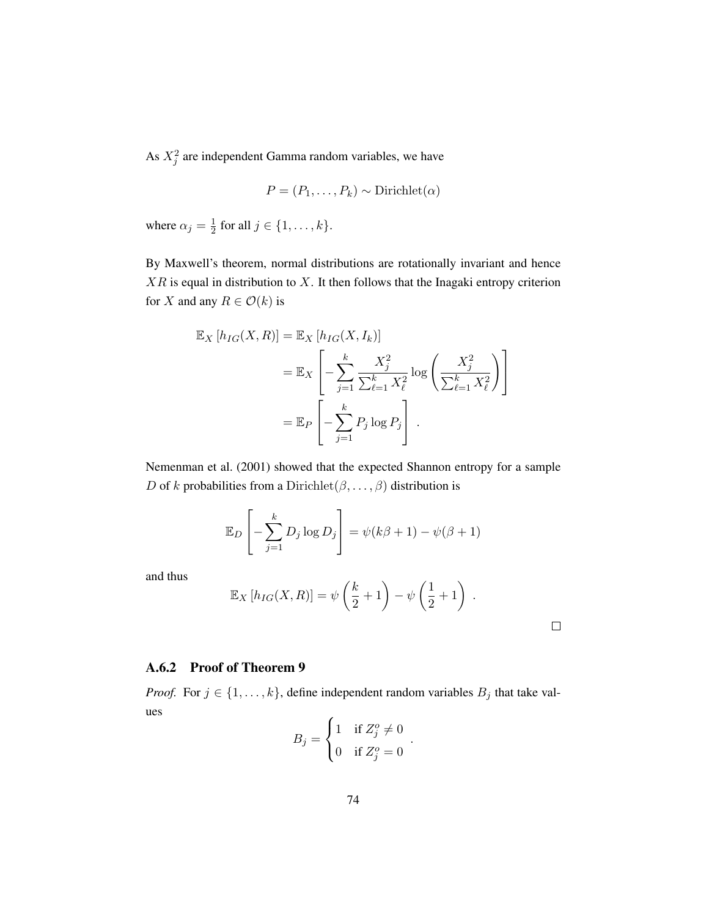<span id="page-91-0"></span>As  $X_j^2$  are independent Gamma random variables, we have

$$
P = (P_1, \ldots, P_k) \sim \text{Dirichlet}(\alpha)
$$

where  $\alpha_j = \frac{1}{2}$  $\frac{1}{2}$  for all  $j \in \{1, \ldots, k\}.$ 

By Maxwell's theorem, normal distributions are rotationally invariant and hence  $XR$  is equal in distribution to  $X$ . It then follows that the Inagaki entropy criterion for X and any  $R \in \mathcal{O}(k)$  is

$$
\mathbb{E}_X \left[ h_{IG}(X, R) \right] = \mathbb{E}_X \left[ h_{IG}(X, I_k) \right]
$$
  
= 
$$
\mathbb{E}_X \left[ -\sum_{j=1}^k \frac{X_j^2}{\sum_{\ell=1}^k X_\ell^2} \log \left( \frac{X_j^2}{\sum_{\ell=1}^k X_\ell^2} \right) \right]
$$
  
= 
$$
\mathbb{E}_P \left[ -\sum_{j=1}^k P_j \log P_j \right].
$$

[Nemenman et al.](#page-74-0) [\(2001\)](#page-74-0) showed that the expected Shannon entropy for a sample D of k probabilities from a Dirichlet  $(\beta, \ldots, \beta)$  distribution is

$$
\mathbb{E}_D\left[-\sum_{j=1}^k D_j \log D_j\right] = \psi(k\beta + 1) - \psi(\beta + 1)
$$

and thus

$$
\mathbb{E}_X[h_{IG}(X,R)] = \psi\left(\frac{k}{2} + 1\right) - \psi\left(\frac{1}{2} + 1\right).
$$

 $\Box$ 

### A.6.2 Proof of [Theorem 9](#page-46-0)

*Proof.* For  $j \in \{1, ..., k\}$ , define independent random variables  $B_j$  that take values

$$
B_j = \begin{cases} 1 & \text{if } Z_j^o \neq 0 \\ 0 & \text{if } Z_j^o = 0 \end{cases}.
$$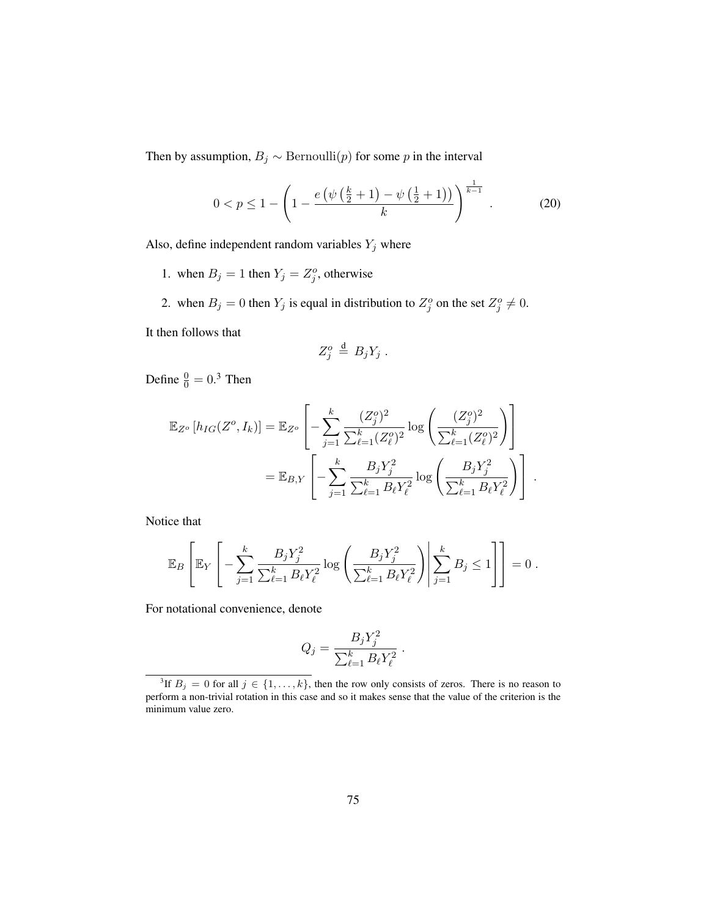Then by assumption,  $B_j \sim \text{Bernoulli}(p)$  for some p in the interval

<span id="page-92-1"></span>
$$
0 < p \le 1 - \left(1 - \frac{e\left(\psi\left(\frac{k}{2} + 1\right) - \psi\left(\frac{1}{2} + 1\right)\right)}{k}\right)^{\frac{1}{k-1}}. \tag{20}
$$

Also, define independent random variables  $Y_j$  where

- 1. when  $B_j = 1$  then  $Y_j = Z_j^o$ , otherwise
- 2. when  $B_j = 0$  then  $Y_j$  is equal in distribution to  $Z_j^o$  on the set  $Z_j^o \neq 0$ .

It then follows that

$$
Z_j^o \stackrel{\rm d}{=} B_j Y_j .
$$

Define  $\frac{0}{0} = 0.3$  $\frac{0}{0} = 0.3$  Then

$$
\mathbb{E}_{Z^o}[h_{IG}(Z^o, I_k)] = \mathbb{E}_{Z^o}\left[-\sum_{j=1}^k \frac{(Z_j^o)^2}{\sum_{\ell=1}^k (Z_\ell^o)^2} \log\left(\frac{(Z_j^o)^2}{\sum_{\ell=1}^k (Z_\ell^o)^2}\right)\right]
$$
  

$$
= \mathbb{E}_{B,Y}\left[-\sum_{j=1}^k \frac{B_j Y_j^2}{\sum_{\ell=1}^k B_\ell Y_\ell^2} \log\left(\frac{B_j Y_j^2}{\sum_{\ell=1}^k B_\ell Y_\ell^2}\right)\right].
$$

Notice that

$$
\mathbb{E}_B\left[\mathbb{E}_Y\left[-\sum_{j=1}^k\frac{B_jY_j^2}{\sum_{\ell=1}^kB_\ell Y_\ell^2}\log\left(\frac{B_jY_j^2}{\sum_{\ell=1}^kB_\ell Y_\ell^2}\right)\middle|\sum_{j=1}^kB_j\leq 1\right]\right]=0.
$$

For notational convenience, denote

$$
Q_j = \frac{B_j Y_j^2}{\sum_{\ell=1}^k B_\ell Y_\ell^2} \; .
$$

<span id="page-92-0"></span><sup>&</sup>lt;sup>3</sup>If  $B_j = 0$  for all  $j \in \{1, \ldots, k\}$ , then the row only consists of zeros. There is no reason to perform a non-trivial rotation in this case and so it makes sense that the value of the criterion is the minimum value zero.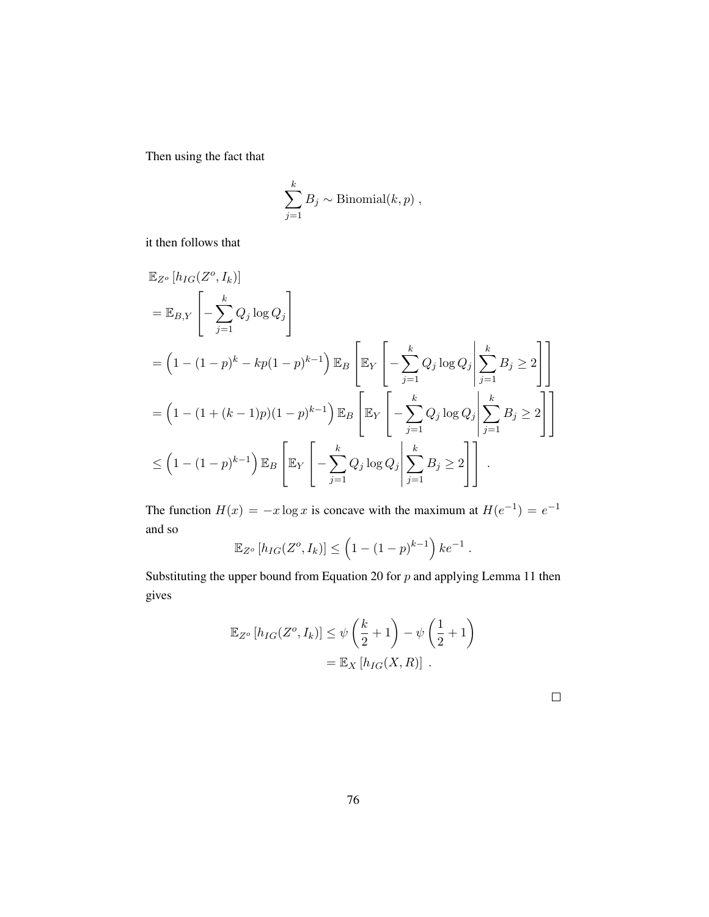Then using the fact that

$$
\sum_{j=1}^k B_j \sim \text{Binomial}(k, p) ,
$$

it then follows that

$$
\mathbb{E}_{Z^o}[h_{IG}(Z^o, I_k)]
$$
\n
$$
= \mathbb{E}_{B,Y}\left[-\sum_{j=1}^k Q_j \log Q_j\right]
$$
\n
$$
= \left(1 - (1-p)^k - kp(1-p)^{k-1}\right) \mathbb{E}_B\left[\mathbb{E}_Y\left[-\sum_{j=1}^k Q_j \log Q_j\middle|\sum_{j=1}^k B_j \ge 2\right]\right]
$$
\n
$$
= \left(1 - (1 + (k-1)p)(1-p)^{k-1}\right) \mathbb{E}_B\left[\mathbb{E}_Y\left[-\sum_{j=1}^k Q_j \log Q_j\middle|\sum_{j=1}^k B_j \ge 2\right]\right]
$$
\n
$$
\le \left(1 - (1-p)^{k-1}\right) \mathbb{E}_B\left[\mathbb{E}_Y\left[-\sum_{j=1}^k Q_j \log Q_j\middle|\sum_{j=1}^k B_j \ge 2\right]\right].
$$

The function  $H(x) = -x \log x$  is concave with the maximum at  $H(e^{-1}) = e^{-1}$ and so

$$
\mathbb{E}_{Z^o}[h_{IG}(Z^o, I_k)] \leq \left(1 - (1 - p)^{k-1}\right)ke^{-1}.
$$

Substituting the upper bound from [Equation 20](#page-92-1) for  $p$  and applying [Lemma](#page-90-0) [11](#page-90-0) then gives

$$
\mathbb{E}_{Z^o}[h_{IG}(Z^o, I_k)] \le \psi\left(\frac{k}{2} + 1\right) - \psi\left(\frac{1}{2} + 1\right)
$$

$$
= \mathbb{E}_X[h_{IG}(X, R)] .
$$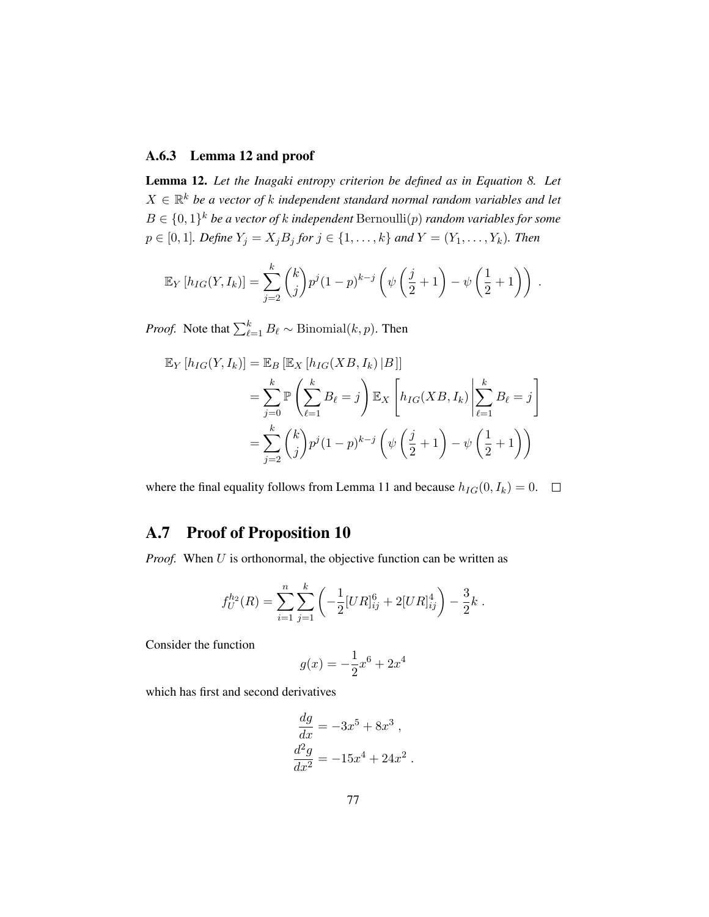#### A.6.3 [Lemma 12](#page-94-0) and proof

<span id="page-94-0"></span>Lemma 12. *Let the Inagaki entropy criterion be defined as in [Equation 8.](#page-32-1) Let*  $X \in \mathbb{R}^k$  be a vector of k independent standard normal random variables and let  $B \in \{0,1\}^k$  *be a vector of k independent* Bernoulli $(p)$  *random variables for some*  $p \in [0, 1]$ *. Define*  $Y_j = X_j B_j$  *for*  $j \in \{1, ..., k\}$  *and*  $Y = (Y_1, ..., Y_k)$ *. Then* 

$$
\mathbb{E}_Y[h_{IG}(Y, I_k)] = \sum_{j=2}^k {k \choose j} p^j (1-p)^{k-j} \left(\psi\left(\frac{j}{2}+1\right) - \psi\left(\frac{1}{2}+1\right)\right).
$$

*Proof.* Note that  $\sum_{\ell=1}^{k} B_{\ell} \sim \text{Binomial}(k, p)$ . Then

$$
\mathbb{E}_Y[h_{IG}(Y, I_k)] = \mathbb{E}_B \left[ \mathbb{E}_X[h_{IG}(XB, I_k) | B] \right]
$$
  
= 
$$
\sum_{j=0}^k \mathbb{P}\left(\sum_{\ell=1}^k B_{\ell} = j\right) \mathbb{E}_X \left[h_{IG}(XB, I_k) \middle| \sum_{\ell=1}^k B_{\ell} = j\right]
$$
  
= 
$$
\sum_{j=2}^k {k \choose j} p^j (1-p)^{k-j} \left(\psi\left(\frac{j}{2}+1\right) - \psi\left(\frac{1}{2}+1\right)\right)
$$

where the final equality follows from [Lemma 11](#page-90-0) and because  $h_{IG}(0, I_k) = 0$ .  $\Box$ 

### A.7 Proof of [Proposition 10](#page-55-1)

*Proof.* When U is orthonormal, the objective function can be written as

$$
f_U^{h_2}(R) = \sum_{i=1}^n \sum_{j=1}^k \left( -\frac{1}{2} [UR]_{ij}^6 + 2[UR]_{ij}^4 \right) - \frac{3}{2}k.
$$

Consider the function

$$
g(x) = -\frac{1}{2}x^6 + 2x^4
$$

which has first and second derivatives

$$
\frac{dg}{dx} = -3x^5 + 8x^3,
$$
  

$$
\frac{d^2g}{dx^2} = -15x^4 + 24x^2.
$$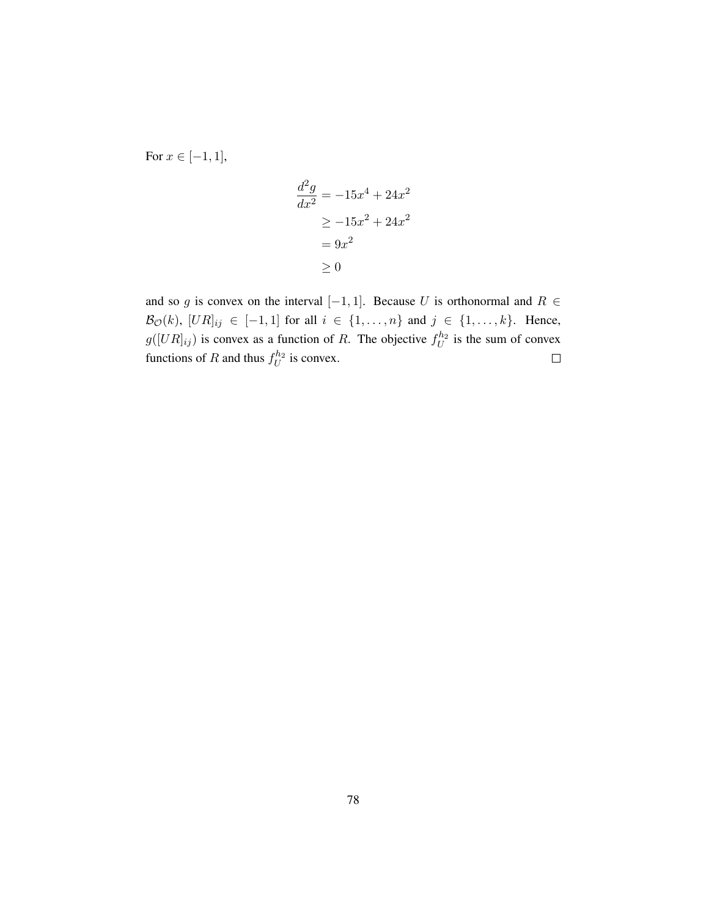For  $x \in [-1, 1]$ ,

$$
\frac{d^2g}{dx^2} = -15x^4 + 24x^2
$$

$$
\ge -15x^2 + 24x^2
$$

$$
= 9x^2
$$

$$
\ge 0
$$

and so g is convex on the interval  $[-1, 1]$ . Because U is orthonormal and  $R \in$  $\mathcal{B}_{\mathcal{O}}(k)$ ,  $[UR]_{ij} \in [-1, 1]$  for all  $i \in \{1, ..., n\}$  and  $j \in \{1, ..., k\}$ . Hence,  $g([UR]_{ij})$  is convex as a function of R. The objective  $f_U^{h_2}$  is the sum of convex functions of R and thus  $f_U^{h_2}$  is convex.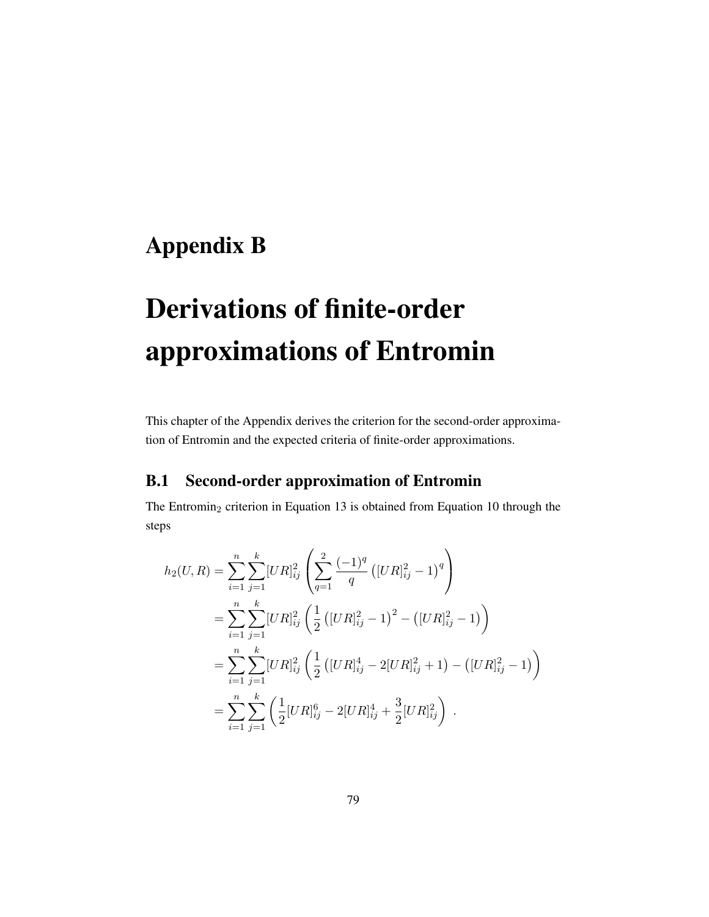# Appendix B

# Derivations of finite-order approximations of Entromin

This chapter of the Appendix derives the criterion for the second-order approximation of Entromin and the expected criteria of finite-order approximations.

### B.1 Second-order approximation of Entromin

The Entromin<sub>2</sub> criterion in [Equation 13](#page-37-1) is obtained from [Equation 10](#page-35-0) through the steps

$$
h_2(U,R) = \sum_{i=1}^n \sum_{j=1}^k [UR]_{ij}^2 \left( \sum_{q=1}^2 \frac{(-1)^q}{q} \left( [UR]_{ij}^2 - 1 \right)^q \right)
$$
  
\n
$$
= \sum_{i=1}^n \sum_{j=1}^k [UR]_{ij}^2 \left( \frac{1}{2} \left( [UR]_{ij}^2 - 1 \right)^2 - \left( [UR]_{ij}^2 - 1 \right) \right)
$$
  
\n
$$
= \sum_{i=1}^n \sum_{j=1}^k [UR]_{ij}^2 \left( \frac{1}{2} \left( [UR]_{ij}^4 - 2[UR]_{ij}^2 + 1 \right) - \left( [UR]_{ij}^2 - 1 \right) \right)
$$
  
\n
$$
= \sum_{i=1}^n \sum_{j=1}^k \left( \frac{1}{2} [UR]_{ij}^6 - 2[UR]_{ij}^4 + \frac{3}{2} [UR]_{ij}^2 \right).
$$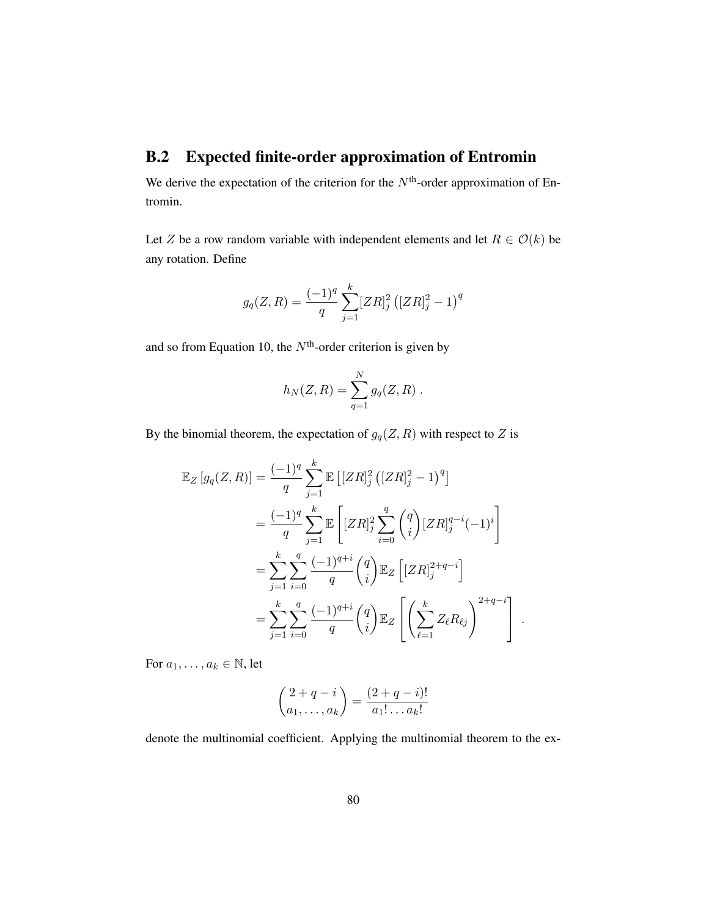### B.2 Expected finite-order approximation of Entromin

We derive the expectation of the criterion for the  $N<sup>th</sup>$ -order approximation of Entromin.

Let Z be a row random variable with independent elements and let  $R \in \mathcal{O}(k)$  be any rotation. Define

$$
g_q(Z,R) = \frac{(-1)^q}{q} \sum_{j=1}^k [ZR]_j^2 \left( [ZR]_j^2 - 1 \right)^q
$$

and so from [Equation 10,](#page-35-0) the  $N<sup>th</sup>$ -order criterion is given by

$$
h_N(Z, R) = \sum_{q=1}^N g_q(Z, R) .
$$

By the binomial theorem, the expectation of  $g_q(Z, R)$  with respect to Z is

$$
\mathbb{E}_{Z}[g_{q}(Z,R)] = \frac{(-1)^{q}}{q} \sum_{j=1}^{k} \mathbb{E}\left[ [ZR]_{j}^{2} ([ZR]_{j}^{2} - 1)^{q} \right]
$$
  
\n
$$
= \frac{(-1)^{q}}{q} \sum_{j=1}^{k} \mathbb{E}\left[ [ZR]_{j}^{2} \sum_{i=0}^{q} {q \choose i} [ZR]_{j}^{q-i} (-1)^{i} \right]
$$
  
\n
$$
= \sum_{j=1}^{k} \sum_{i=0}^{q} \frac{(-1)^{q+i}}{q} {q \choose i} \mathbb{E}_{Z}\left[ [ZR]_{j}^{2+q-i} \right]
$$
  
\n
$$
= \sum_{j=1}^{k} \sum_{i=0}^{q} \frac{(-1)^{q+i}}{q} {q \choose i} \mathbb{E}_{Z}\left[ \left( \sum_{\ell=1}^{k} Z_{\ell} R_{\ell j} \right)^{2+q-i} \right].
$$

For  $a_1, \ldots, a_k \in \mathbb{N}$ , let

$$
\binom{2+q-i}{a_1,\ldots,a_k} = \frac{(2+q-i)!}{a_1!\ldots a_k!}
$$

denote the multinomial coefficient. Applying the multinomial theorem to the ex-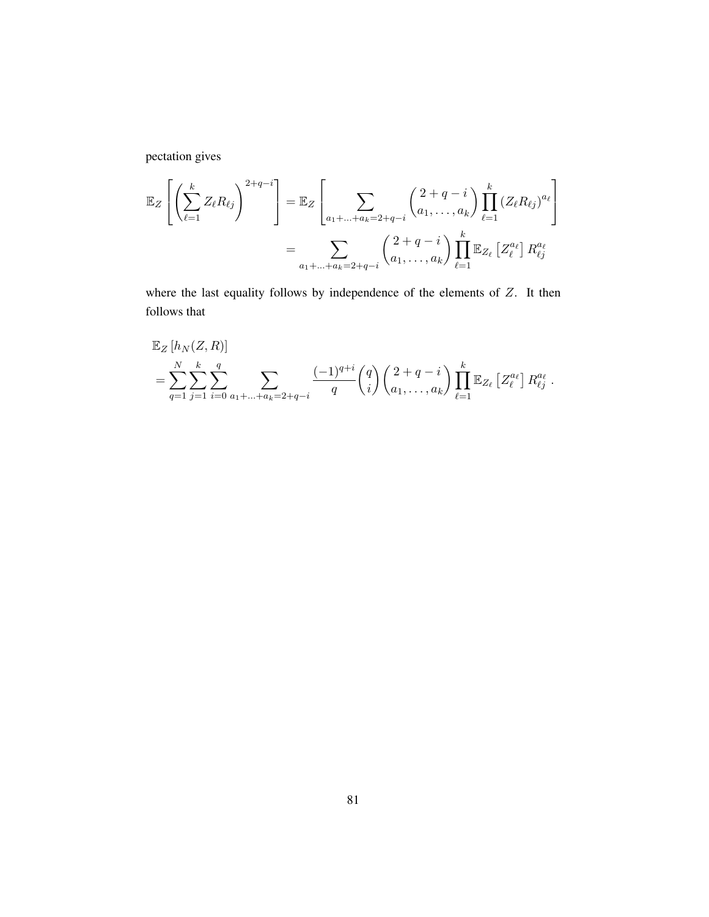pectation gives

$$
\mathbb{E}_{Z}\left[\left(\sum_{\ell=1}^{k} Z_{\ell} R_{\ell j}\right)^{2+q-i}\right] = \mathbb{E}_{Z}\left[\sum_{a_{1}+\ldots+a_{k}=2+q-i} \binom{2+q-i}{a_{1},\ldots,a_{k}} \prod_{\ell=1}^{k} (Z_{\ell} R_{\ell j})^{a_{\ell}}\right]
$$

$$
= \sum_{a_{1}+\ldots+a_{k}=2+q-i} \binom{2+q-i}{a_{1},\ldots,a_{k}} \prod_{\ell=1}^{k} \mathbb{E}_{Z_{\ell}}\left[Z_{\ell}^{a_{\ell}}\right] R_{\ell j}^{a_{\ell}}
$$

where the last equality follows by independence of the elements of Z. It then follows that

$$
\mathbb{E}_Z[h_N(Z,R)] = \sum_{q=1}^N \sum_{j=1}^k \sum_{i=0}^q \sum_{a_1 + \dots + a_k = 2 + q - i} \frac{(-1)^{q+i} \binom{q}{i} \binom{2+q-i}{a_1, \dots, a_k} \prod_{\ell=1}^k \mathbb{E}_{Z_\ell} [Z_\ell^{a_\ell}] R_{\ell j}^{a_\ell}.
$$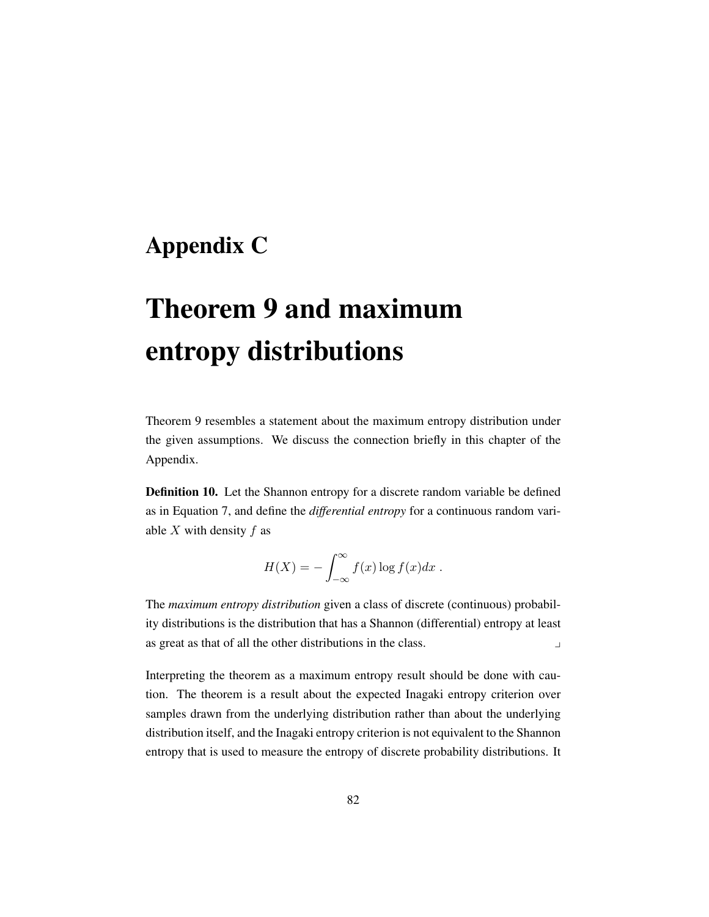# Appendix C

# [Theorem 9](#page-46-0) and maximum entropy distributions

[Theorem 9](#page-46-0) resembles a statement about the maximum entropy distribution under the given assumptions. We discuss the connection briefly in this chapter of the Appendix.

Definition 10. Let the Shannon entropy for a discrete random variable be defined as in [Equation 7,](#page-31-1) and define the *differential entropy* for a continuous random variable  $X$  with density  $f$  as

$$
H(X) = -\int_{-\infty}^{\infty} f(x) \log f(x) dx.
$$

The *maximum entropy distribution* given a class of discrete (continuous) probability distributions is the distribution that has a Shannon (differential) entropy at least as great as that of all the other distributions in the class.

Interpreting the theorem as a maximum entropy result should be done with caution. The theorem is a result about the expected Inagaki entropy criterion over samples drawn from the underlying distribution rather than about the underlying distribution itself, and the Inagaki entropy criterion is not equivalent to the Shannon entropy that is used to measure the entropy of discrete probability distributions. It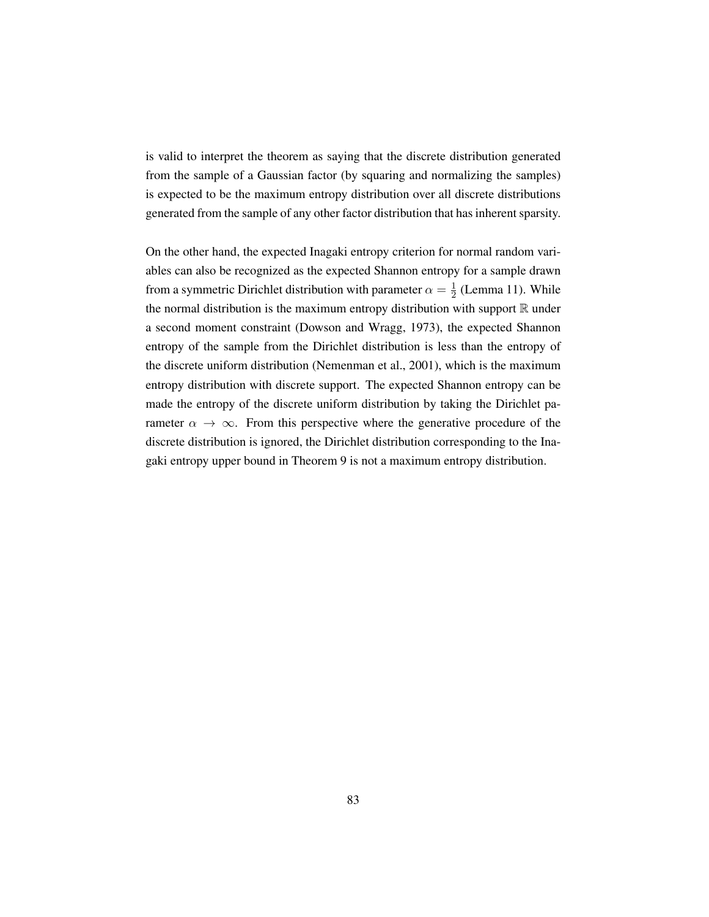<span id="page-100-0"></span>is valid to interpret the theorem as saying that the discrete distribution generated from the sample of a Gaussian factor (by squaring and normalizing the samples) is expected to be the maximum entropy distribution over all discrete distributions generated from the sample of any other factor distribution that has inherent sparsity.

On the other hand, the expected Inagaki entropy criterion for normal random variables can also be recognized as the expected Shannon entropy for a sample drawn from a symmetric Dirichlet distribution with parameter  $\alpha = \frac{1}{2}$  $\frac{1}{2}$  [\(Lemma 11\)](#page-90-0). While the normal distribution is the maximum entropy distribution with support  $\mathbb R$  under a second moment constraint [\(Dowson and Wragg,](#page-73-0) [1973\)](#page-73-0), the expected Shannon entropy of the sample from the Dirichlet distribution is less than the entropy of the discrete uniform distribution [\(Nemenman et al.,](#page-74-0) [2001\)](#page-74-0), which is the maximum entropy distribution with discrete support. The expected Shannon entropy can be made the entropy of the discrete uniform distribution by taking the Dirichlet parameter  $\alpha \to \infty$ . From this perspective where the generative procedure of the discrete distribution is ignored, the Dirichlet distribution corresponding to the Inagaki entropy upper bound in [Theorem 9](#page-46-0) is not a maximum entropy distribution.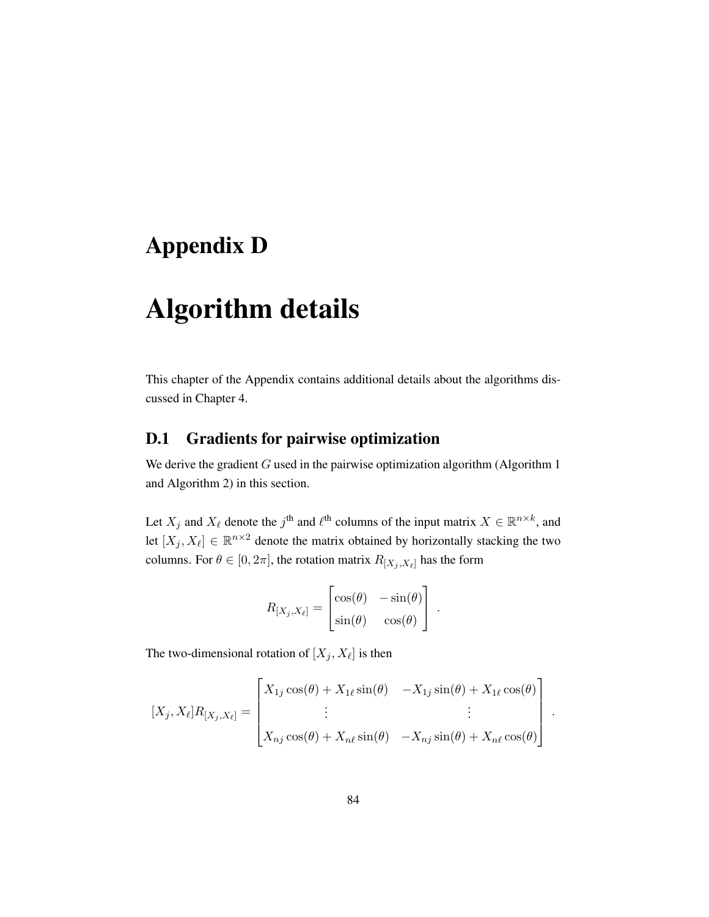# Appendix D

# Algorithm details

This chapter of the Appendix contains additional details about the algorithms discussed in [Chapter 4.](#page-50-1)

### D.1 Gradients for pairwise optimization

We derive the gradient  $G$  used in the pairwise optimization algorithm [\(Algorithm](#page-51-1) [1](#page-51-1)) and [Algorithm](#page-53-1) [2\)](#page-53-1) in this section.

Let  $X_j$  and  $X_\ell$  denote the  $j^{\text{th}}$  and  $\ell^{\text{th}}$  columns of the input matrix  $X \in \mathbb{R}^{n \times k}$ , and let  $[X_j, X_\ell] \in \mathbb{R}^{n \times 2}$  denote the matrix obtained by horizontally stacking the two columns. For  $\theta \in [0, 2\pi]$ , the rotation matrix  $R_{[X_j, X_\ell]}$  has the form

$$
R_{[X_j, X_\ell]} = \begin{bmatrix} \cos(\theta) & -\sin(\theta) \\ \sin(\theta) & \cos(\theta) \end{bmatrix} .
$$

The two-dimensional rotation of  $[X_j, X_\ell]$  is then

$$
[X_j, X_{\ell}]R_{[X_j, X_{\ell}]} = \begin{bmatrix} X_{1j} \cos(\theta) + X_{1\ell} \sin(\theta) & -X_{1j} \sin(\theta) + X_{1\ell} \cos(\theta) \\ \vdots & \vdots \\ X_{nj} \cos(\theta) + X_{n\ell} \sin(\theta) & -X_{nj} \sin(\theta) + X_{n\ell} \cos(\theta) \end{bmatrix}
$$

.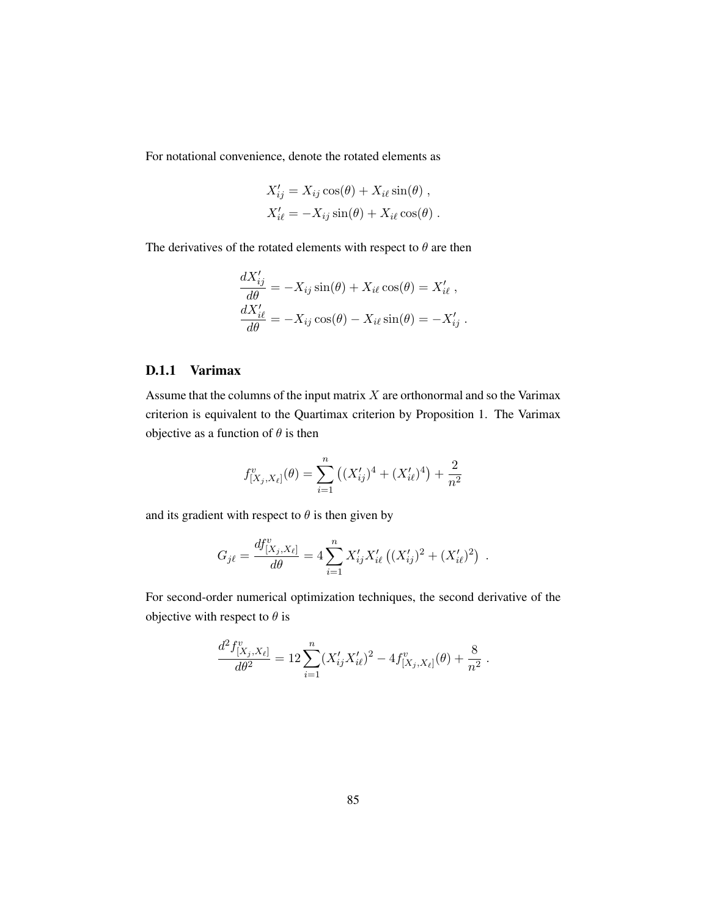For notational convenience, denote the rotated elements as

$$
X'_{ij} = X_{ij} \cos(\theta) + X_{i\ell} \sin(\theta) ,
$$
  

$$
X'_{i\ell} = -X_{ij} \sin(\theta) + X_{i\ell} \cos(\theta) .
$$

The derivatives of the rotated elements with respect to  $\theta$  are then

$$
\frac{dX'_{ij}}{d\theta} = -X_{ij}\sin(\theta) + X_{i\ell}\cos(\theta) = X'_{i\ell},
$$
  

$$
\frac{dX'_{i\ell}}{d\theta} = -X_{ij}\cos(\theta) - X_{i\ell}\sin(\theta) = -X'_{ij}.
$$

### D.1.1 Varimax

Assume that the columns of the input matrix  $X$  are orthonormal and so the Varimax criterion is equivalent to the Quartimax criterion by [Proposition](#page-36-1) [1.](#page-36-1) The Varimax objective as a function of  $\theta$  is then

$$
f_{[X_j,X_\ell]}^v(\theta) = \sum_{i=1}^n ((X_{ij}')^4 + (X_{i\ell}')^4) + \frac{2}{n^2}
$$

and its gradient with respect to  $\theta$  is then given by

$$
G_{j\ell} = \frac{df^v_{[X_j, X_{\ell}]} }{d\theta} = 4 \sum_{i=1}^n X'_{ij} X'_{i\ell} \left( (X'_{ij})^2 + (X'_{i\ell})^2 \right) .
$$

For second-order numerical optimization techniques, the second derivative of the objective with respect to  $\theta$  is

$$
\frac{d^2 f^v_{[X_j, X_\ell]}}{d\theta^2} = 12 \sum_{i=1}^n (X'_{ij} X'_{i\ell})^2 - 4 f^v_{[X_j, X_\ell]}(\theta) + \frac{8}{n^2}.
$$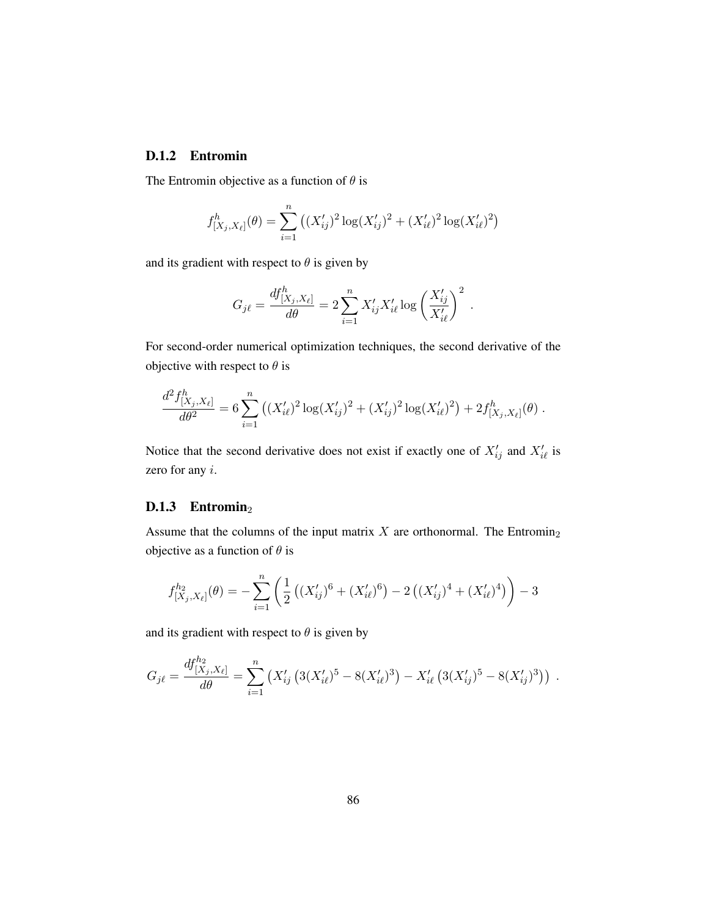#### D.1.2 Entromin

The Entromin objective as a function of  $\theta$  is

$$
f_{[X_j, X_\ell]}^h(\theta) = \sum_{i=1}^n \left( (X_{ij}')^2 \log(X_{ij}')^2 + (X_{i\ell}')^2 \log(X_{i\ell}')^2 \right)
$$

and its gradient with respect to  $\theta$  is given by

$$
G_{j\ell} = \frac{df_{[X_j, X_{\ell}]}^h}{d\theta} = 2 \sum_{i=1}^n X'_{ij} X'_{i\ell} \log \left(\frac{X'_{ij}}{X'_{i\ell}}\right)^2.
$$

For second-order numerical optimization techniques, the second derivative of the objective with respect to  $\theta$  is

$$
\frac{d^2 f^h_{[X_j, X_\ell]}}{d\theta^2} = 6 \sum_{i=1}^n \left( (X'_{i\ell})^2 \log(X'_{ij})^2 + (X'_{ij})^2 \log(X'_{i\ell})^2 \right) + 2 f^h_{[X_j, X_\ell]}(\theta) .
$$

Notice that the second derivative does not exist if exactly one of  $X'_{ij}$  and  $X'_{i\ell}$  is zero for any i.

#### D.1.3 Entromin<sub>2</sub>

Assume that the columns of the input matrix  $X$  are orthonormal. The Entromin<sub>2</sub> objective as a function of  $\theta$  is

$$
f_{[X_j,X_\ell]}^{h_2}(\theta) = -\sum_{i=1}^n \left( \frac{1}{2} \left( (X_{ij}')^6 + (X_{i\ell}')^6 \right) - 2 \left( (X_{ij}')^4 + (X_{i\ell}')^4 \right) \right) - 3
$$

and its gradient with respect to  $\theta$  is given by

$$
G_{j\ell} = \frac{df_{[X_j, X_{\ell}]}^{h_2}}{d\theta} = \sum_{i=1}^n (X'_{ij} (3(X'_{i\ell})^5 - 8(X'_{i\ell})^3) - X'_{i\ell} (3(X'_{ij})^5 - 8(X'_{ij})^3)) .
$$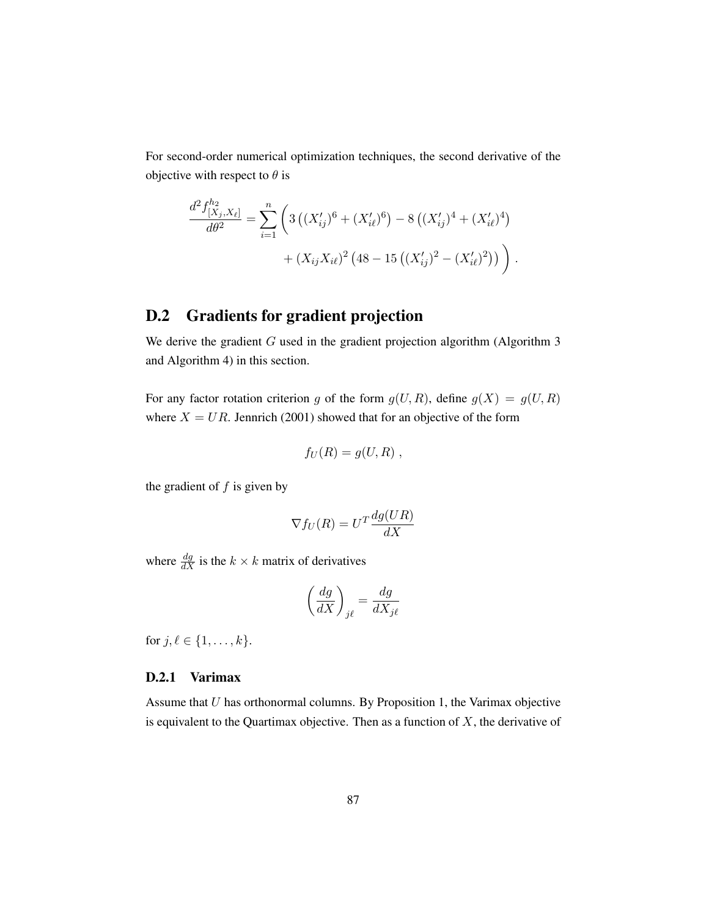<span id="page-104-0"></span>For second-order numerical optimization techniques, the second derivative of the objective with respect to  $\theta$  is

$$
\frac{d^2 f_{[X_j, X_\ell]}^{h_2}}{d\theta^2} = \sum_{i=1}^n \left( 3\left( (X_{ij}')^6 + (X_{i\ell}')^6 \right) - 8\left( (X_{ij}')^4 + (X_{i\ell}')^4 \right) + (X_{ij}X_{i\ell})^2 \left( 48 - 15\left( (X_{ij}')^2 - (X_{i\ell}')^2 \right) \right) \right).
$$

### D.2 Gradients for gradient projection

We derive the gradient  $G$  used in the gradient projection algorithm [\(Algorithm](#page-54-2)  $3$ and [Algorithm](#page-55-2) [4\)](#page-55-2) in this section.

For any factor rotation criterion g of the form  $g(U, R)$ , define  $g(X) = g(U, R)$ where  $X = UR$ . [Jennrich](#page-74-1) [\(2001\)](#page-74-1) showed that for an objective of the form

$$
f_U(R) = g(U,R) ,
$$

the gradient of  $f$  is given by

$$
\nabla f_U(R) = U^T \frac{dg(UR)}{dX}
$$

where  $\frac{dg}{dX}$  is the  $k \times k$  matrix of derivatives

$$
\left(\frac{dg}{dX}\right)_{j\ell} = \frac{dg}{dX_{j\ell}}
$$

for  $j, \ell \in \{1, ..., k\}.$ 

#### D.2.1 Varimax

Assume that  $U$  has orthonormal columns. By [Proposition 1,](#page-36-1) the Varimax objective is equivalent to the Quartimax objective. Then as a function of  $X$ , the derivative of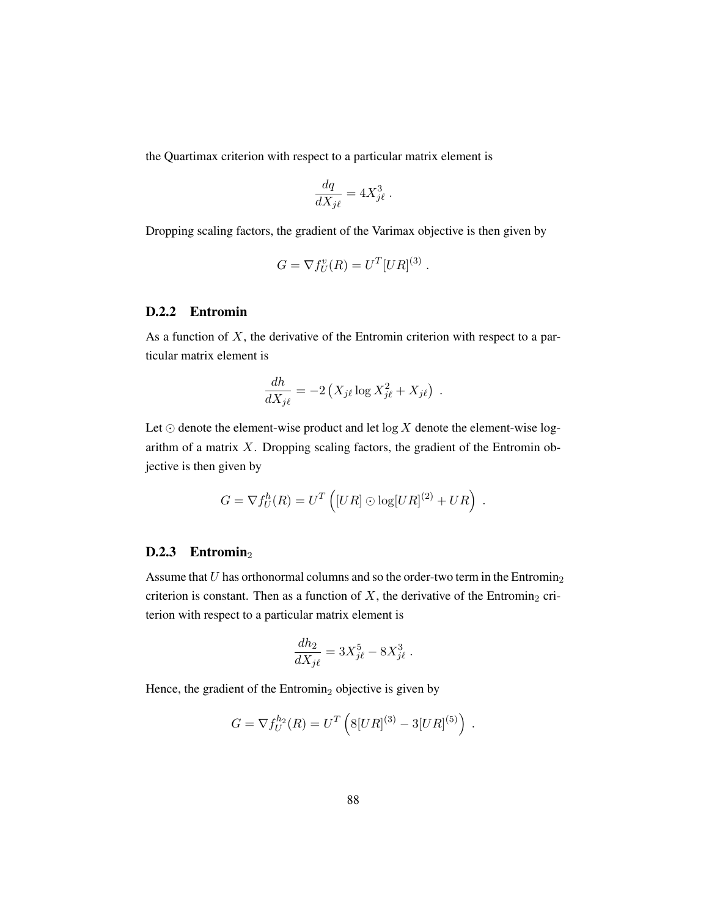the Quartimax criterion with respect to a particular matrix element is

$$
\frac{dq}{dX_{j\ell}} = 4X_{j\ell}^3.
$$

Dropping scaling factors, the gradient of the Varimax objective is then given by

$$
G = \nabla f_U^v(R) = U^T [UR]^{(3)}.
$$

#### D.2.2 Entromin

As a function of  $X$ , the derivative of the Entromin criterion with respect to a particular matrix element is

$$
\frac{dh}{dX_{j\ell}} = -2\left(X_{j\ell}\log X_{j\ell}^2 + X_{j\ell}\right) .
$$

Let  $\odot$  denote the element-wise product and let  $\log X$  denote the element-wise logarithm of a matrix  $X$ . Dropping scaling factors, the gradient of the Entromin objective is then given by

$$
G = \nabla f_U^h(R) = U^T \left( [UR] \odot \log[UR]^{(2)} + UR \right) .
$$

#### D.2.3 Entromin<sub>2</sub>

Assume that  $U$  has orthonormal columns and so the order-two term in the Entromin<sub>2</sub> criterion is constant. Then as a function of  $X$ , the derivative of the Entromin<sub>2</sub> criterion with respect to a particular matrix element is

$$
\frac{dh_2}{dX_{j\ell}} = 3X_{j\ell}^5 - 8X_{j\ell}^3.
$$

Hence, the gradient of the Entromin<sub>2</sub> objective is given by

$$
G = \nabla f_U^{h_2}(R) = U^T \left( 8[UR]^{(3)} - 3[UR]^{(5)} \right) .
$$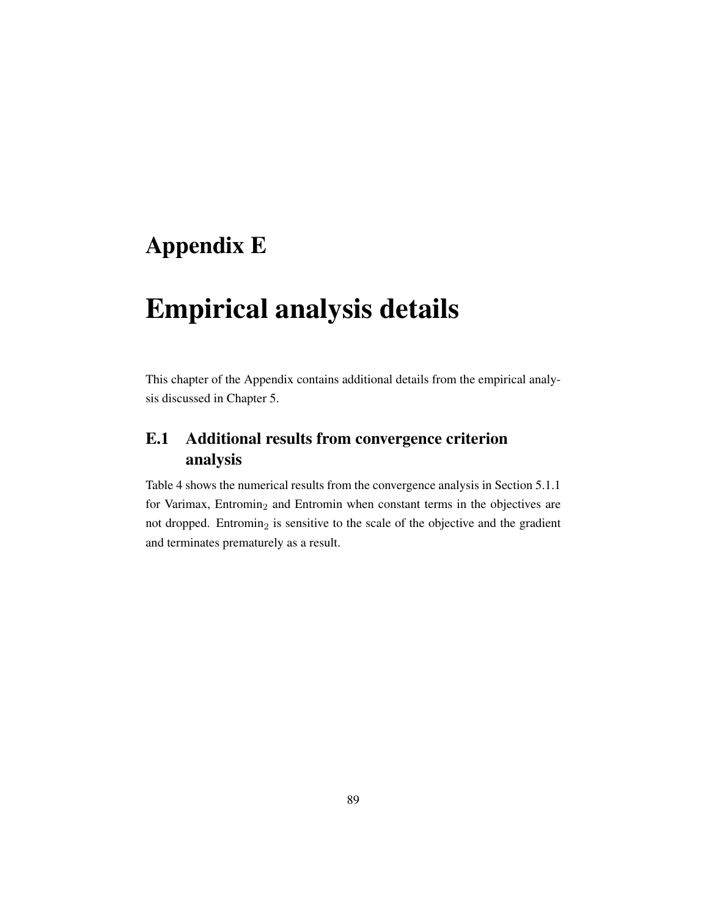# Appendix E

# Empirical analysis details

This chapter of the Appendix contains additional details from the empirical analysis discussed in [Chapter 5.](#page-57-0)

## E.1 Additional results from convergence criterion analysis

[Table 4](#page-107-0) shows the numerical results from the convergence analysis in [Section 5.1.1](#page-58-0) for Varimax, Entromin<sub>2</sub> and Entromin when constant terms in the objectives are not dropped. Entromin<sub>2</sub> is sensitive to the scale of the objective and the gradient and terminates prematurely as a result.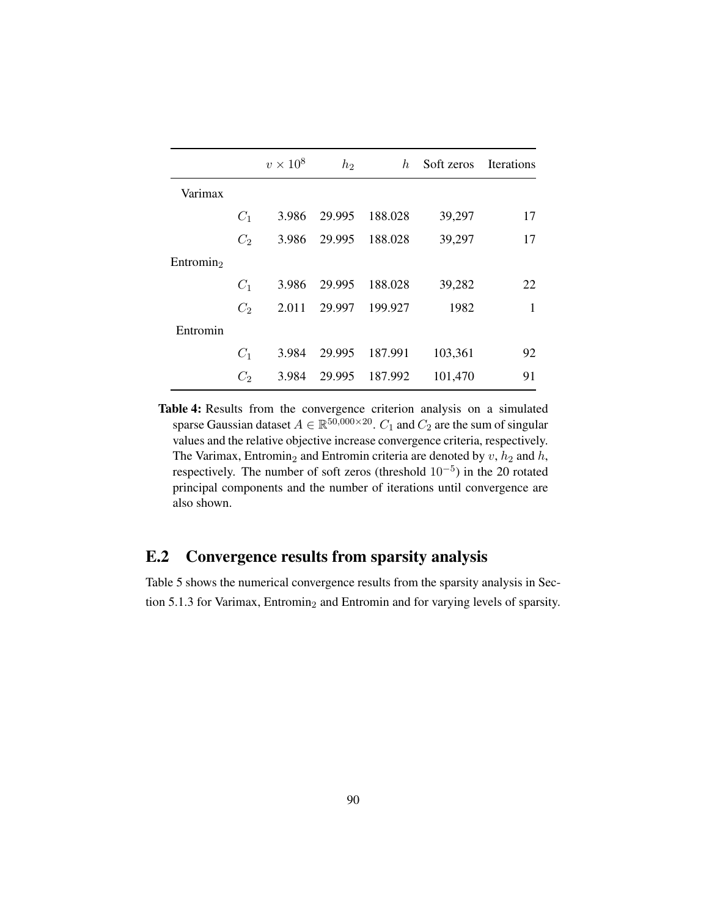<span id="page-107-0"></span>

|                       |                | $v \times 10^8$ | $h_2$  | $h_{-}$ | Soft zeros Iterations |    |
|-----------------------|----------------|-----------------|--------|---------|-----------------------|----|
| Varimax               |                |                 |        |         |                       |    |
|                       | $C_1$          | 3.986           | 29.995 | 188.028 | 39,297                | 17 |
|                       | C <sub>2</sub> | 3.986           | 29.995 | 188.028 | 39,297                | 17 |
| Entromin <sub>2</sub> |                |                 |        |         |                       |    |
|                       | $C_1$          | 3.986           | 29.995 | 188.028 | 39,282                | 22 |
|                       | $C_2$          | 2.011           | 29.997 | 199.927 | 1982                  | 1  |
| Entromin              |                |                 |        |         |                       |    |
|                       | $C_1$          | 3.984           | 29.995 | 187.991 | 103,361               | 92 |
|                       | $C_2$          | 3.984           | 29.995 | 187.992 | 101,470               | 91 |

Table 4: Results from the convergence criterion analysis on a simulated sparse Gaussian dataset  $A \in \mathbb{R}^{50,000 \times 20}$ .  $C_1$  and  $C_2$  are the sum of singular values and the relative objective increase convergence criteria, respectively. The Varimax, Entromin<sub>2</sub> and Entromin criteria are denoted by  $v$ ,  $h_2$  and  $h$ , respectively. The number of soft zeros (threshold  $10^{-5}$ ) in the 20 rotated principal components and the number of iterations until convergence are also shown.

## E.2 Convergence results from sparsity analysis

[Table 5](#page-108-1) shows the numerical convergence results from the sparsity analysis in [Sec](#page-61-0)[tion 5.1.3](#page-61-0) for Varimax, Entromin<sub>2</sub> and Entromin and for varying levels of sparsity.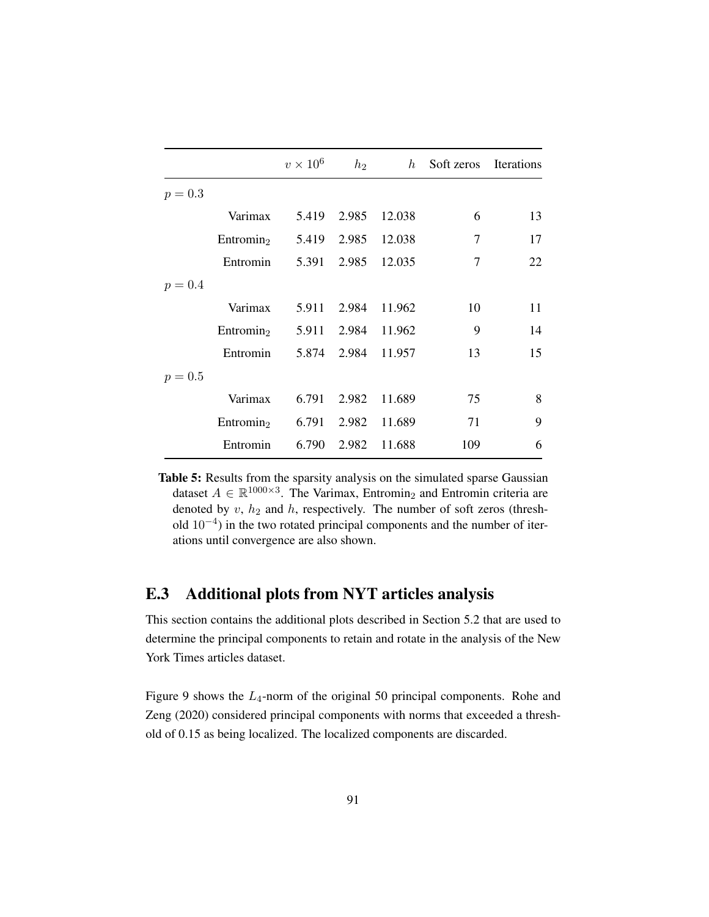|           |                                          | $v \times 10^6$    | $h_2$ |                    | $h$ Soft zeros Iterations |    |
|-----------|------------------------------------------|--------------------|-------|--------------------|---------------------------|----|
| $p = 0.3$ |                                          |                    |       |                    |                           |    |
|           | Varimax                                  |                    |       | 5.419 2.985 12.038 | 6                         | 13 |
|           | Entromin <sub>2</sub> 5.419 2.985 12.038 |                    |       |                    | 7                         | 17 |
|           | Entromin 5.391 2.985 12.035              |                    |       |                    | $\overline{7}$            | 22 |
| $p = 0.4$ |                                          |                    |       |                    |                           |    |
|           | Varimax                                  |                    |       | 5.911 2.984 11.962 | 10                        | 11 |
|           | Entromin <sub>2</sub> 5.911 2.984 11.962 |                    |       |                    | 9                         | 14 |
|           | Entromin                                 | 5.874 2.984 11.957 |       |                    | 13                        | 15 |
| $p = 0.5$ |                                          |                    |       |                    |                           |    |
|           | Varimax                                  |                    |       | 6.791 2.982 11.689 | 75                        | 8  |
|           | Entromin <sub>2</sub>                    |                    |       | 6.791 2.982 11.689 | 71                        | 9  |
|           | Entromin                                 | 6.790              | 2.982 | 11.688             | 109                       | 6  |

Table 5: Results from the sparsity analysis on the simulated sparse Gaussian dataset  $A \in \mathbb{R}^{1000 \times 3}$ . The Varimax, Entromin<sub>2</sub> and Entromin criteria are denoted by  $v$ ,  $h_2$  and  $h$ , respectively. The number of soft zeros (threshold  $10^{-4}$ ) in the two rotated principal components and the number of iterations until convergence are also shown.

## E.3 Additional plots from NYT articles analysis

This section contains the additional plots described in [Section 5.2](#page-63-0) that are used to determine the principal components to retain and rotate in the analysis of the New York Times articles dataset.

[Figure 9](#page-109-0) shows the  $L_4$ -norm of the original 50 principal components. [Rohe and](#page-75-0) [Zeng](#page-75-0) [\(2020\)](#page-75-0) considered principal components with norms that exceeded a threshold of 0.15 as being localized. The localized components are discarded.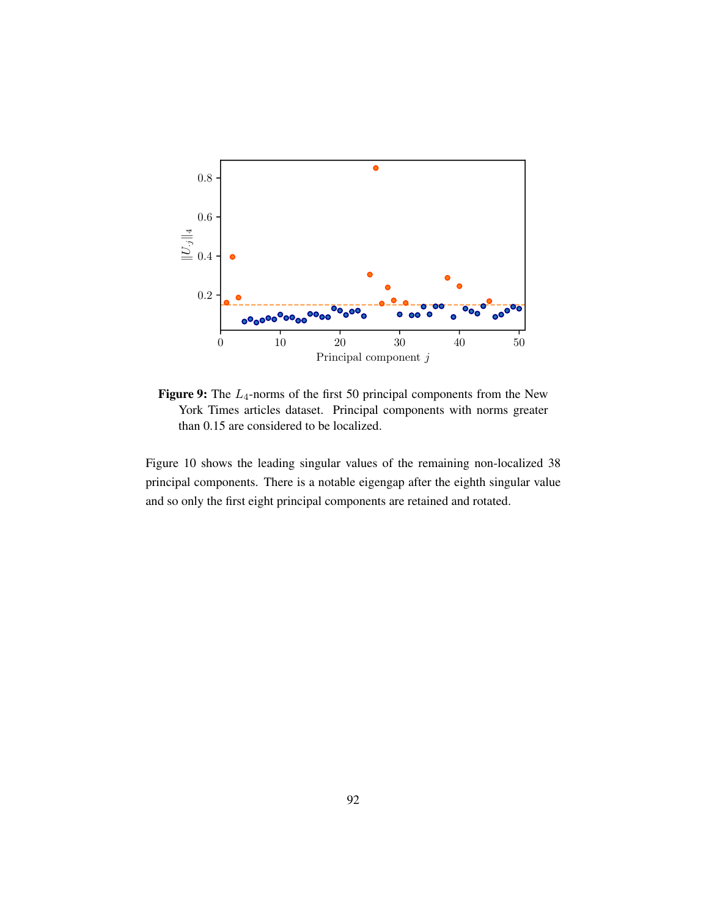<span id="page-109-0"></span>

Figure 9: The  $L_4$ -norms of the first 50 principal components from the New York Times articles dataset. Principal components with norms greater than 0.15 are considered to be localized.

[Figure 10](#page-110-0) shows the leading singular values of the remaining non-localized 38 principal components. There is a notable eigengap after the eighth singular value and so only the first eight principal components are retained and rotated.